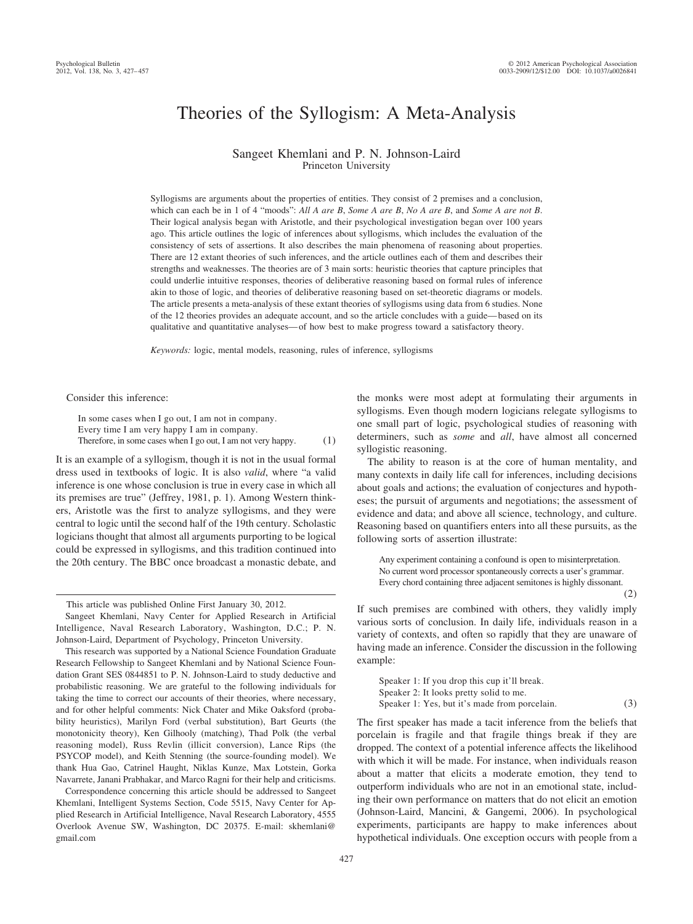# Theories of the Syllogism: A Meta-Analysis

# Sangeet Khemlani and P. N. Johnson-Laird Princeton University

Syllogisms are arguments about the properties of entities. They consist of 2 premises and a conclusion, which can each be in 1 of 4 "moods": *All A are B*, *Some A are B*, *No A are B*, and *Some A are not B*. Their logical analysis began with Aristotle, and their psychological investigation began over 100 years ago. This article outlines the logic of inferences about syllogisms, which includes the evaluation of the consistency of sets of assertions. It also describes the main phenomena of reasoning about properties. There are 12 extant theories of such inferences, and the article outlines each of them and describes their strengths and weaknesses. The theories are of 3 main sorts: heuristic theories that capture principles that could underlie intuitive responses, theories of deliberative reasoning based on formal rules of inference akin to those of logic, and theories of deliberative reasoning based on set-theoretic diagrams or models. The article presents a meta-analysis of these extant theories of syllogisms using data from 6 studies. None of the 12 theories provides an adequate account, and so the article concludes with a guide—based on its qualitative and quantitative analyses—of how best to make progress toward a satisfactory theory.

*Keywords:* logic, mental models, reasoning, rules of inference, syllogisms

Consider this inference:

In some cases when I go out, I am not in company. Every time I am very happy I am in company. Therefore, in some cases when I go out, I am not very happy. (1)

It is an example of a syllogism, though it is not in the usual formal dress used in textbooks of logic. It is also *valid*, where "a valid inference is one whose conclusion is true in every case in which all its premises are true" (Jeffrey, 1981, p. 1). Among Western thinkers, Aristotle was the first to analyze syllogisms, and they were central to logic until the second half of the 19th century. Scholastic logicians thought that almost all arguments purporting to be logical could be expressed in syllogisms, and this tradition continued into the 20th century. The BBC once broadcast a monastic debate, and

This research was supported by a National Science Foundation Graduate Research Fellowship to Sangeet Khemlani and by National Science Foundation Grant SES 0844851 to P. N. Johnson-Laird to study deductive and probabilistic reasoning. We are grateful to the following individuals for taking the time to correct our accounts of their theories, where necessary, and for other helpful comments: Nick Chater and Mike Oaksford (probability heuristics), Marilyn Ford (verbal substitution), Bart Geurts (the monotonicity theory), Ken Gilhooly (matching), Thad Polk (the verbal reasoning model), Russ Revlin (illicit conversion), Lance Rips (the PSYCOP model), and Keith Stenning (the source-founding model). We thank Hua Gao, Catrinel Haught, Niklas Kunze, Max Lotstein, Gorka Navarrete, Janani Prabhakar, and Marco Ragni for their help and criticisms.

Correspondence concerning this article should be addressed to Sangeet Khemlani, Intelligent Systems Section, Code 5515, Navy Center for Applied Research in Artificial Intelligence, Naval Research Laboratory, 4555 Overlook Avenue SW, Washington, DC 20375. E-mail: skhemlani@ gmail.com

the monks were most adept at formulating their arguments in syllogisms. Even though modern logicians relegate syllogisms to one small part of logic, psychological studies of reasoning with determiners, such as *some* and *all*, have almost all concerned syllogistic reasoning.

The ability to reason is at the core of human mentality, and many contexts in daily life call for inferences, including decisions about goals and actions; the evaluation of conjectures and hypotheses; the pursuit of arguments and negotiations; the assessment of evidence and data; and above all science, technology, and culture. Reasoning based on quantifiers enters into all these pursuits, as the following sorts of assertion illustrate:

Any experiment containing a confound is open to misinterpretation. No current word processor spontaneously corrects a user's grammar. Every chord containing three adjacent semitones is highly dissonant.

If such premises are combined with others, they validly imply various sorts of conclusion. In daily life, individuals reason in a variety of contexts, and often so rapidly that they are unaware of having made an inference. Consider the discussion in the following example:

Speaker 1: If you drop this cup it'll break. Speaker 2: It looks pretty solid to me. Speaker 1: Yes, but it's made from porcelain. (3)

The first speaker has made a tacit inference from the beliefs that porcelain is fragile and that fragile things break if they are dropped. The context of a potential inference affects the likelihood with which it will be made. For instance, when individuals reason about a matter that elicits a moderate emotion, they tend to outperform individuals who are not in an emotional state, including their own performance on matters that do not elicit an emotion (Johnson-Laird, Mancini, & Gangemi, 2006). In psychological experiments, participants are happy to make inferences about hypothetical individuals. One exception occurs with people from a

This article was published Online First January 30, 2012.

Sangeet Khemlani, Navy Center for Applied Research in Artificial Intelligence, Naval Research Laboratory, Washington, D.C.; P. N. Johnson-Laird, Department of Psychology, Princeton University.

<sup>(2)</sup>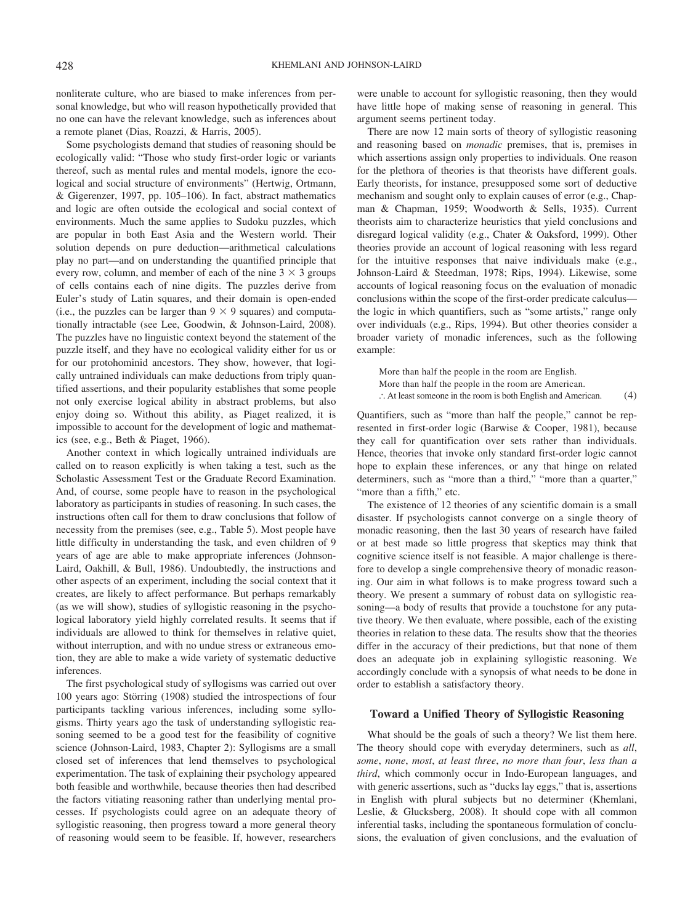nonliterate culture, who are biased to make inferences from personal knowledge, but who will reason hypothetically provided that no one can have the relevant knowledge, such as inferences about a remote planet (Dias, Roazzi, & Harris, 2005).

Some psychologists demand that studies of reasoning should be ecologically valid: "Those who study first-order logic or variants thereof, such as mental rules and mental models, ignore the ecological and social structure of environments" (Hertwig, Ortmann, & Gigerenzer, 1997, pp. 105–106). In fact, abstract mathematics and logic are often outside the ecological and social context of environments. Much the same applies to Sudoku puzzles, which are popular in both East Asia and the Western world. Their solution depends on pure deduction—arithmetical calculations play no part—and on understanding the quantified principle that every row, column, and member of each of the nine  $3 \times 3$  groups of cells contains each of nine digits. The puzzles derive from Euler's study of Latin squares, and their domain is open-ended (i.e., the puzzles can be larger than  $9 \times 9$  squares) and computationally intractable (see Lee, Goodwin, & Johnson-Laird, 2008). The puzzles have no linguistic context beyond the statement of the puzzle itself, and they have no ecological validity either for us or for our protohominid ancestors. They show, however, that logically untrained individuals can make deductions from triply quantified assertions, and their popularity establishes that some people not only exercise logical ability in abstract problems, but also enjoy doing so. Without this ability, as Piaget realized, it is impossible to account for the development of logic and mathematics (see, e.g., Beth & Piaget, 1966).

Another context in which logically untrained individuals are called on to reason explicitly is when taking a test, such as the Scholastic Assessment Test or the Graduate Record Examination. And, of course, some people have to reason in the psychological laboratory as participants in studies of reasoning. In such cases, the instructions often call for them to draw conclusions that follow of necessity from the premises (see, e.g., Table 5). Most people have little difficulty in understanding the task, and even children of 9 years of age are able to make appropriate inferences (Johnson-Laird, Oakhill, & Bull, 1986). Undoubtedly, the instructions and other aspects of an experiment, including the social context that it creates, are likely to affect performance. But perhaps remarkably (as we will show), studies of syllogistic reasoning in the psychological laboratory yield highly correlated results. It seems that if individuals are allowed to think for themselves in relative quiet, without interruption, and with no undue stress or extraneous emotion, they are able to make a wide variety of systematic deductive inferences.

The first psychological study of syllogisms was carried out over 100 years ago: Störring (1908) studied the introspections of four participants tackling various inferences, including some syllogisms. Thirty years ago the task of understanding syllogistic reasoning seemed to be a good test for the feasibility of cognitive science (Johnson-Laird, 1983, Chapter 2): Syllogisms are a small closed set of inferences that lend themselves to psychological experimentation. The task of explaining their psychology appeared both feasible and worthwhile, because theories then had described the factors vitiating reasoning rather than underlying mental processes. If psychologists could agree on an adequate theory of syllogistic reasoning, then progress toward a more general theory of reasoning would seem to be feasible. If, however, researchers

were unable to account for syllogistic reasoning, then they would have little hope of making sense of reasoning in general. This argument seems pertinent today.

There are now 12 main sorts of theory of syllogistic reasoning and reasoning based on *monadic* premises, that is, premises in which assertions assign only properties to individuals. One reason for the plethora of theories is that theorists have different goals. Early theorists, for instance, presupposed some sort of deductive mechanism and sought only to explain causes of error (e.g., Chapman & Chapman, 1959; Woodworth & Sells, 1935). Current theorists aim to characterize heuristics that yield conclusions and disregard logical validity (e.g., Chater & Oaksford, 1999). Other theories provide an account of logical reasoning with less regard for the intuitive responses that naive individuals make (e.g., Johnson-Laird & Steedman, 1978; Rips, 1994). Likewise, some accounts of logical reasoning focus on the evaluation of monadic conclusions within the scope of the first-order predicate calculus the logic in which quantifiers, such as "some artists," range only over individuals (e.g., Rips, 1994). But other theories consider a broader variety of monadic inferences, such as the following example:

More than half the people in the room are English. More than half the people in the room are American.  $\therefore$  At least someone in the room is both English and American. (4)

Quantifiers, such as "more than half the people," cannot be represented in first-order logic (Barwise & Cooper, 1981), because they call for quantification over sets rather than individuals. Hence, theories that invoke only standard first-order logic cannot hope to explain these inferences, or any that hinge on related determiners, such as "more than a third," "more than a quarter," "more than a fifth," etc.

The existence of 12 theories of any scientific domain is a small disaster. If psychologists cannot converge on a single theory of monadic reasoning, then the last 30 years of research have failed or at best made so little progress that skeptics may think that cognitive science itself is not feasible. A major challenge is therefore to develop a single comprehensive theory of monadic reasoning. Our aim in what follows is to make progress toward such a theory. We present a summary of robust data on syllogistic reasoning—a body of results that provide a touchstone for any putative theory. We then evaluate, where possible, each of the existing theories in relation to these data. The results show that the theories differ in the accuracy of their predictions, but that none of them does an adequate job in explaining syllogistic reasoning. We accordingly conclude with a synopsis of what needs to be done in order to establish a satisfactory theory.

#### **Toward a Unified Theory of Syllogistic Reasoning**

What should be the goals of such a theory? We list them here. The theory should cope with everyday determiners, such as *all*, *some*, *none*, *most*, *at least three*, *no more than four*, *less than a third*, which commonly occur in Indo-European languages, and with generic assertions, such as "ducks lay eggs," that is, assertions in English with plural subjects but no determiner (Khemlani, Leslie, & Glucksberg, 2008). It should cope with all common inferential tasks, including the spontaneous formulation of conclusions, the evaluation of given conclusions, and the evaluation of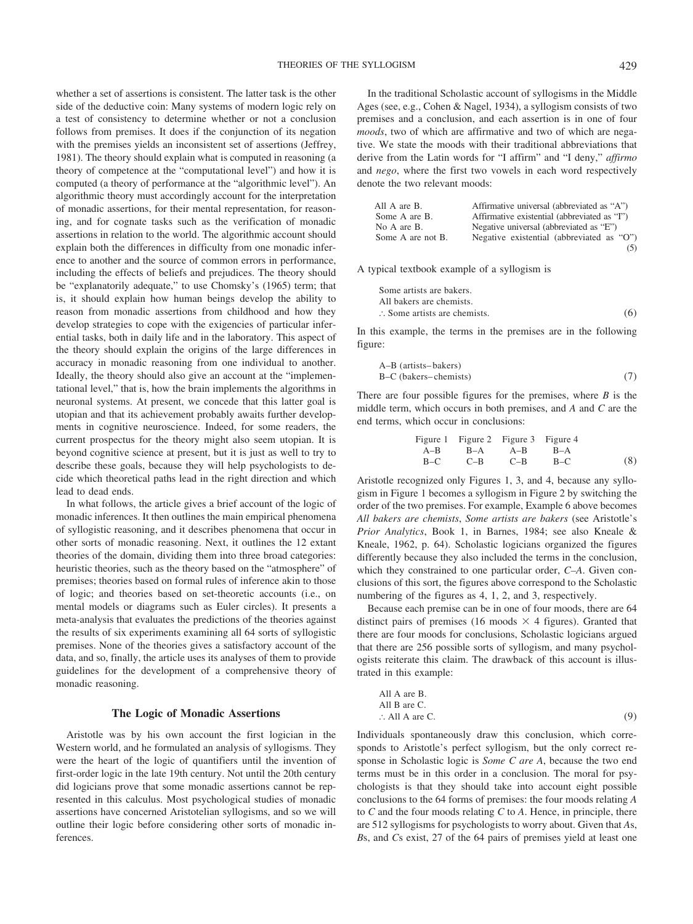whether a set of assertions is consistent. The latter task is the other side of the deductive coin: Many systems of modern logic rely on a test of consistency to determine whether or not a conclusion follows from premises. It does if the conjunction of its negation with the premises yields an inconsistent set of assertions (Jeffrey, 1981). The theory should explain what is computed in reasoning (a theory of competence at the "computational level") and how it is computed (a theory of performance at the "algorithmic level"). An algorithmic theory must accordingly account for the interpretation of monadic assertions, for their mental representation, for reasoning, and for cognate tasks such as the verification of monadic assertions in relation to the world. The algorithmic account should explain both the differences in difficulty from one monadic inference to another and the source of common errors in performance, including the effects of beliefs and prejudices. The theory should be "explanatorily adequate," to use Chomsky's (1965) term; that is, it should explain how human beings develop the ability to reason from monadic assertions from childhood and how they develop strategies to cope with the exigencies of particular inferential tasks, both in daily life and in the laboratory. This aspect of the theory should explain the origins of the large differences in accuracy in monadic reasoning from one individual to another. Ideally, the theory should also give an account at the "implementational level," that is, how the brain implements the algorithms in neuronal systems. At present, we concede that this latter goal is utopian and that its achievement probably awaits further developments in cognitive neuroscience. Indeed, for some readers, the current prospectus for the theory might also seem utopian. It is beyond cognitive science at present, but it is just as well to try to describe these goals, because they will help psychologists to decide which theoretical paths lead in the right direction and which lead to dead ends.

In what follows, the article gives a brief account of the logic of monadic inferences. It then outlines the main empirical phenomena of syllogistic reasoning, and it describes phenomena that occur in other sorts of monadic reasoning. Next, it outlines the 12 extant theories of the domain, dividing them into three broad categories: heuristic theories, such as the theory based on the "atmosphere" of premises; theories based on formal rules of inference akin to those of logic; and theories based on set-theoretic accounts (i.e., on mental models or diagrams such as Euler circles). It presents a meta-analysis that evaluates the predictions of the theories against the results of six experiments examining all 64 sorts of syllogistic premises. None of the theories gives a satisfactory account of the data, and so, finally, the article uses its analyses of them to provide guidelines for the development of a comprehensive theory of monadic reasoning.

#### **The Logic of Monadic Assertions**

Aristotle was by his own account the first logician in the Western world, and he formulated an analysis of syllogisms. They were the heart of the logic of quantifiers until the invention of first-order logic in the late 19th century. Not until the 20th century did logicians prove that some monadic assertions cannot be represented in this calculus. Most psychological studies of monadic assertions have concerned Aristotelian syllogisms, and so we will outline their logic before considering other sorts of monadic inferences.

In the traditional Scholastic account of syllogisms in the Middle Ages (see, e.g., Cohen & Nagel, 1934), a syllogism consists of two premises and a conclusion, and each assertion is in one of four *moods*, two of which are affirmative and two of which are negative. We state the moods with their traditional abbreviations that derive from the Latin words for "I affirm" and "I deny," *affirmo* and *nego*, where the first two vowels in each word respectively denote the two relevant moods:

| All A are B.      | Affirmative universal (abbreviated as "A")   |
|-------------------|----------------------------------------------|
| Some A are B.     | Affirmative existential (abbreviated as "I") |
| No A are B.       | Negative universal (abbreviated as "E")      |
| Some A are not B. | Negative existential (abbreviated as "O")    |
|                   | (5)                                          |

A typical textbook example of a syllogism is

| Some artists are bakers.                |     |
|-----------------------------------------|-----|
| All bakers are chemists.                |     |
| $\therefore$ Some artists are chemists. | (6) |

In this example, the terms in the premises are in the following figure:

A–B (artists–bakers) B–C (bakers–chemists) (7)

There are four possible figures for the premises, where *B* is the middle term, which occurs in both premises, and *A* and *C* are the end terms, which occur in conclusions:

Figure 1 Figure 2 Figure 3 Figure 4 A–B B–A A–B B–A B–C C–B C–B B–C (8)

Aristotle recognized only Figures 1, 3, and 4, because any syllogism in Figure 1 becomes a syllogism in Figure 2 by switching the order of the two premises. For example, Example 6 above becomes *All bakers are chemists*, *Some artists are bakers* (see Aristotle's *Prior Analytics*, Book 1, in Barnes, 1984; see also Kneale & Kneale, 1962, p. 64). Scholastic logicians organized the figures differently because they also included the terms in the conclusion, which they constrained to one particular order, *C–A*. Given conclusions of this sort, the figures above correspond to the Scholastic numbering of the figures as 4, 1, 2, and 3, respectively.

Because each premise can be in one of four moods, there are 64 distinct pairs of premises (16 moods  $\times$  4 figures). Granted that there are four moods for conclusions, Scholastic logicians argued that there are 256 possible sorts of syllogism, and many psychologists reiterate this claim. The drawback of this account is illustrated in this example:

All A are B.  
All B are C.  

$$
\therefore
$$
 All A are C. (9)

Individuals spontaneously draw this conclusion, which corresponds to Aristotle's perfect syllogism, but the only correct response in Scholastic logic is *Some C are A*, because the two end terms must be in this order in a conclusion. The moral for psychologists is that they should take into account eight possible conclusions to the 64 forms of premises: the four moods relating *A* to *C* and the four moods relating *C* to *A*. Hence, in principle, there are 512 syllogisms for psychologists to worry about. Given that *A*s, *B*s, and *C*s exist, 27 of the 64 pairs of premises yield at least one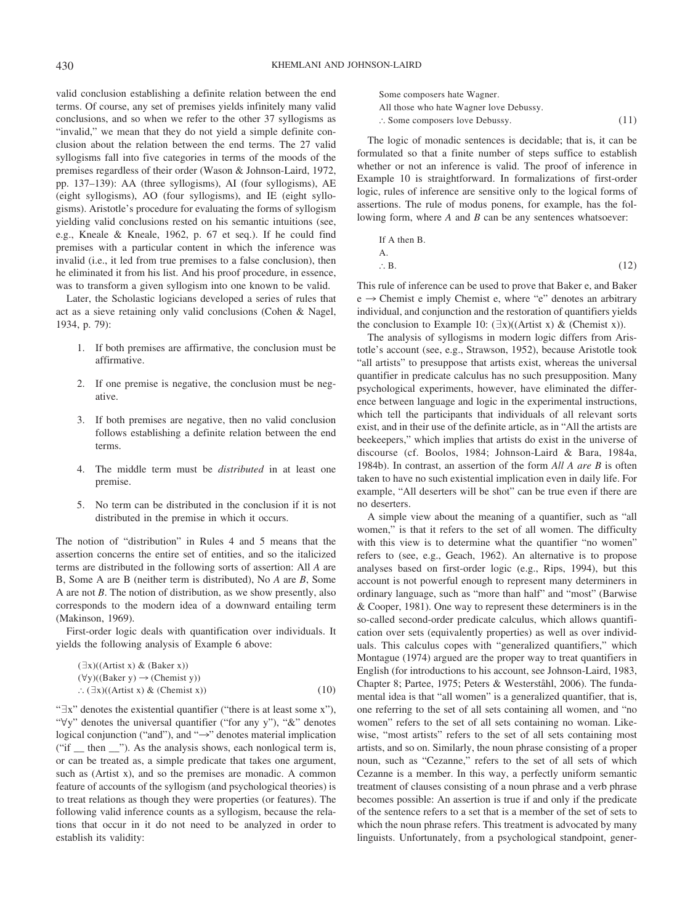valid conclusion establishing a definite relation between the end terms. Of course, any set of premises yields infinitely many valid conclusions, and so when we refer to the other 37 syllogisms as "invalid," we mean that they do not yield a simple definite conclusion about the relation between the end terms. The 27 valid syllogisms fall into five categories in terms of the moods of the premises regardless of their order (Wason & Johnson-Laird, 1972, pp. 137–139): AA (three syllogisms), AI (four syllogisms), AE (eight syllogisms), AO (four syllogisms), and IE (eight syllogisms). Aristotle's procedure for evaluating the forms of syllogism yielding valid conclusions rested on his semantic intuitions (see, e.g., Kneale & Kneale, 1962, p. 67 et seq.). If he could find premises with a particular content in which the inference was invalid (i.e., it led from true premises to a false conclusion), then he eliminated it from his list. And his proof procedure, in essence, was to transform a given syllogism into one known to be valid.

Later, the Scholastic logicians developed a series of rules that act as a sieve retaining only valid conclusions (Cohen & Nagel, 1934, p. 79):

- 1. If both premises are affirmative, the conclusion must be affirmative.
- 2. If one premise is negative, the conclusion must be negative.
- 3. If both premises are negative, then no valid conclusion follows establishing a definite relation between the end terms.
- 4. The middle term must be *distributed* in at least one premise.
- 5. No term can be distributed in the conclusion if it is not distributed in the premise in which it occurs.

The notion of "distribution" in Rules 4 and 5 means that the assertion concerns the entire set of entities, and so the italicized terms are distributed in the following sorts of assertion: All *A* are B, Some A are B (neither term is distributed), No *A* are *B*, Some A are not *B*. The notion of distribution, as we show presently, also corresponds to the modern idea of a downward entailing term (Makinson, 1969).

First-order logic deals with quantification over individuals. It yields the following analysis of Example 6 above:

$$
(\exists x)((Artist x) \& (Baker x))(\forall y)((Baker y) \rightarrow (Chemist y)):. (\exists x)((Artist x) \& (Chemist x))
$$
\n(10)

" $\exists$ x" denotes the existential quantifier ("there is at least some x"), " $\forall y$ " denotes the universal quantifier ("for any y"), " $\&$ " denotes logical conjunction ("and"), and " $\rightarrow$ " denotes material implication ("if \_\_ then \_\_"). As the analysis shows, each nonlogical term is, or can be treated as, a simple predicate that takes one argument, such as (Artist x), and so the premises are monadic. A common feature of accounts of the syllogism (and psychological theories) is to treat relations as though they were properties (or features). The following valid inference counts as a syllogism, because the relations that occur in it do not need to be analyzed in order to establish its validity:

| Some composers hate Wagner.               |      |
|-------------------------------------------|------|
| All those who hate Wagner love Debussy.   |      |
| $\therefore$ Some composers love Debussy. | (11) |

The logic of monadic sentences is decidable; that is, it can be formulated so that a finite number of steps suffice to establish whether or not an inference is valid. The proof of inference in Example 10 is straightforward. In formalizations of first-order logic, rules of inference are sensitive only to the logical forms of assertions. The rule of modus ponens, for example, has the following form, where *A* and *B* can be any sentences whatsoever:

If A then B.  
A.  

$$
\therefore B.
$$
 (12)

This rule of inference can be used to prove that Baker e, and Baker  $e \rightarrow$  Chemist e imply Chemist e, where "e" denotes an arbitrary individual, and conjunction and the restoration of quantifiers yields the conclusion to Example 10:  $(\exists x)((Artist x) \& (Chemist x))$ .

The analysis of syllogisms in modern logic differs from Aristotle's account (see, e.g., Strawson, 1952), because Aristotle took "all artists" to presuppose that artists exist, whereas the universal quantifier in predicate calculus has no such presupposition. Many psychological experiments, however, have eliminated the difference between language and logic in the experimental instructions, which tell the participants that individuals of all relevant sorts exist, and in their use of the definite article, as in "All the artists are beekeepers," which implies that artists do exist in the universe of discourse (cf. Boolos, 1984; Johnson-Laird & Bara, 1984a, 1984b). In contrast, an assertion of the form *All A are B* is often taken to have no such existential implication even in daily life. For example, "All deserters will be shot" can be true even if there are no deserters.

A simple view about the meaning of a quantifier, such as "all women," is that it refers to the set of all women. The difficulty with this view is to determine what the quantifier "no women" refers to (see, e.g., Geach, 1962). An alternative is to propose analyses based on first-order logic (e.g., Rips, 1994), but this account is not powerful enough to represent many determiners in ordinary language, such as "more than half" and "most" (Barwise & Cooper, 1981). One way to represent these determiners is in the so-called second-order predicate calculus, which allows quantification over sets (equivalently properties) as well as over individuals. This calculus copes with "generalized quantifiers," which Montague (1974) argued are the proper way to treat quantifiers in English (for introductions to his account, see Johnson-Laird, 1983, Chapter 8; Partee, 1975; Peters & Westerståhl, 2006). The fundamental idea is that "all women" is a generalized quantifier, that is, one referring to the set of all sets containing all women, and "no women" refers to the set of all sets containing no woman. Likewise, "most artists" refers to the set of all sets containing most artists, and so on. Similarly, the noun phrase consisting of a proper noun, such as "Cezanne," refers to the set of all sets of which Cezanne is a member. In this way, a perfectly uniform semantic treatment of clauses consisting of a noun phrase and a verb phrase becomes possible: An assertion is true if and only if the predicate of the sentence refers to a set that is a member of the set of sets to which the noun phrase refers. This treatment is advocated by many linguists. Unfortunately, from a psychological standpoint, gener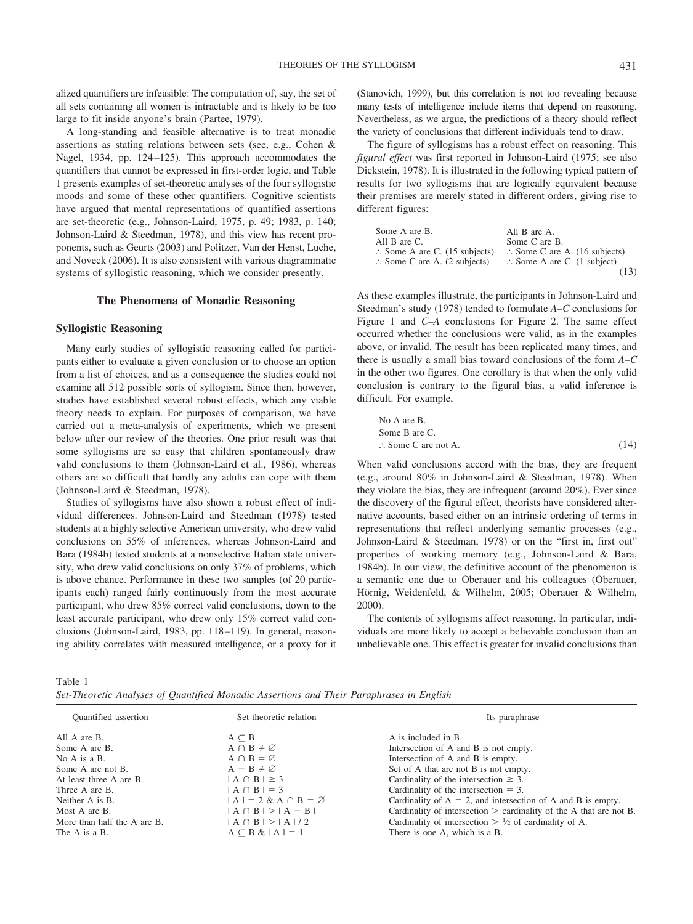alized quantifiers are infeasible: The computation of, say, the set of all sets containing all women is intractable and is likely to be too large to fit inside anyone's brain (Partee, 1979).

A long-standing and feasible alternative is to treat monadic assertions as stating relations between sets (see, e.g., Cohen & Nagel, 1934, pp. 124–125). This approach accommodates the quantifiers that cannot be expressed in first-order logic, and Table 1 presents examples of set-theoretic analyses of the four syllogistic moods and some of these other quantifiers. Cognitive scientists have argued that mental representations of quantified assertions are set-theoretic (e.g., Johnson-Laird, 1975, p. 49; 1983, p. 140; Johnson-Laird & Steedman, 1978), and this view has recent proponents, such as Geurts (2003) and Politzer, Van der Henst, Luche, and Noveck (2006). It is also consistent with various diagrammatic systems of syllogistic reasoning, which we consider presently.

### **The Phenomena of Monadic Reasoning**

### **Syllogistic Reasoning**

Many early studies of syllogistic reasoning called for participants either to evaluate a given conclusion or to choose an option from a list of choices, and as a consequence the studies could not examine all 512 possible sorts of syllogism. Since then, however, studies have established several robust effects, which any viable theory needs to explain. For purposes of comparison, we have carried out a meta-analysis of experiments, which we present below after our review of the theories. One prior result was that some syllogisms are so easy that children spontaneously draw valid conclusions to them (Johnson-Laird et al., 1986), whereas others are so difficult that hardly any adults can cope with them (Johnson-Laird & Steedman, 1978).

Studies of syllogisms have also shown a robust effect of individual differences. Johnson-Laird and Steedman (1978) tested students at a highly selective American university, who drew valid conclusions on 55% of inferences, whereas Johnson-Laird and Bara (1984b) tested students at a nonselective Italian state university, who drew valid conclusions on only 37% of problems, which is above chance. Performance in these two samples (of 20 participants each) ranged fairly continuously from the most accurate participant, who drew 85% correct valid conclusions, down to the least accurate participant, who drew only 15% correct valid conclusions (Johnson-Laird, 1983, pp. 118–119). In general, reasoning ability correlates with measured intelligence, or a proxy for it

(Stanovich, 1999), but this correlation is not too revealing because many tests of intelligence include items that depend on reasoning. Nevertheless, as we argue, the predictions of a theory should reflect the variety of conclusions that different individuals tend to draw.

The figure of syllogisms has a robust effect on reasoning. This *figural effect* was first reported in Johnson-Laird (1975; see also Dickstein, 1978). It is illustrated in the following typical pattern of results for two syllogisms that are logically equivalent because their premises are merely stated in different orders, giving rise to different figures:

| Some A are B.                            | All B are A.                             |
|------------------------------------------|------------------------------------------|
| All B are C.                             | Some C are B.                            |
| $\therefore$ Some A are C. (15 subjects) | $\therefore$ Some C are A. (16 subjects) |
| $\therefore$ Some C are A. (2 subjects)  | $\therefore$ Some A are C. (1 subject)   |
|                                          | (13)                                     |

As these examples illustrate, the participants in Johnson-Laird and Steedman's study (1978) tended to formulate *A–C* conclusions for Figure 1 and *C–A* conclusions for Figure 2. The same effect occurred whether the conclusions were valid, as in the examples above, or invalid. The result has been replicated many times, and there is usually a small bias toward conclusions of the form *A–C* in the other two figures. One corollary is that when the only valid conclusion is contrary to the figural bias, a valid inference is difficult. For example,

No A are B.  
Some B are C.  

$$
\therefore
$$
 Some C are not A. (14)

When valid conclusions accord with the bias, they are frequent (e.g., around 80% in Johnson-Laird & Steedman, 1978). When they violate the bias, they are infrequent (around 20%). Ever since the discovery of the figural effect, theorists have considered alternative accounts, based either on an intrinsic ordering of terms in representations that reflect underlying semantic processes (e.g., Johnson-Laird & Steedman, 1978) or on the "first in, first out" properties of working memory (e.g., Johnson-Laird & Bara, 1984b). In our view, the definitive account of the phenomenon is a semantic one due to Oberauer and his colleagues (Oberauer, Hörnig, Weidenfeld, & Wilhelm, 2005; Oberauer & Wilhelm, 2000).

The contents of syllogisms affect reasoning. In particular, individuals are more likely to accept a believable conclusion than an unbelievable one. This effect is greater for invalid conclusions than

Table 1

*Set-Theoretic Analyses of Quantified Monadic Assertions and Their Paraphrases in English*

| <b>Quantified</b> assertion | Set-theoretic relation            | Its paraphrase                                                       |
|-----------------------------|-----------------------------------|----------------------------------------------------------------------|
| All A are B.                | $A \subset B$                     | A is included in B.                                                  |
| Some A are B.               | $A \cap B \neq \emptyset$         | Intersection of A and B is not empty.                                |
| No $A$ is a $B$ .           | $A \cap B = \emptyset$            | Intersection of A and B is empty.                                    |
| Some A are not B.           | $A - B \neq \emptyset$            | Set of A that are not B is not empty.                                |
| At least three A are B.     | $ A \cap B  \geq 3$               | Cardinality of the intersection $\geq$ 3.                            |
| Three A are B.              | $ A \cap B  = 3$                  | Cardinality of the intersection $=$ 3.                               |
| Neither A is B.             | $ A  = 2 \& A \cap B = \emptyset$ | Cardinality of $A = 2$ , and intersection of A and B is empty.       |
| Most A are B.               | $ A \cap B  >  A - B $            | Cardinality of intersection $>$ cardinality of the A that are not B. |
| More than half the A are B. | $ A \cap B  >  A /2$              | Cardinality of intersection $> \frac{1}{2}$ of cardinality of A.     |
| The A is a B.               | $A \subset B \&  A  = 1$          | There is one A, which is a B.                                        |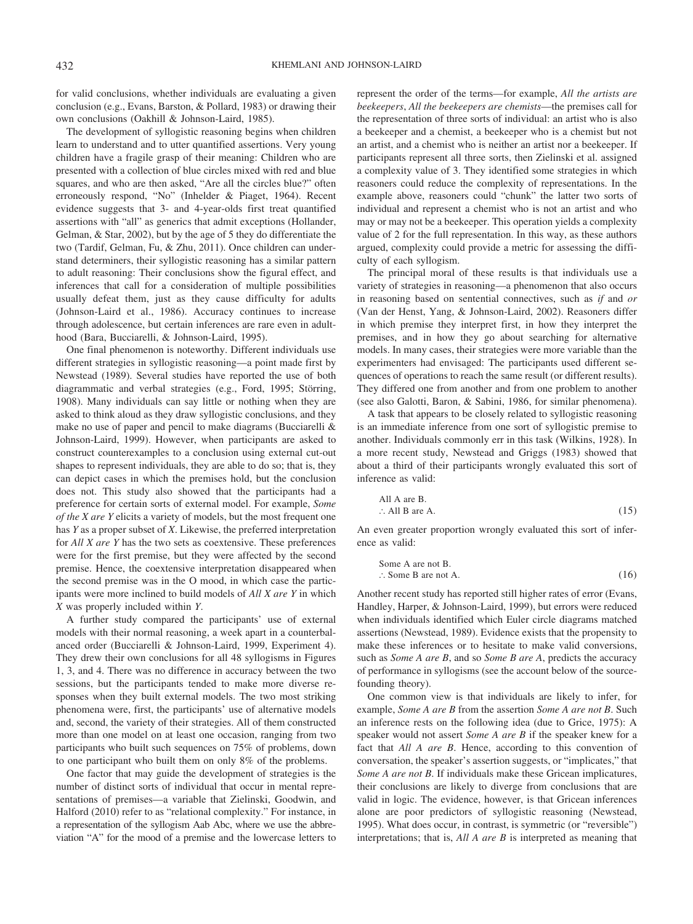for valid conclusions, whether individuals are evaluating a given conclusion (e.g., Evans, Barston, & Pollard, 1983) or drawing their own conclusions (Oakhill & Johnson-Laird, 1985).

The development of syllogistic reasoning begins when children learn to understand and to utter quantified assertions. Very young children have a fragile grasp of their meaning: Children who are presented with a collection of blue circles mixed with red and blue squares, and who are then asked, "Are all the circles blue?" often erroneously respond, "No" (Inhelder & Piaget, 1964). Recent evidence suggests that 3- and 4-year-olds first treat quantified assertions with "all" as generics that admit exceptions (Hollander, Gelman, & Star, 2002), but by the age of 5 they do differentiate the two (Tardif, Gelman, Fu, & Zhu, 2011). Once children can understand determiners, their syllogistic reasoning has a similar pattern to adult reasoning: Their conclusions show the figural effect, and inferences that call for a consideration of multiple possibilities usually defeat them, just as they cause difficulty for adults (Johnson-Laird et al., 1986). Accuracy continues to increase through adolescence, but certain inferences are rare even in adulthood (Bara, Bucciarelli, & Johnson-Laird, 1995).

One final phenomenon is noteworthy. Different individuals use different strategies in syllogistic reasoning—a point made first by Newstead (1989). Several studies have reported the use of both diagrammatic and verbal strategies (e.g., Ford, 1995; Störring, 1908). Many individuals can say little or nothing when they are asked to think aloud as they draw syllogistic conclusions, and they make no use of paper and pencil to make diagrams (Bucciarelli & Johnson-Laird, 1999). However, when participants are asked to construct counterexamples to a conclusion using external cut-out shapes to represent individuals, they are able to do so; that is, they can depict cases in which the premises hold, but the conclusion does not. This study also showed that the participants had a preference for certain sorts of external model. For example, *Some of the X are Y* elicits a variety of models, but the most frequent one has *Y* as a proper subset of *X*. Likewise, the preferred interpretation for *All X are Y* has the two sets as coextensive. These preferences were for the first premise, but they were affected by the second premise. Hence, the coextensive interpretation disappeared when the second premise was in the O mood, in which case the participants were more inclined to build models of *All X are Y* in which *X* was properly included within *Y*.

A further study compared the participants' use of external models with their normal reasoning, a week apart in a counterbalanced order (Bucciarelli & Johnson-Laird, 1999, Experiment 4). They drew their own conclusions for all 48 syllogisms in Figures 1, 3, and 4. There was no difference in accuracy between the two sessions, but the participants tended to make more diverse responses when they built external models. The two most striking phenomena were, first, the participants' use of alternative models and, second, the variety of their strategies. All of them constructed more than one model on at least one occasion, ranging from two participants who built such sequences on 75% of problems, down to one participant who built them on only 8% of the problems.

One factor that may guide the development of strategies is the number of distinct sorts of individual that occur in mental representations of premises—a variable that Zielinski, Goodwin, and Halford (2010) refer to as "relational complexity." For instance, in a representation of the syllogism Aab Abc, where we use the abbreviation "A" for the mood of a premise and the lowercase letters to represent the order of the terms—for example, *All the artists are beekeepers*, *All the beekeepers are chemists*—the premises call for the representation of three sorts of individual: an artist who is also a beekeeper and a chemist, a beekeeper who is a chemist but not an artist, and a chemist who is neither an artist nor a beekeeper. If participants represent all three sorts, then Zielinski et al. assigned a complexity value of 3. They identified some strategies in which reasoners could reduce the complexity of representations. In the example above, reasoners could "chunk" the latter two sorts of individual and represent a chemist who is not an artist and who may or may not be a beekeeper. This operation yields a complexity value of 2 for the full representation. In this way, as these authors argued, complexity could provide a metric for assessing the difficulty of each syllogism.

The principal moral of these results is that individuals use a variety of strategies in reasoning—a phenomenon that also occurs in reasoning based on sentential connectives, such as *if* and *or* (Van der Henst, Yang, & Johnson-Laird, 2002). Reasoners differ in which premise they interpret first, in how they interpret the premises, and in how they go about searching for alternative models. In many cases, their strategies were more variable than the experimenters had envisaged: The participants used different sequences of operations to reach the same result (or different results). They differed one from another and from one problem to another (see also Galotti, Baron, & Sabini, 1986, for similar phenomena).

A task that appears to be closely related to syllogistic reasoning is an immediate inference from one sort of syllogistic premise to another. Individuals commonly err in this task (Wilkins, 1928). In a more recent study, Newstead and Griggs (1983) showed that about a third of their participants wrongly evaluated this sort of inference as valid:

All A are B.  
\n
$$
\therefore
$$
 All B are A. (15)

An even greater proportion wrongly evaluated this sort of inference as valid:

Some A are not B.  
\n
$$
\therefore \text{ Some B are not A.} \tag{16}
$$

Another recent study has reported still higher rates of error (Evans, Handley, Harper, & Johnson-Laird, 1999), but errors were reduced when individuals identified which Euler circle diagrams matched assertions (Newstead, 1989). Evidence exists that the propensity to make these inferences or to hesitate to make valid conversions, such as *Some A are B*, and so *Some B are A*, predicts the accuracy of performance in syllogisms (see the account below of the sourcefounding theory).

One common view is that individuals are likely to infer, for example, *Some A are B* from the assertion *Some A are not B*. Such an inference rests on the following idea (due to Grice, 1975): A speaker would not assert *Some A are B* if the speaker knew for a fact that *All A are B*. Hence, according to this convention of conversation, the speaker's assertion suggests, or "implicates," that *Some A are not B*. If individuals make these Gricean implicatures, their conclusions are likely to diverge from conclusions that are valid in logic. The evidence, however, is that Gricean inferences alone are poor predictors of syllogistic reasoning (Newstead, 1995). What does occur, in contrast, is symmetric (or "reversible") interpretations; that is, *All A are B* is interpreted as meaning that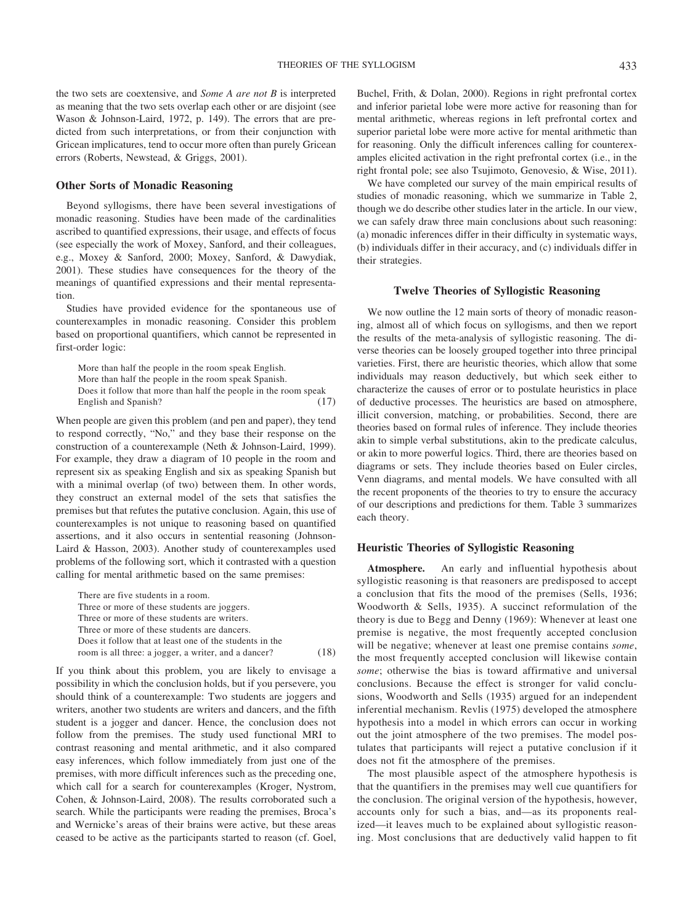the two sets are coextensive, and *Some A are not B* is interpreted as meaning that the two sets overlap each other or are disjoint (see Wason & Johnson-Laird, 1972, p. 149). The errors that are predicted from such interpretations, or from their conjunction with Gricean implicatures, tend to occur more often than purely Gricean errors (Roberts, Newstead, & Griggs, 2001).

### **Other Sorts of Monadic Reasoning**

Beyond syllogisms, there have been several investigations of monadic reasoning. Studies have been made of the cardinalities ascribed to quantified expressions, their usage, and effects of focus (see especially the work of Moxey, Sanford, and their colleagues, e.g., Moxey & Sanford, 2000; Moxey, Sanford, & Dawydiak, 2001). These studies have consequences for the theory of the meanings of quantified expressions and their mental representation.

Studies have provided evidence for the spontaneous use of counterexamples in monadic reasoning. Consider this problem based on proportional quantifiers, which cannot be represented in first-order logic:

More than half the people in the room speak English. More than half the people in the room speak Spanish. Does it follow that more than half the people in the room speak English and Spanish? (17)

When people are given this problem (and pen and paper), they tend to respond correctly, "No," and they base their response on the construction of a counterexample (Neth & Johnson-Laird, 1999). For example, they draw a diagram of 10 people in the room and represent six as speaking English and six as speaking Spanish but with a minimal overlap (of two) between them. In other words, they construct an external model of the sets that satisfies the premises but that refutes the putative conclusion. Again, this use of counterexamples is not unique to reasoning based on quantified assertions, and it also occurs in sentential reasoning (Johnson-Laird & Hasson, 2003). Another study of counterexamples used problems of the following sort, which it contrasted with a question calling for mental arithmetic based on the same premises:

There are five students in a room. Three or more of these students are joggers. Three or more of these students are writers. Three or more of these students are dancers. Does it follow that at least one of the students in the room is all three: a jogger, a writer, and a dancer? (18)

If you think about this problem, you are likely to envisage a possibility in which the conclusion holds, but if you persevere, you should think of a counterexample: Two students are joggers and writers, another two students are writers and dancers, and the fifth student is a jogger and dancer. Hence, the conclusion does not follow from the premises. The study used functional MRI to contrast reasoning and mental arithmetic, and it also compared easy inferences, which follow immediately from just one of the premises, with more difficult inferences such as the preceding one, which call for a search for counterexamples (Kroger, Nystrom, Cohen, & Johnson-Laird, 2008). The results corroborated such a search. While the participants were reading the premises, Broca's and Wernicke's areas of their brains were active, but these areas ceased to be active as the participants started to reason (cf. Goel, Buchel, Frith, & Dolan, 2000). Regions in right prefrontal cortex and inferior parietal lobe were more active for reasoning than for mental arithmetic, whereas regions in left prefrontal cortex and superior parietal lobe were more active for mental arithmetic than for reasoning. Only the difficult inferences calling for counterexamples elicited activation in the right prefrontal cortex (i.e., in the right frontal pole; see also Tsujimoto, Genovesio, & Wise, 2011).

We have completed our survey of the main empirical results of studies of monadic reasoning, which we summarize in Table 2, though we do describe other studies later in the article. In our view, we can safely draw three main conclusions about such reasoning: (a) monadic inferences differ in their difficulty in systematic ways, (b) individuals differ in their accuracy, and (c) individuals differ in their strategies.

### **Twelve Theories of Syllogistic Reasoning**

We now outline the 12 main sorts of theory of monadic reasoning, almost all of which focus on syllogisms, and then we report the results of the meta-analysis of syllogistic reasoning. The diverse theories can be loosely grouped together into three principal varieties. First, there are heuristic theories, which allow that some individuals may reason deductively, but which seek either to characterize the causes of error or to postulate heuristics in place of deductive processes. The heuristics are based on atmosphere, illicit conversion, matching, or probabilities. Second, there are theories based on formal rules of inference. They include theories akin to simple verbal substitutions, akin to the predicate calculus, or akin to more powerful logics. Third, there are theories based on diagrams or sets. They include theories based on Euler circles, Venn diagrams, and mental models. We have consulted with all the recent proponents of the theories to try to ensure the accuracy of our descriptions and predictions for them. Table 3 summarizes each theory.

## **Heuristic Theories of Syllogistic Reasoning**

**Atmosphere.** An early and influential hypothesis about syllogistic reasoning is that reasoners are predisposed to accept a conclusion that fits the mood of the premises (Sells, 1936; Woodworth & Sells, 1935). A succinct reformulation of the theory is due to Begg and Denny (1969): Whenever at least one premise is negative, the most frequently accepted conclusion will be negative; whenever at least one premise contains *some*, the most frequently accepted conclusion will likewise contain *some*; otherwise the bias is toward affirmative and universal conclusions. Because the effect is stronger for valid conclusions, Woodworth and Sells (1935) argued for an independent inferential mechanism. Revlis (1975) developed the atmosphere hypothesis into a model in which errors can occur in working out the joint atmosphere of the two premises. The model postulates that participants will reject a putative conclusion if it does not fit the atmosphere of the premises.

The most plausible aspect of the atmosphere hypothesis is that the quantifiers in the premises may well cue quantifiers for the conclusion. The original version of the hypothesis, however, accounts only for such a bias, and—as its proponents realized—it leaves much to be explained about syllogistic reasoning. Most conclusions that are deductively valid happen to fit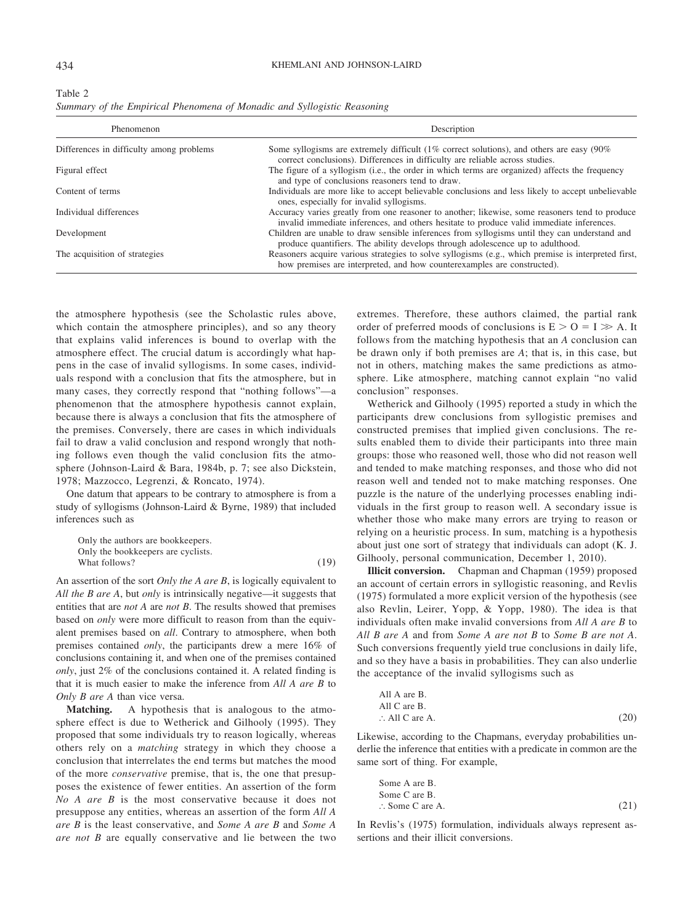| Table 2 |                                                                         |
|---------|-------------------------------------------------------------------------|
|         | Summary of the Empirical Phenomena of Monadic and Syllogistic Reasoning |

| Phenomenon                               | Description                                                                                                                                                                                |
|------------------------------------------|--------------------------------------------------------------------------------------------------------------------------------------------------------------------------------------------|
| Differences in difficulty among problems | Some syllogisms are extremely difficult (1% correct solutions), and others are easy (90%<br>correct conclusions). Differences in difficulty are reliable across studies.                   |
| Figural effect                           | The figure of a syllogism (i.e., the order in which terms are organized) affects the frequency<br>and type of conclusions reasoners tend to draw.                                          |
| Content of terms                         | Individuals are more like to accept believable conclusions and less likely to accept unbelievable<br>ones, especially for invalid syllogisms.                                              |
| Individual differences                   | Accuracy varies greatly from one reasoner to another; likewise, some reasoners tend to produce<br>invalid immediate inferences, and others hesitate to produce valid immediate inferences. |
| Development                              | Children are unable to draw sensible inferences from syllogisms until they can understand and<br>produce quantifiers. The ability develops through adolescence up to adulthood.            |
| The acquisition of strategies            | Reasoners acquire various strategies to solve syllogisms (e.g., which premise is interpreted first,<br>how premises are interpreted, and how counterexamples are constructed).             |

the atmosphere hypothesis (see the Scholastic rules above, which contain the atmosphere principles), and so any theory that explains valid inferences is bound to overlap with the atmosphere effect. The crucial datum is accordingly what happens in the case of invalid syllogisms. In some cases, individuals respond with a conclusion that fits the atmosphere, but in many cases, they correctly respond that "nothing follows"—a phenomenon that the atmosphere hypothesis cannot explain, because there is always a conclusion that fits the atmosphere of the premises. Conversely, there are cases in which individuals fail to draw a valid conclusion and respond wrongly that nothing follows even though the valid conclusion fits the atmosphere (Johnson-Laird & Bara, 1984b, p. 7; see also Dickstein, 1978; Mazzocco, Legrenzi, & Roncato, 1974).

One datum that appears to be contrary to atmosphere is from a study of syllogisms (Johnson-Laird & Byrne, 1989) that included inferences such as

| Only the authors are bookkeepers.  |      |
|------------------------------------|------|
| Only the bookkeepers are cyclists. |      |
| What follows?                      | (19) |

An assertion of the sort *Only the A are B*, is logically equivalent to *All the B are A*, but *only* is intrinsically negative—it suggests that entities that are *not A* are *not B*. The results showed that premises based on *only* were more difficult to reason from than the equivalent premises based on *all*. Contrary to atmosphere, when both premises contained *only*, the participants drew a mere 16% of conclusions containing it, and when one of the premises contained *only*, just 2% of the conclusions contained it. A related finding is that it is much easier to make the inference from *All A are B* to *Only B are A* than vice versa.

**Matching.** A hypothesis that is analogous to the atmosphere effect is due to Wetherick and Gilhooly (1995). They proposed that some individuals try to reason logically, whereas others rely on a *matching* strategy in which they choose a conclusion that interrelates the end terms but matches the mood of the more *conservative* premise, that is, the one that presupposes the existence of fewer entities. An assertion of the form *No A are B* is the most conservative because it does not presuppose any entities, whereas an assertion of the form *All A are B* is the least conservative, and *Some A are B* and *Some A are not B* are equally conservative and lie between the two extremes. Therefore, these authors claimed, the partial rank order of preferred moods of conclusions is  $E > 0 = I \gg A$ . It follows from the matching hypothesis that an *A* conclusion can be drawn only if both premises are *A*; that is, in this case, but not in others, matching makes the same predictions as atmosphere. Like atmosphere, matching cannot explain "no valid conclusion" responses.

Wetherick and Gilhooly (1995) reported a study in which the participants drew conclusions from syllogistic premises and constructed premises that implied given conclusions. The results enabled them to divide their participants into three main groups: those who reasoned well, those who did not reason well and tended to make matching responses, and those who did not reason well and tended not to make matching responses. One puzzle is the nature of the underlying processes enabling individuals in the first group to reason well. A secondary issue is whether those who make many errors are trying to reason or relying on a heuristic process. In sum, matching is a hypothesis about just one sort of strategy that individuals can adopt (K. J. Gilhooly, personal communication, December 1, 2010).

**Illicit conversion.** Chapman and Chapman (1959) proposed an account of certain errors in syllogistic reasoning, and Revlis (1975) formulated a more explicit version of the hypothesis (see also Revlin, Leirer, Yopp, & Yopp, 1980). The idea is that individuals often make invalid conversions from *All A are B* to *All B are A* and from *Some A are not B* to *Some B are not A*. Such conversions frequently yield true conclusions in daily life, and so they have a basis in probabilities. They can also underlie the acceptance of the invalid syllogisms such as

All A are B.  
All C are B.  

$$
\therefore
$$
 All C are A. (20)

Likewise, according to the Chapmans, everyday probabilities underlie the inference that entities with a predicate in common are the same sort of thing. For example,

Some A are B.  
Some C are B.  

$$
\therefore
$$
 Some C are A. (21)

In Revlis's (1975) formulation, individuals always represent assertions and their illicit conversions.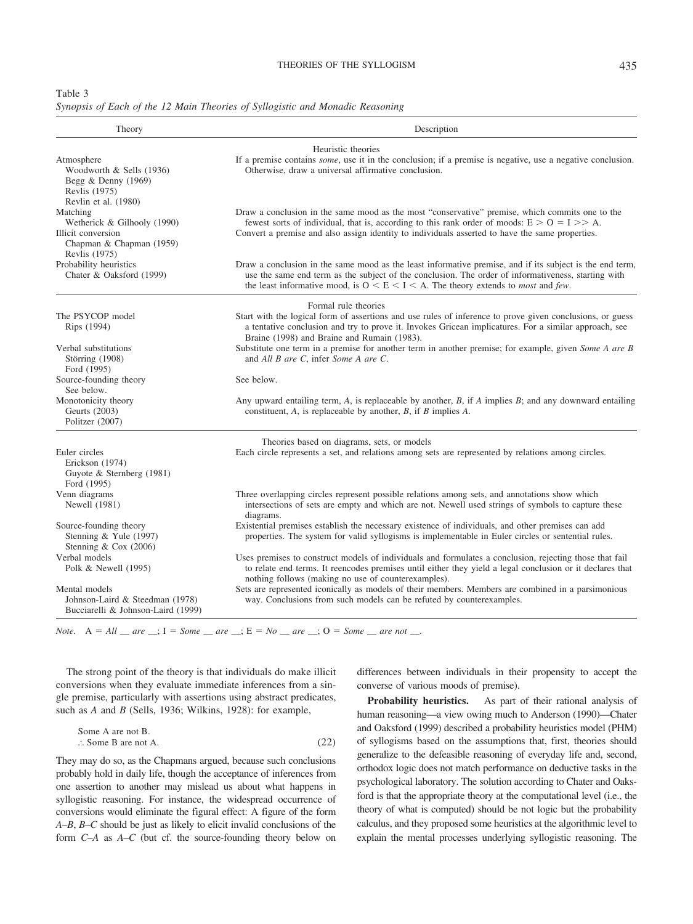Table 3

|  |  |  |  |  |  |  |  |  |  |  |  |  | Synopsis of Each of the 12 Main Theories of Syllogistic and Monadic Reasoning |  |  |
|--|--|--|--|--|--|--|--|--|--|--|--|--|-------------------------------------------------------------------------------|--|--|
|--|--|--|--|--|--|--|--|--|--|--|--|--|-------------------------------------------------------------------------------|--|--|

| Description                                                                                                                                                                                                                                                                                                                  |  |  |  |  |  |
|------------------------------------------------------------------------------------------------------------------------------------------------------------------------------------------------------------------------------------------------------------------------------------------------------------------------------|--|--|--|--|--|
| Heuristic theories                                                                                                                                                                                                                                                                                                           |  |  |  |  |  |
| If a premise contains some, use it in the conclusion; if a premise is negative, use a negative conclusion.<br>Otherwise, draw a universal affirmative conclusion.                                                                                                                                                            |  |  |  |  |  |
| Draw a conclusion in the same mood as the most "conservative" premise, which commits one to the<br>fewest sorts of individual, that is, according to this rank order of moods: $E > 0 = I >> A$ .<br>Convert a premise and also assign identity to individuals asserted to have the same properties.                         |  |  |  |  |  |
| Draw a conclusion in the same mood as the least informative premise, and if its subject is the end term,<br>use the same end term as the subject of the conclusion. The order of informativeness, starting with<br>the least informative mood, is $0 \le E \le I \le A$ . The theory extends to <i>most</i> and <i>few</i> . |  |  |  |  |  |
| Formal rule theories                                                                                                                                                                                                                                                                                                         |  |  |  |  |  |
| Start with the logical form of assertions and use rules of inference to prove given conclusions, or guess<br>a tentative conclusion and try to prove it. Invokes Gricean implicatures. For a similar approach, see<br>Braine (1998) and Braine and Rumain (1983).                                                            |  |  |  |  |  |
| Substitute one term in a premise for another term in another premise; for example, given Some A are B<br>and All B are C, infer Some A are C.                                                                                                                                                                                |  |  |  |  |  |
| See below.                                                                                                                                                                                                                                                                                                                   |  |  |  |  |  |
| Any upward entailing term, $A$ , is replaceable by another, $B$ , if $A$ implies $B$ ; and any downward entailing<br>constituent, A, is replaceable by another, B, if $B$ implies $A$ .                                                                                                                                      |  |  |  |  |  |
| Theories based on diagrams, sets, or models                                                                                                                                                                                                                                                                                  |  |  |  |  |  |
| Each circle represents a set, and relations among sets are represented by relations among circles.                                                                                                                                                                                                                           |  |  |  |  |  |
| Three overlapping circles represent possible relations among sets, and annotations show which<br>intersections of sets are empty and which are not. Newell used strings of symbols to capture these<br>diagrams.                                                                                                             |  |  |  |  |  |
| Existential premises establish the necessary existence of individuals, and other premises can add<br>properties. The system for valid syllogisms is implementable in Euler circles or sentential rules.                                                                                                                      |  |  |  |  |  |
| Uses premises to construct models of individuals and formulates a conclusion, rejecting those that fail<br>to relate end terms. It reencodes premises until either they yield a legal conclusion or it declares that<br>nothing follows (making no use of counterexamples).                                                  |  |  |  |  |  |
| Sets are represented iconically as models of their members. Members are combined in a parsimonious<br>way. Conclusions from such models can be refuted by counterexamples.                                                                                                                                                   |  |  |  |  |  |
|                                                                                                                                                                                                                                                                                                                              |  |  |  |  |  |

The strong point of the theory is that individuals do make illicit conversions when they evaluate immediate inferences from a single premise, particularly with assertions using abstract predicates, such as *A* and *B* (Sells, 1936; Wilkins, 1928): for example,

| Some A are not B.              |      |
|--------------------------------|------|
| $\therefore$ Some B are not A. | (22) |

They may do so, as the Chapmans argued, because such conclusions probably hold in daily life, though the acceptance of inferences from one assertion to another may mislead us about what happens in syllogistic reasoning. For instance, the widespread occurrence of conversions would eliminate the figural effect: A figure of the form *A–B*, *B–C* should be just as likely to elicit invalid conclusions of the form *C–A* as *A–C* (but cf. the source-founding theory below on differences between individuals in their propensity to accept the converse of various moods of premise).

**Probability heuristics.** As part of their rational analysis of human reasoning—a view owing much to Anderson (1990)—Chater and Oaksford (1999) described a probability heuristics model (PHM) of syllogisms based on the assumptions that, first, theories should generalize to the defeasible reasoning of everyday life and, second, orthodox logic does not match performance on deductive tasks in the psychological laboratory. The solution according to Chater and Oaksford is that the appropriate theory at the computational level (i.e., the theory of what is computed) should be not logic but the probability calculus, and they proposed some heuristics at the algorithmic level to explain the mental processes underlying syllogistic reasoning. The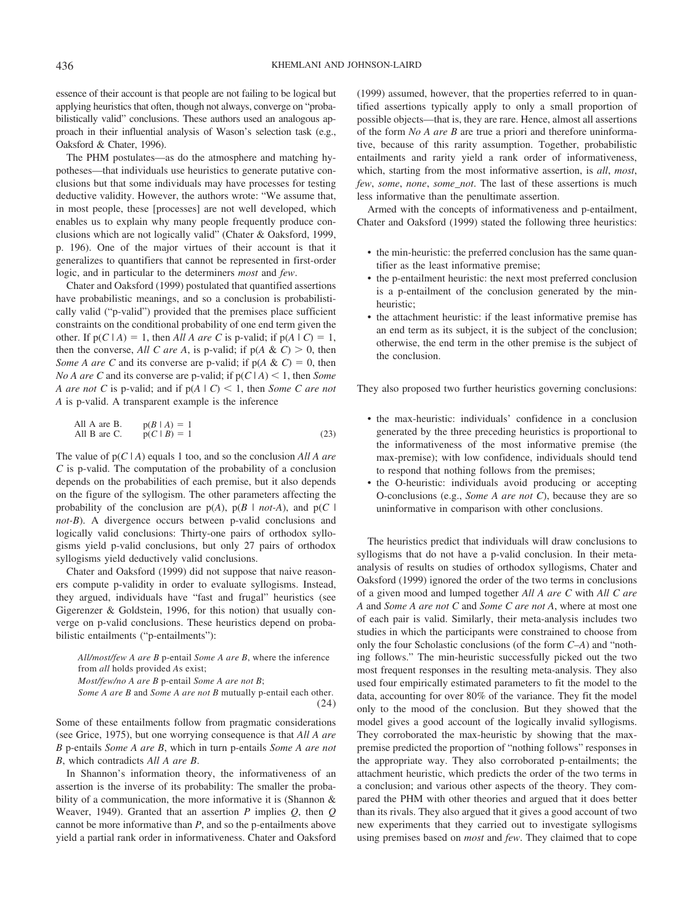essence of their account is that people are not failing to be logical but applying heuristics that often, though not always, converge on "probabilistically valid" conclusions. These authors used an analogous approach in their influential analysis of Wason's selection task (e.g., Oaksford & Chater, 1996).

The PHM postulates—as do the atmosphere and matching hypotheses—that individuals use heuristics to generate putative conclusions but that some individuals may have processes for testing deductive validity. However, the authors wrote: "We assume that, in most people, these [processes] are not well developed, which enables us to explain why many people frequently produce conclusions which are not logically valid" (Chater & Oaksford, 1999, p. 196). One of the major virtues of their account is that it generalizes to quantifiers that cannot be represented in first-order logic, and in particular to the determiners *most* and *few*.

Chater and Oaksford (1999) postulated that quantified assertions have probabilistic meanings, and so a conclusion is probabilistically valid ("p-valid") provided that the premises place sufficient constraints on the conditional probability of one end term given the other. If  $p(C | A) = 1$ , then *All A are C* is p-valid; if  $p(A | C) = 1$ , then the converse, *All C are A*, is p-valid; if  $p(A \& C) > 0$ , then *Some A are C* and its converse are p-valid; if  $p(A \& C) = 0$ , then *No A are C* and its converse are p-valid; if  $p(C | A) \le 1$ , then *Some A are not C* is p-valid; and if  $p(A | C) < 1$ , then *Some C are not A* is p-valid. A transparent example is the inference

All A are B. 
$$
p(B \mid A) = 1
$$
  
All B are C.  $p(C \mid B) = 1$  (23)

The value of p(*C* | *A*) equals 1 too, and so the conclusion *All A are C* is p-valid. The computation of the probability of a conclusion depends on the probabilities of each premise, but it also depends on the figure of the syllogism. The other parameters affecting the probability of the conclusion are  $p(A)$ ,  $p(B \mid not-A)$ , and  $p(C \mid$ *not-B*). A divergence occurs between p-valid conclusions and logically valid conclusions: Thirty-one pairs of orthodox syllogisms yield p-valid conclusions, but only 27 pairs of orthodox syllogisms yield deductively valid conclusions.

Chater and Oaksford (1999) did not suppose that naive reasoners compute p-validity in order to evaluate syllogisms. Instead, they argued, individuals have "fast and frugal" heuristics (see Gigerenzer & Goldstein, 1996, for this notion) that usually converge on p-valid conclusions. These heuristics depend on probabilistic entailments ("p-entailments"):

*All/most/few A are B* p-entail *Some A are B*, where the inference from *all* holds provided *A*s exist; *Most/few/no A are B* p-entail *Some A are not B*; *Some A are B* and *Some A are not B* mutually p-entail each other. (24)

Some of these entailments follow from pragmatic considerations (see Grice, 1975), but one worrying consequence is that *All A are B* p-entails *Some A are B*, which in turn p-entails *Some A are not B*, which contradicts *All A are B*.

In Shannon's information theory, the informativeness of an assertion is the inverse of its probability: The smaller the probability of a communication, the more informative it is (Shannon & Weaver, 1949). Granted that an assertion *P* implies *Q*, then *Q* cannot be more informative than *P*, and so the p-entailments above yield a partial rank order in informativeness. Chater and Oaksford (1999) assumed, however, that the properties referred to in quantified assertions typically apply to only a small proportion of possible objects—that is, they are rare. Hence, almost all assertions of the form *No A are B* are true a priori and therefore uninformative, because of this rarity assumption. Together, probabilistic entailments and rarity yield a rank order of informativeness, which, starting from the most informative assertion, is *all*, *most*, *few*, *some*, *none*, *some\_not*. The last of these assertions is much less informative than the penultimate assertion.

Armed with the concepts of informativeness and p-entailment, Chater and Oaksford (1999) stated the following three heuristics:

- the min-heuristic: the preferred conclusion has the same quantifier as the least informative premise;
- the p-entailment heuristic: the next most preferred conclusion is a p-entailment of the conclusion generated by the minheuristic;
- the attachment heuristic: if the least informative premise has an end term as its subject, it is the subject of the conclusion; otherwise, the end term in the other premise is the subject of the conclusion.

They also proposed two further heuristics governing conclusions:

- the max-heuristic: individuals' confidence in a conclusion generated by the three preceding heuristics is proportional to the informativeness of the most informative premise (the max-premise); with low confidence, individuals should tend to respond that nothing follows from the premises;
- the O-heuristic: individuals avoid producing or accepting O-conclusions (e.g., *Some A are not C*), because they are so uninformative in comparison with other conclusions.

The heuristics predict that individuals will draw conclusions to syllogisms that do not have a p-valid conclusion. In their metaanalysis of results on studies of orthodox syllogisms, Chater and Oaksford (1999) ignored the order of the two terms in conclusions of a given mood and lumped together *All A are C* with *All C are A* and *Some A are not C* and *Some C are not A*, where at most one of each pair is valid. Similarly, their meta-analysis includes two studies in which the participants were constrained to choose from only the four Scholastic conclusions (of the form *C–A*) and "nothing follows." The min-heuristic successfully picked out the two most frequent responses in the resulting meta-analysis. They also used four empirically estimated parameters to fit the model to the data, accounting for over 80% of the variance. They fit the model only to the mood of the conclusion. But they showed that the model gives a good account of the logically invalid syllogisms. They corroborated the max-heuristic by showing that the maxpremise predicted the proportion of "nothing follows" responses in the appropriate way. They also corroborated p-entailments; the attachment heuristic, which predicts the order of the two terms in a conclusion; and various other aspects of the theory. They compared the PHM with other theories and argued that it does better than its rivals. They also argued that it gives a good account of two new experiments that they carried out to investigate syllogisms using premises based on *most* and *few*. They claimed that to cope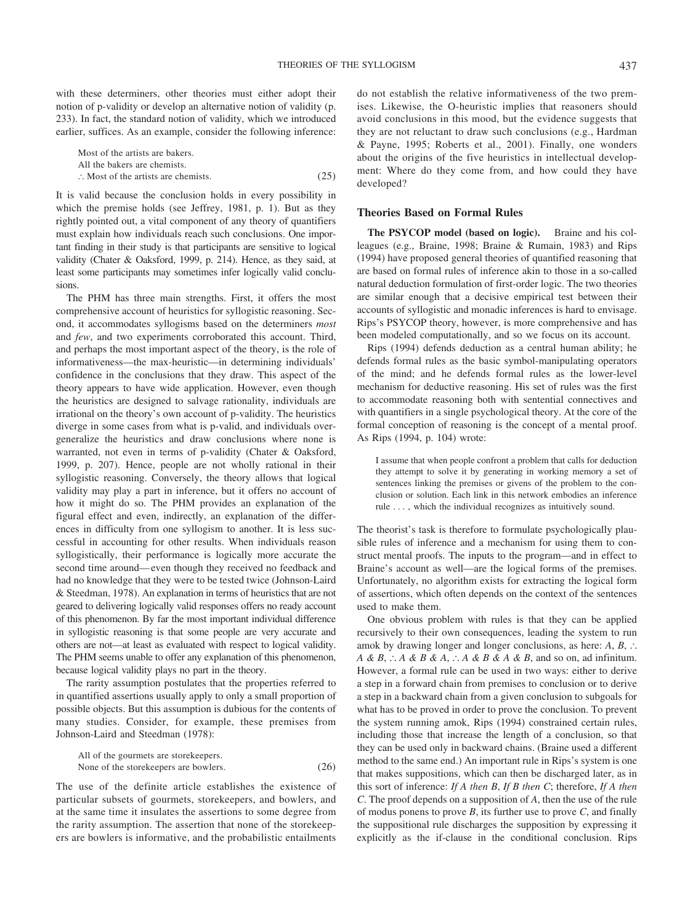with these determiners, other theories must either adopt their notion of p-validity or develop an alternative notion of validity (p. 233). In fact, the standard notion of validity, which we introduced earlier, suffices. As an example, consider the following inference:

Most of the artists are bakers. All the bakers are chemists. 
$$
\therefore
$$
 Most of the artists are chemists.  $(25)$ 

It is valid because the conclusion holds in every possibility in which the premise holds (see Jeffrey, 1981, p. 1). But as they rightly pointed out, a vital component of any theory of quantifiers must explain how individuals reach such conclusions. One important finding in their study is that participants are sensitive to logical validity (Chater & Oaksford, 1999, p. 214). Hence, as they said, at least some participants may sometimes infer logically valid conclusions.

The PHM has three main strengths. First, it offers the most comprehensive account of heuristics for syllogistic reasoning. Second, it accommodates syllogisms based on the determiners *most* and *few*, and two experiments corroborated this account. Third, and perhaps the most important aspect of the theory, is the role of informativeness—the max-heuristic—in determining individuals' confidence in the conclusions that they draw. This aspect of the theory appears to have wide application. However, even though the heuristics are designed to salvage rationality, individuals are irrational on the theory's own account of p-validity. The heuristics diverge in some cases from what is p-valid, and individuals overgeneralize the heuristics and draw conclusions where none is warranted, not even in terms of p-validity (Chater & Oaksford, 1999, p. 207). Hence, people are not wholly rational in their syllogistic reasoning. Conversely, the theory allows that logical validity may play a part in inference, but it offers no account of how it might do so. The PHM provides an explanation of the figural effect and even, indirectly, an explanation of the differences in difficulty from one syllogism to another. It is less successful in accounting for other results. When individuals reason syllogistically, their performance is logically more accurate the second time around—even though they received no feedback and had no knowledge that they were to be tested twice (Johnson-Laird & Steedman, 1978). An explanation in terms of heuristics that are not geared to delivering logically valid responses offers no ready account of this phenomenon. By far the most important individual difference in syllogistic reasoning is that some people are very accurate and others are not—at least as evaluated with respect to logical validity. The PHM seems unable to offer any explanation of this phenomenon, because logical validity plays no part in the theory.

The rarity assumption postulates that the properties referred to in quantified assertions usually apply to only a small proportion of possible objects. But this assumption is dubious for the contents of many studies. Consider, for example, these premises from Johnson-Laird and Steedman (1978):

All of the gournals are storekeepers. 
$$
(26)
$$
 None of the storekeepers are bowlers.

The use of the definite article establishes the existence of particular subsets of gourmets, storekeepers, and bowlers, and at the same time it insulates the assertions to some degree from the rarity assumption. The assertion that none of the storekeepers are bowlers is informative, and the probabilistic entailments

do not establish the relative informativeness of the two premises. Likewise, the O-heuristic implies that reasoners should avoid conclusions in this mood, but the evidence suggests that they are not reluctant to draw such conclusions (e.g., Hardman & Payne, 1995; Roberts et al., 2001). Finally, one wonders about the origins of the five heuristics in intellectual development: Where do they come from, and how could they have developed?

## **Theories Based on Formal Rules**

**The PSYCOP model (based on logic).** Braine and his colleagues (e.g., Braine, 1998; Braine & Rumain, 1983) and Rips (1994) have proposed general theories of quantified reasoning that are based on formal rules of inference akin to those in a so-called natural deduction formulation of first-order logic. The two theories are similar enough that a decisive empirical test between their accounts of syllogistic and monadic inferences is hard to envisage. Rips's PSYCOP theory, however, is more comprehensive and has been modeled computationally, and so we focus on its account.

Rips (1994) defends deduction as a central human ability; he defends formal rules as the basic symbol-manipulating operators of the mind; and he defends formal rules as the lower-level mechanism for deductive reasoning. His set of rules was the first to accommodate reasoning both with sentential connectives and with quantifiers in a single psychological theory. At the core of the formal conception of reasoning is the concept of a mental proof. As Rips (1994, p. 104) wrote:

I assume that when people confront a problem that calls for deduction they attempt to solve it by generating in working memory a set of sentences linking the premises or givens of the problem to the conclusion or solution. Each link in this network embodies an inference rule . . . , which the individual recognizes as intuitively sound.

The theorist's task is therefore to formulate psychologically plausible rules of inference and a mechanism for using them to construct mental proofs. The inputs to the program—and in effect to Braine's account as well—are the logical forms of the premises. Unfortunately, no algorithm exists for extracting the logical form of assertions, which often depends on the context of the sentences used to make them.

One obvious problem with rules is that they can be applied recursively to their own consequences, leading the system to run amok by drawing longer and longer conclusions, as here: *A*, *B*, *A & B*, *∴ A & B & A*, *∴ A & B & A & B*, and so on, ad infinitum. However, a formal rule can be used in two ways: either to derive a step in a forward chain from premises to conclusion or to derive a step in a backward chain from a given conclusion to subgoals for what has to be proved in order to prove the conclusion. To prevent the system running amok, Rips (1994) constrained certain rules, including those that increase the length of a conclusion, so that they can be used only in backward chains. (Braine used a different method to the same end.) An important rule in Rips's system is one that makes suppositions, which can then be discharged later, as in this sort of inference: *If A then B*, *If B then C*; therefore, *If A then C*. The proof depends on a supposition of *A*, then the use of the rule of modus ponens to prove *B*, its further use to prove *C*, and finally the suppositional rule discharges the supposition by expressing it explicitly as the if-clause in the conditional conclusion. Rips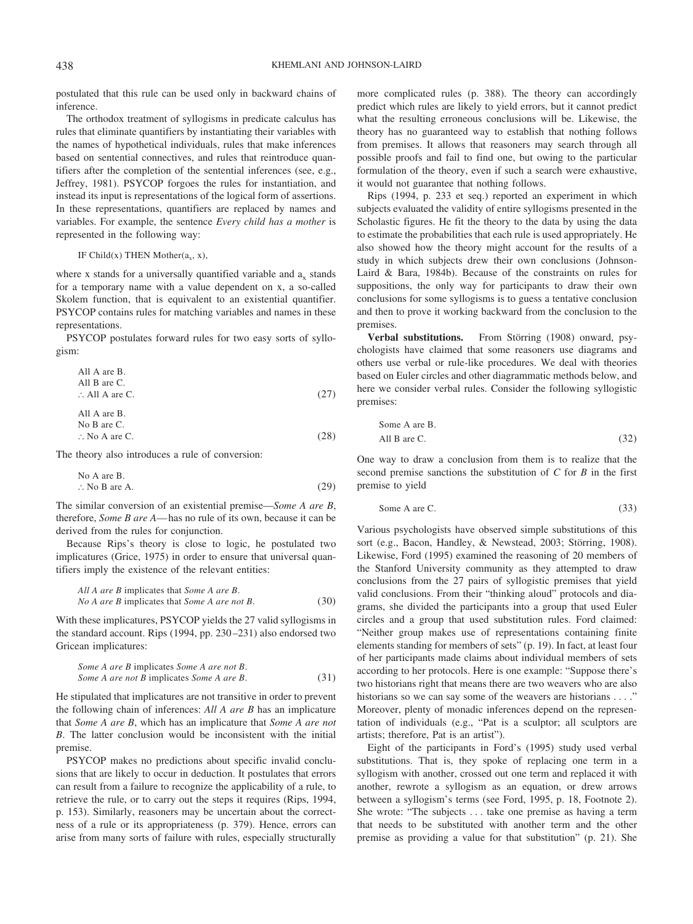postulated that this rule can be used only in backward chains of inference.

The orthodox treatment of syllogisms in predicate calculus has rules that eliminate quantifiers by instantiating their variables with the names of hypothetical individuals, rules that make inferences based on sentential connectives, and rules that reintroduce quantifiers after the completion of the sentential inferences (see, e.g., Jeffrey, 1981). PSYCOP forgoes the rules for instantiation, and instead its input is representations of the logical form of assertions. In these representations, quantifiers are replaced by names and variables. For example, the sentence *Every child has a mother* is represented in the following way:

### IF Child(x) THEN Mother $(a_x, x)$ ,

where x stands for a universally quantified variable and  $a_x$  stands for a temporary name with a value dependent on x, a so-called Skolem function, that is equivalent to an existential quantifier. PSYCOP contains rules for matching variables and names in these representations.

PSYCOP postulates forward rules for two easy sorts of syllogism:

All A are B. All B are C. All A are C. (27) All A are B. No B are C. No A are C. (28)

The theory also introduces a rule of conversion:

No A are B.  
\n
$$
\therefore \text{ No B are A.}
$$
\n(29)

The similar conversion of an existential premise—*Some A are B*, therefore, *Some B are A*—has no rule of its own, because it can be derived from the rules for conjunction.

Because Rips's theory is close to logic, he postulated two implicatures (Grice, 1975) in order to ensure that universal quantifiers imply the existence of the relevant entities:

*All A are B* implicates that *Some A are B*. *No A are B* implicates that *Some A are not B*. (30)

With these implicatures, PSYCOP yields the 27 valid syllogisms in the standard account. Rips (1994, pp. 230–231) also endorsed two Gricean implicatures:

*Some A are B* implicates *Some A are not B*. *Some A are not B* implicates *Some A are B*. (31)

He stipulated that implicatures are not transitive in order to prevent the following chain of inferences: *All A are B* has an implicature that *Some A are B*, which has an implicature that *Some A are not B*. The latter conclusion would be inconsistent with the initial premise.

PSYCOP makes no predictions about specific invalid conclusions that are likely to occur in deduction. It postulates that errors can result from a failure to recognize the applicability of a rule, to retrieve the rule, or to carry out the steps it requires (Rips, 1994, p. 153). Similarly, reasoners may be uncertain about the correctness of a rule or its appropriateness (p. 379). Hence, errors can arise from many sorts of failure with rules, especially structurally

more complicated rules (p. 388). The theory can accordingly predict which rules are likely to yield errors, but it cannot predict what the resulting erroneous conclusions will be. Likewise, the theory has no guaranteed way to establish that nothing follows from premises. It allows that reasoners may search through all possible proofs and fail to find one, but owing to the particular formulation of the theory, even if such a search were exhaustive, it would not guarantee that nothing follows.

Rips (1994, p. 233 et seq.) reported an experiment in which subjects evaluated the validity of entire syllogisms presented in the Scholastic figures. He fit the theory to the data by using the data to estimate the probabilities that each rule is used appropriately. He also showed how the theory might account for the results of a study in which subjects drew their own conclusions (Johnson-Laird & Bara, 1984b). Because of the constraints on rules for suppositions, the only way for participants to draw their own conclusions for some syllogisms is to guess a tentative conclusion and then to prove it working backward from the conclusion to the premises.

**Verbal substitutions.** From Störring (1908) onward, psychologists have claimed that some reasoners use diagrams and others use verbal or rule-like procedures. We deal with theories based on Euler circles and other diagrammatic methods below, and here we consider verbal rules. Consider the following syllogistic premises:

Some A are B.

\nAll B are C.

\n
$$
(32)
$$

One way to draw a conclusion from them is to realize that the second premise sanctions the substitution of *C* for *B* in the first premise to yield

Some A are C. 
$$
(33)
$$

Various psychologists have observed simple substitutions of this sort (e.g., Bacon, Handley, & Newstead, 2003; Störring, 1908). Likewise, Ford (1995) examined the reasoning of 20 members of the Stanford University community as they attempted to draw conclusions from the 27 pairs of syllogistic premises that yield valid conclusions. From their "thinking aloud" protocols and diagrams, she divided the participants into a group that used Euler circles and a group that used substitution rules. Ford claimed: "Neither group makes use of representations containing finite elements standing for members of sets" (p. 19). In fact, at least four of her participants made claims about individual members of sets according to her protocols. Here is one example: "Suppose there's two historians right that means there are two weavers who are also historians so we can say some of the weavers are historians . . . ." Moreover, plenty of monadic inferences depend on the representation of individuals (e.g., "Pat is a sculptor; all sculptors are artists; therefore, Pat is an artist").

Eight of the participants in Ford's (1995) study used verbal substitutions. That is, they spoke of replacing one term in a syllogism with another, crossed out one term and replaced it with another, rewrote a syllogism as an equation, or drew arrows between a syllogism's terms (see Ford, 1995, p. 18, Footnote 2). She wrote: "The subjects . . . take one premise as having a term that needs to be substituted with another term and the other premise as providing a value for that substitution" (p. 21). She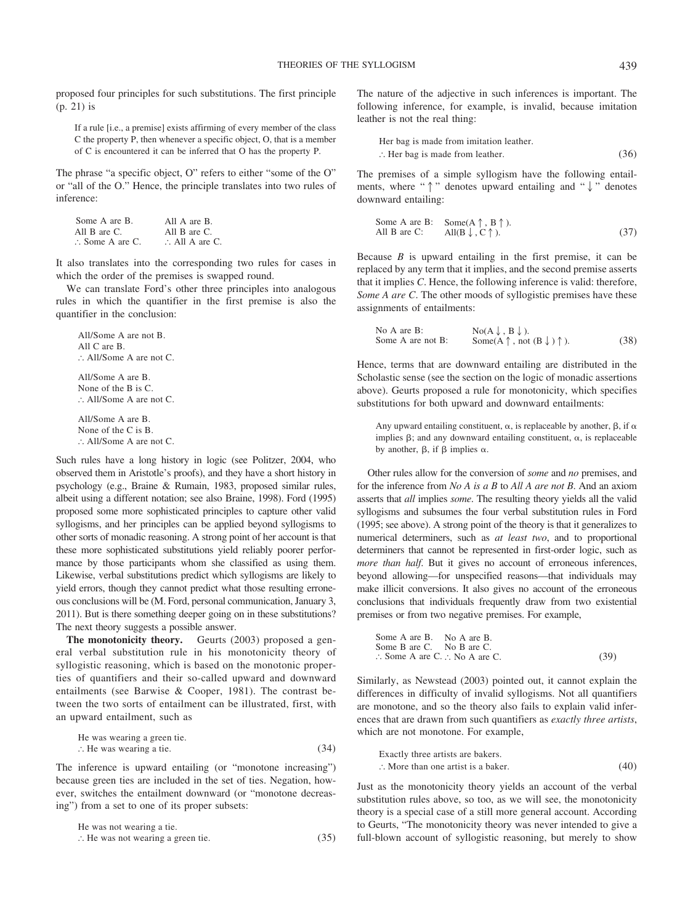proposed four principles for such substitutions. The first principle (p. 21) is

If a rule [i.e., a premise] exists affirming of every member of the class C the property P, then whenever a specific object, O, that is a member of C is encountered it can be inferred that O has the property P.

The phrase "a specific object, O" refers to either "some of the O" or "all of the O." Hence, the principle translates into two rules of inference:

| Some A are B.              | All A are B.              |
|----------------------------|---------------------------|
| All $B$ are $C$ .          | All $B$ are $C$ .         |
| $\therefore$ Some A are C. | $\therefore$ All A are C. |

It also translates into the corresponding two rules for cases in which the order of the premises is swapped round.

We can translate Ford's other three principles into analogous rules in which the quantifier in the first premise is also the quantifier in the conclusion:

```
All/Some A are not B.
All C are B.
 All/Some A are not C.
All/Some A are B.
None of the B is C.
 All/Some A are not C.
All/Some A are B.
None of the C is B.
```
All/Some A are not C.

Such rules have a long history in logic (see Politzer, 2004, who observed them in Aristotle's proofs), and they have a short history in psychology (e.g., Braine & Rumain, 1983, proposed similar rules, albeit using a different notation; see also Braine, 1998). Ford (1995) proposed some more sophisticated principles to capture other valid syllogisms, and her principles can be applied beyond syllogisms to other sorts of monadic reasoning. A strong point of her account is that these more sophisticated substitutions yield reliably poorer performance by those participants whom she classified as using them. Likewise, verbal substitutions predict which syllogisms are likely to yield errors, though they cannot predict what those resulting erroneous conclusions will be (M. Ford, personal communication, January 3, 2011). But is there something deeper going on in these substitutions? The next theory suggests a possible answer.

**The monotonicity theory.** Geurts (2003) proposed a general verbal substitution rule in his monotonicity theory of syllogistic reasoning, which is based on the monotonic properties of quantifiers and their so-called upward and downward entailments (see Barwise & Cooper, 1981). The contrast between the two sorts of entailment can be illustrated, first, with an upward entailment, such as

He was wearing a green tie.  
\n
$$
\therefore
$$
 He was wearing a tie. (34)

The inference is upward entailing (or "monotone increasing") because green ties are included in the set of ties. Negation, however, switches the entailment downward (or "monotone decreasing") from a set to one of its proper subsets:

He was not wearing a tie.

```
\therefore He was not wearing a green tie. (35)
```
The nature of the adjective in such inferences is important. The following inference, for example, is invalid, because imitation leather is not the real thing:

Here bag is made from imitation leather. 
$$
\therefore
$$
 Her bag is made from leather. (36)

The premises of a simple syllogism have the following entailments, where " $\uparrow$ " denotes upward entailing and " $\downarrow$ " denotes downward entailing:

Some A are B: Some(A 
$$
\uparrow
$$
, B  $\uparrow$ ).  
All B are C: All(B  $\downarrow$ , C  $\uparrow$ ). (37)

Because *B* is upward entailing in the first premise, it can be replaced by any term that it implies, and the second premise asserts that it implies *C*. Hence, the following inference is valid: therefore, *Some A are C*. The other moods of syllogistic premises have these assignments of entailments:

No A are B:  
Some A are not B:  
 
$$
No(A \downarrow, B \downarrow)
$$
.  
 Some A are not B:  
  $Some(A \uparrow, not (B \downarrow) \uparrow)$ . (38)

Hence, terms that are downward entailing are distributed in the Scholastic sense (see the section on the logic of monadic assertions above). Geurts proposed a rule for monotonicity, which specifies substitutions for both upward and downward entailments:

Any upward entailing constituent,  $\alpha$ , is replaceable by another,  $\beta$ , if  $\alpha$ implies  $\beta$ ; and any downward entailing constituent,  $\alpha$ , is replaceable by another,  $\beta$ , if  $\beta$  implies  $\alpha$ .

Other rules allow for the conversion of *some* and *no* premises, and for the inference from *No A is a B* to *All A are not B*. And an axiom asserts that *all* implies *some*. The resulting theory yields all the valid syllogisms and subsumes the four verbal substitution rules in Ford (1995; see above). A strong point of the theory is that it generalizes to numerical determiners, such as *at least two*, and to proportional determiners that cannot be represented in first-order logic, such as *more than half*. But it gives no account of erroneous inferences, beyond allowing—for unspecified reasons—that individuals may make illicit conversions. It also gives no account of the erroneous conclusions that individuals frequently draw from two existential premises or from two negative premises. For example,

Some A are B. No A are B. Some B are C. No B are C. Some A are C. No A are C. (39)

Similarly, as Newstead (2003) pointed out, it cannot explain the differences in difficulty of invalid syllogisms. Not all quantifiers are monotone, and so the theory also fails to explain valid inferences that are drawn from such quantifiers as *exactly three artists*, which are not monotone. For example,

Exactly three artists are bakers. More than one artist is a baker. (40)

Just as the monotonicity theory yields an account of the verbal substitution rules above, so too, as we will see, the monotonicity theory is a special case of a still more general account. According to Geurts, "The monotonicity theory was never intended to give a full-blown account of syllogistic reasoning, but merely to show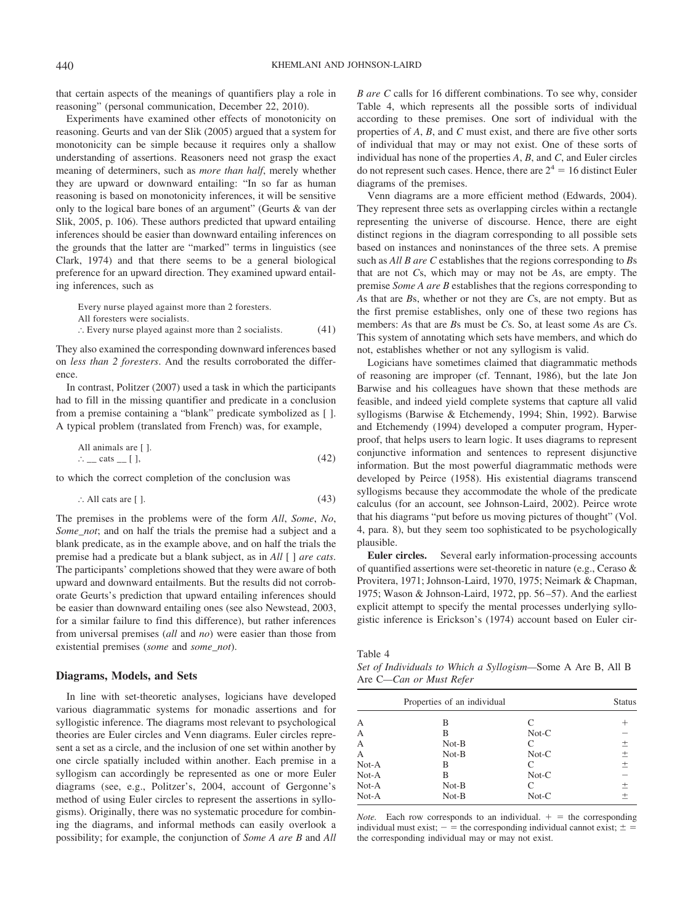that certain aspects of the meanings of quantifiers play a role in reasoning" (personal communication, December 22, 2010).

Experiments have examined other effects of monotonicity on reasoning. Geurts and van der Slik (2005) argued that a system for monotonicity can be simple because it requires only a shallow understanding of assertions. Reasoners need not grasp the exact meaning of determiners, such as *more than half*, merely whether they are upward or downward entailing: "In so far as human reasoning is based on monotonicity inferences, it will be sensitive only to the logical bare bones of an argument" (Geurts & van der Slik, 2005, p. 106). These authors predicted that upward entailing inferences should be easier than downward entailing inferences on the grounds that the latter are "marked" terms in linguistics (see Clark, 1974) and that there seems to be a general biological preference for an upward direction. They examined upward entailing inferences, such as

Every nurse played against more than 2 forests. All forests were socialists. 
$$
\therefore
$$
 Every nurse played against more than 2 socialists. (41)

They also examined the corresponding downward inferences based on *less than 2 foresters*. And the results corroborated the difference.

In contrast, Politzer (2007) used a task in which the participants had to fill in the missing quantifier and predicate in a conclusion from a premise containing a "blank" predicate symbolized as [ ]. A typical problem (translated from French) was, for example,

All animals are [ ].  
\n
$$
\therefore
$$
 \_ cats \_ [ ], (42)

to which the correct completion of the conclusion was

$$
\therefore \text{ All cats are } [ ]. \tag{43}
$$

The premises in the problems were of the form *All*, *Some*, *No*, *Some\_not*; and on half the trials the premise had a subject and a blank predicate, as in the example above, and on half the trials the premise had a predicate but a blank subject, as in *All* [ ] *are cats*. The participants' completions showed that they were aware of both upward and downward entailments. But the results did not corroborate Geurts's prediction that upward entailing inferences should be easier than downward entailing ones (see also Newstead, 2003, for a similar failure to find this difference), but rather inferences from universal premises (*all* and *no*) were easier than those from existential premises (*some* and *some\_not*).

#### **Diagrams, Models, and Sets**

In line with set-theoretic analyses, logicians have developed various diagrammatic systems for monadic assertions and for syllogistic inference. The diagrams most relevant to psychological theories are Euler circles and Venn diagrams. Euler circles represent a set as a circle, and the inclusion of one set within another by one circle spatially included within another. Each premise in a syllogism can accordingly be represented as one or more Euler diagrams (see, e.g., Politzer's, 2004, account of Gergonne's method of using Euler circles to represent the assertions in syllogisms). Originally, there was no systematic procedure for combining the diagrams, and informal methods can easily overlook a possibility; for example, the conjunction of *Some A are B* and *All* *B are C* calls for 16 different combinations. To see why, consider Table 4, which represents all the possible sorts of individual according to these premises. One sort of individual with the properties of *A*, *B*, and *C* must exist, and there are five other sorts of individual that may or may not exist. One of these sorts of individual has none of the properties *A*, *B*, and *C*, and Euler circles do not represent such cases. Hence, there are  $2^4 = 16$  distinct Euler diagrams of the premises.

Venn diagrams are a more efficient method (Edwards, 2004). They represent three sets as overlapping circles within a rectangle representing the universe of discourse. Hence, there are eight distinct regions in the diagram corresponding to all possible sets based on instances and noninstances of the three sets. A premise such as *All B are C* establishes that the regions corresponding to *B*s that are not *C*s, which may or may not be *A*s, are empty. The premise *Some A are B* establishes that the regions corresponding to *A*s that are *B*s, whether or not they are *C*s, are not empty. But as the first premise establishes, only one of these two regions has members: *A*s that are *B*s must be *C*s. So, at least some *A*s are *C*s. This system of annotating which sets have members, and which do not, establishes whether or not any syllogism is valid.

Logicians have sometimes claimed that diagrammatic methods of reasoning are improper (cf. Tennant, 1986), but the late Jon Barwise and his colleagues have shown that these methods are feasible, and indeed yield complete systems that capture all valid syllogisms (Barwise & Etchemendy, 1994; Shin, 1992). Barwise and Etchemendy (1994) developed a computer program, Hyperproof, that helps users to learn logic. It uses diagrams to represent conjunctive information and sentences to represent disjunctive information. But the most powerful diagrammatic methods were developed by Peirce (1958). His existential diagrams transcend syllogisms because they accommodate the whole of the predicate calculus (for an account, see Johnson-Laird, 2002). Peirce wrote that his diagrams "put before us moving pictures of thought" (Vol. 4, para. 8), but they seem too sophisticated to be psychologically plausible.

**Euler circles.** Several early information-processing accounts of quantified assertions were set-theoretic in nature (e.g., Ceraso & Provitera, 1971; Johnson-Laird, 1970, 1975; Neimark & Chapman, 1975; Wason & Johnson-Laird, 1972, pp. 56–57). And the earliest explicit attempt to specify the mental processes underlying syllogistic inference is Erickson's (1974) account based on Euler cir-

Table 4

*Set of Individuals to Which a Syllogism—*Some A Are B, All B Are C*—Can or Must Refer*

|                | Properties of an individual |         | <b>Status</b> |
|----------------|-----------------------------|---------|---------------|
| $\mathbf{A}$   | В                           | C       |               |
| $\overline{A}$ | В                           | $Not-C$ |               |
| $\overline{A}$ | $Not-B$                     | C       | $\pm$         |
| A              | $Not-B$                     | $Not-C$ | $\pm$         |
| $Not-A$        | В                           | C       | $\pm$         |
| $Not-A$        | B                           | $Not-C$ |               |
| $Not-A$        | $Not-B$                     | C       | $\pm$         |
| $Not-A$        | $Not-B$                     | $Not-C$ | $\pm$         |

*Note.* Each row corresponds to an individual.  $+$  = the corresponding individual must exist;  $-$  = the corresponding individual cannot exist;  $\pm$  = the corresponding individual may or may not exist.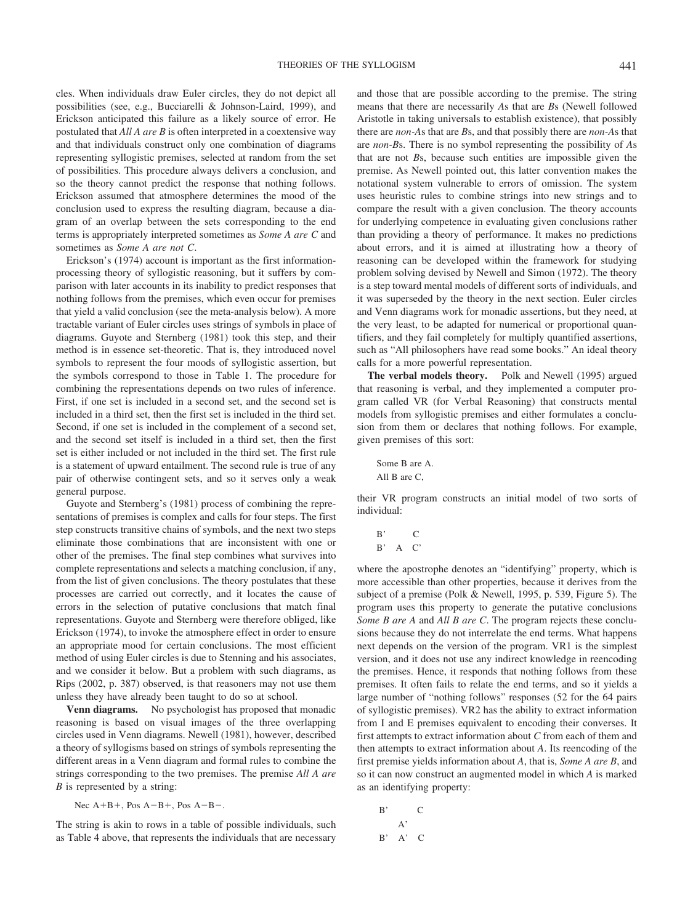cles. When individuals draw Euler circles, they do not depict all possibilities (see, e.g., Bucciarelli & Johnson-Laird, 1999), and Erickson anticipated this failure as a likely source of error. He postulated that *All A are B* is often interpreted in a coextensive way and that individuals construct only one combination of diagrams representing syllogistic premises, selected at random from the set of possibilities. This procedure always delivers a conclusion, and so the theory cannot predict the response that nothing follows. Erickson assumed that atmosphere determines the mood of the conclusion used to express the resulting diagram, because a diagram of an overlap between the sets corresponding to the end terms is appropriately interpreted sometimes as *Some A are C* and sometimes as *Some A are not C*.

Erickson's (1974) account is important as the first informationprocessing theory of syllogistic reasoning, but it suffers by comparison with later accounts in its inability to predict responses that nothing follows from the premises, which even occur for premises that yield a valid conclusion (see the meta-analysis below). A more tractable variant of Euler circles uses strings of symbols in place of diagrams. Guyote and Sternberg (1981) took this step, and their method is in essence set-theoretic. That is, they introduced novel symbols to represent the four moods of syllogistic assertion, but the symbols correspond to those in Table 1. The procedure for combining the representations depends on two rules of inference. First, if one set is included in a second set, and the second set is included in a third set, then the first set is included in the third set. Second, if one set is included in the complement of a second set, and the second set itself is included in a third set, then the first set is either included or not included in the third set. The first rule is a statement of upward entailment. The second rule is true of any pair of otherwise contingent sets, and so it serves only a weak general purpose.

Guyote and Sternberg's (1981) process of combining the representations of premises is complex and calls for four steps. The first step constructs transitive chains of symbols, and the next two steps eliminate those combinations that are inconsistent with one or other of the premises. The final step combines what survives into complete representations and selects a matching conclusion, if any, from the list of given conclusions. The theory postulates that these processes are carried out correctly, and it locates the cause of errors in the selection of putative conclusions that match final representations. Guyote and Sternberg were therefore obliged, like Erickson (1974), to invoke the atmosphere effect in order to ensure an appropriate mood for certain conclusions. The most efficient method of using Euler circles is due to Stenning and his associates, and we consider it below. But a problem with such diagrams, as Rips (2002, p. 387) observed, is that reasoners may not use them unless they have already been taught to do so at school.

**Venn diagrams.** No psychologist has proposed that monadic reasoning is based on visual images of the three overlapping circles used in Venn diagrams. Newell (1981), however, described a theory of syllogisms based on strings of symbols representing the different areas in a Venn diagram and formal rules to combine the strings corresponding to the two premises. The premise *All A are B* is represented by a string:

$$
Nec A+B+, Pos A-B+, Pos A-B-.
$$

The string is akin to rows in a table of possible individuals, such as Table 4 above, that represents the individuals that are necessary

and those that are possible according to the premise. The string means that there are necessarily *A*s that are *B*s (Newell followed Aristotle in taking universals to establish existence), that possibly there are *non-A*s that are *B*s, and that possibly there are *non-A*s that are *non-B*s. There is no symbol representing the possibility of *A*s that are not *B*s, because such entities are impossible given the premise. As Newell pointed out, this latter convention makes the notational system vulnerable to errors of omission. The system uses heuristic rules to combine strings into new strings and to compare the result with a given conclusion. The theory accounts for underlying competence in evaluating given conclusions rather than providing a theory of performance. It makes no predictions about errors, and it is aimed at illustrating how a theory of reasoning can be developed within the framework for studying problem solving devised by Newell and Simon (1972). The theory is a step toward mental models of different sorts of individuals, and it was superseded by the theory in the next section. Euler circles and Venn diagrams work for monadic assertions, but they need, at the very least, to be adapted for numerical or proportional quantifiers, and they fail completely for multiply quantified assertions, such as "All philosophers have read some books." An ideal theory calls for a more powerful representation.

**The verbal models theory.** Polk and Newell (1995) argued that reasoning is verbal, and they implemented a computer program called VR (for Verbal Reasoning) that constructs mental models from syllogistic premises and either formulates a conclusion from them or declares that nothing follows. For example, given premises of this sort:

```
Some B are A.
All B are C,
```
their VR program constructs an initial model of two sorts of individual:

$$
\begin{array}{ccc}\nB' & C \\
B' & A & C'\n\end{array}
$$

where the apostrophe denotes an "identifying" property, which is more accessible than other properties, because it derives from the subject of a premise (Polk & Newell, 1995, p. 539, Figure 5). The program uses this property to generate the putative conclusions *Some B are A* and *All B are C*. The program rejects these conclusions because they do not interrelate the end terms. What happens next depends on the version of the program. VR1 is the simplest version, and it does not use any indirect knowledge in reencoding the premises. Hence, it responds that nothing follows from these premises. It often fails to relate the end terms, and so it yields a large number of "nothing follows" responses (52 for the 64 pairs of syllogistic premises). VR2 has the ability to extract information from I and E premises equivalent to encoding their converses. It first attempts to extract information about *C* from each of them and then attempts to extract information about *A*. Its reencoding of the first premise yields information about *A*, that is, *Some A are B*, and so it can now construct an augmented model in which *A* is marked as an identifying property:

B' 
$$
A'
$$
  $B'$   $A'$   $C$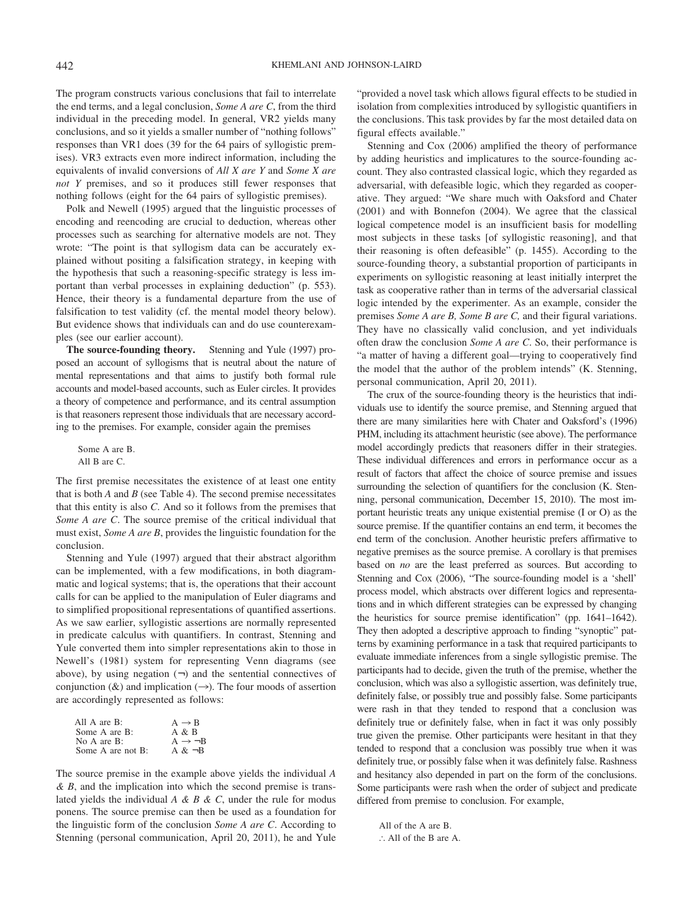The program constructs various conclusions that fail to interrelate the end terms, and a legal conclusion, *Some A are C*, from the third individual in the preceding model. In general, VR2 yields many conclusions, and so it yields a smaller number of "nothing follows" responses than VR1 does (39 for the 64 pairs of syllogistic premises). VR3 extracts even more indirect information, including the equivalents of invalid conversions of *All X are Y* and *Some X are not Y* premises, and so it produces still fewer responses that nothing follows (eight for the 64 pairs of syllogistic premises).

Polk and Newell (1995) argued that the linguistic processes of encoding and reencoding are crucial to deduction, whereas other processes such as searching for alternative models are not. They wrote: "The point is that syllogism data can be accurately explained without positing a falsification strategy, in keeping with the hypothesis that such a reasoning-specific strategy is less important than verbal processes in explaining deduction" (p. 553). Hence, their theory is a fundamental departure from the use of falsification to test validity (cf. the mental model theory below). But evidence shows that individuals can and do use counterexamples (see our earlier account).

**The source-founding theory.** Stenning and Yule (1997) proposed an account of syllogisms that is neutral about the nature of mental representations and that aims to justify both formal rule accounts and model-based accounts, such as Euler circles. It provides a theory of competence and performance, and its central assumption is that reasoners represent those individuals that are necessary according to the premises. For example, consider again the premises

Some A are B. All B are C.

The first premise necessitates the existence of at least one entity that is both *A* and *B* (see Table 4). The second premise necessitates that this entity is also *C*. And so it follows from the premises that *Some A are C*. The source premise of the critical individual that must exist, *Some A are B*, provides the linguistic foundation for the conclusion.

Stenning and Yule (1997) argued that their abstract algorithm can be implemented, with a few modifications, in both diagrammatic and logical systems; that is, the operations that their account calls for can be applied to the manipulation of Euler diagrams and to simplified propositional representations of quantified assertions. As we saw earlier, syllogistic assertions are normally represented in predicate calculus with quantifiers. In contrast, Stenning and Yule converted them into simpler representations akin to those in Newell's (1981) system for representing Venn diagrams (see above), by using negation  $(\neg)$  and the sentential connectives of conjunction ( $\&$ ) and implication ( $\rightarrow$ ). The four moods of assertion are accordingly represented as follows:

| All A are $B$ :   | $A \rightarrow B$  |
|-------------------|--------------------|
| Some A are B:     | A $&B$             |
| No A are B:       | $A \rightarrow -B$ |
| Some A are not B: | A $& \neg B$       |

The source premise in the example above yields the individual *A & B*, and the implication into which the second premise is translated yields the individual *A&B&C*, under the rule for modus ponens. The source premise can then be used as a foundation for the linguistic form of the conclusion *Some A are C*. According to Stenning (personal communication, April 20, 2011), he and Yule

"provided a novel task which allows figural effects to be studied in isolation from complexities introduced by syllogistic quantifiers in the conclusions. This task provides by far the most detailed data on figural effects available."

Stenning and Cox (2006) amplified the theory of performance by adding heuristics and implicatures to the source-founding account. They also contrasted classical logic, which they regarded as adversarial, with defeasible logic, which they regarded as cooperative. They argued: "We share much with Oaksford and Chater (2001) and with Bonnefon (2004). We agree that the classical logical competence model is an insufficient basis for modelling most subjects in these tasks [of syllogistic reasoning], and that their reasoning is often defeasible" (p. 1455). According to the source-founding theory, a substantial proportion of participants in experiments on syllogistic reasoning at least initially interpret the task as cooperative rather than in terms of the adversarial classical logic intended by the experimenter. As an example, consider the premises *Some A are B, Some B are C,* and their figural variations. They have no classically valid conclusion, and yet individuals often draw the conclusion *Some A are C*. So, their performance is "a matter of having a different goal—trying to cooperatively find the model that the author of the problem intends" (K. Stenning, personal communication, April 20, 2011).

The crux of the source-founding theory is the heuristics that individuals use to identify the source premise, and Stenning argued that there are many similarities here with Chater and Oaksford's (1996) PHM, including its attachment heuristic (see above). The performance model accordingly predicts that reasoners differ in their strategies. These individual differences and errors in performance occur as a result of factors that affect the choice of source premise and issues surrounding the selection of quantifiers for the conclusion (K. Stenning, personal communication, December 15, 2010). The most important heuristic treats any unique existential premise (I or O) as the source premise. If the quantifier contains an end term, it becomes the end term of the conclusion. Another heuristic prefers affirmative to negative premises as the source premise. A corollary is that premises based on *no* are the least preferred as sources. But according to Stenning and Cox (2006), "The source-founding model is a 'shell' process model, which abstracts over different logics and representations and in which different strategies can be expressed by changing the heuristics for source premise identification" (pp. 1641–1642). They then adopted a descriptive approach to finding "synoptic" patterns by examining performance in a task that required participants to evaluate immediate inferences from a single syllogistic premise. The participants had to decide, given the truth of the premise, whether the conclusion, which was also a syllogistic assertion, was definitely true, definitely false, or possibly true and possibly false. Some participants were rash in that they tended to respond that a conclusion was definitely true or definitely false, when in fact it was only possibly true given the premise. Other participants were hesitant in that they tended to respond that a conclusion was possibly true when it was definitely true, or possibly false when it was definitely false. Rashness and hesitancy also depended in part on the form of the conclusions. Some participants were rash when the order of subject and predicate differed from premise to conclusion. For example,

All of the A are B. All of the B are A.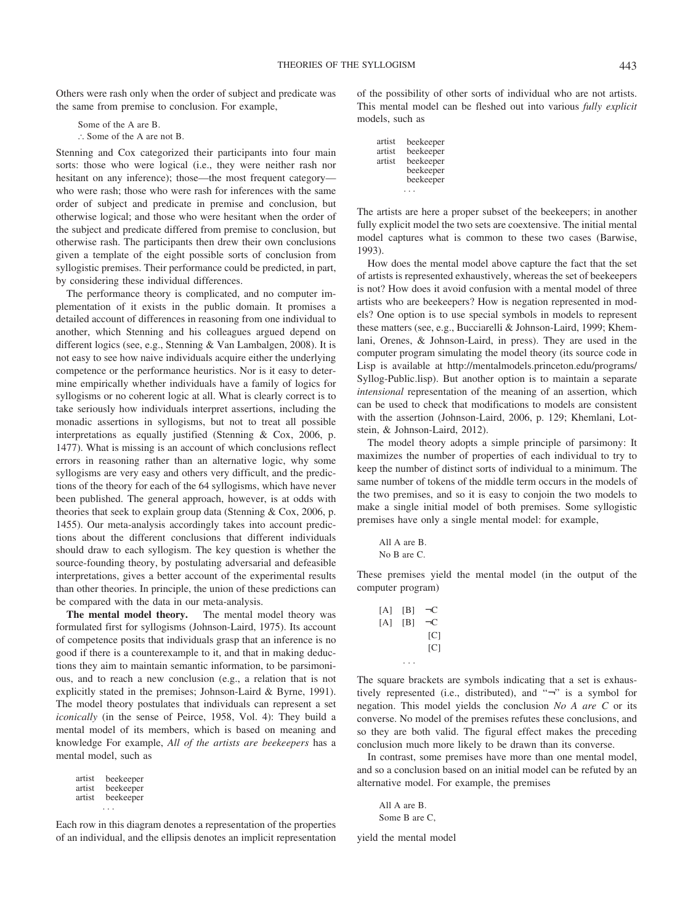Others were rash only when the order of subject and predicate was the same from premise to conclusion. For example,

Some of the A are B. : Some of the A are not B.

Stenning and Cox categorized their participants into four main sorts: those who were logical (i.e., they were neither rash nor hesitant on any inference); those—the most frequent category who were rash; those who were rash for inferences with the same order of subject and predicate in premise and conclusion, but otherwise logical; and those who were hesitant when the order of the subject and predicate differed from premise to conclusion, but otherwise rash. The participants then drew their own conclusions given a template of the eight possible sorts of conclusion from syllogistic premises. Their performance could be predicted, in part, by considering these individual differences.

The performance theory is complicated, and no computer implementation of it exists in the public domain. It promises a detailed account of differences in reasoning from one individual to another, which Stenning and his colleagues argued depend on different logics (see, e.g., Stenning & Van Lambalgen, 2008). It is not easy to see how naive individuals acquire either the underlying competence or the performance heuristics. Nor is it easy to determine empirically whether individuals have a family of logics for syllogisms or no coherent logic at all. What is clearly correct is to take seriously how individuals interpret assertions, including the monadic assertions in syllogisms, but not to treat all possible interpretations as equally justified (Stenning & Cox, 2006, p. 1477). What is missing is an account of which conclusions reflect errors in reasoning rather than an alternative logic, why some syllogisms are very easy and others very difficult, and the predictions of the theory for each of the 64 syllogisms, which have never been published. The general approach, however, is at odds with theories that seek to explain group data (Stenning & Cox, 2006, p. 1455). Our meta-analysis accordingly takes into account predictions about the different conclusions that different individuals should draw to each syllogism. The key question is whether the source-founding theory, by postulating adversarial and defeasible interpretations, gives a better account of the experimental results than other theories. In principle, the union of these predictions can be compared with the data in our meta-analysis.

**The mental model theory.** The mental model theory was formulated first for syllogisms (Johnson-Laird, 1975). Its account of competence posits that individuals grasp that an inference is no good if there is a counterexample to it, and that in making deductions they aim to maintain semantic information, to be parsimonious, and to reach a new conclusion (e.g., a relation that is not explicitly stated in the premises; Johnson-Laird & Byrne, 1991). The model theory postulates that individuals can represent a set *iconically* (in the sense of Peirce, 1958, Vol. 4): They build a mental model of its members, which is based on meaning and knowledge For example, *All of the artists are beekeepers* has a mental model, such as

artist beekeeper beekeeper artist beekeeper ...

Each row in this diagram denotes a representation of the properties of an individual, and the ellipsis denotes an implicit representation of the possibility of other sorts of individual who are not artists. This mental model can be fleshed out into various *fully explicit* models, such as

| artist | beekeeper |
|--------|-----------|
| artist | beekeeper |
| artist | beekeeper |
|        | beekeeper |
|        | beekeeper |
|        |           |

The artists are here a proper subset of the beekeepers; in another fully explicit model the two sets are coextensive. The initial mental model captures what is common to these two cases (Barwise, 1993).

How does the mental model above capture the fact that the set of artists is represented exhaustively, whereas the set of beekeepers is not? How does it avoid confusion with a mental model of three artists who are beekeepers? How is negation represented in models? One option is to use special symbols in models to represent these matters (see, e.g., Bucciarelli & Johnson-Laird, 1999; Khemlani, Orenes, & Johnson-Laird, in press). They are used in the computer program simulating the model theory (its source code in Lisp is available at http://mentalmodels.princeton.edu/programs/ Syllog-Public.lisp). But another option is to maintain a separate *intensional* representation of the meaning of an assertion, which can be used to check that modifications to models are consistent with the assertion (Johnson-Laird, 2006, p. 129; Khemlani, Lotstein, & Johnson-Laird, 2012).

The model theory adopts a simple principle of parsimony: It maximizes the number of properties of each individual to try to keep the number of distinct sorts of individual to a minimum. The same number of tokens of the middle term occurs in the models of the two premises, and so it is easy to conjoin the two models to make a single initial model of both premises. Some syllogistic premises have only a single mental model: for example,

```
All A are B.
No B are C.
```
These premises yield the mental model (in the output of the computer program)

| [A] | [B] | $\neg$ C          |
|-----|-----|-------------------|
| [A] | [B] | $\neg$ C          |
|     |     | $\lceil C \rceil$ |
|     |     | [C]               |
|     |     |                   |

The square brackets are symbols indicating that a set is exhaustively represented (i.e., distributed), and "¬" is a symbol for negation. This model yields the conclusion *No A are C* or its converse. No model of the premises refutes these conclusions, and so they are both valid. The figural effect makes the preceding conclusion much more likely to be drawn than its converse.

In contrast, some premises have more than one mental model, and so a conclusion based on an initial model can be refuted by an alternative model. For example, the premises

All A are B. Some B are C,

yield the mental model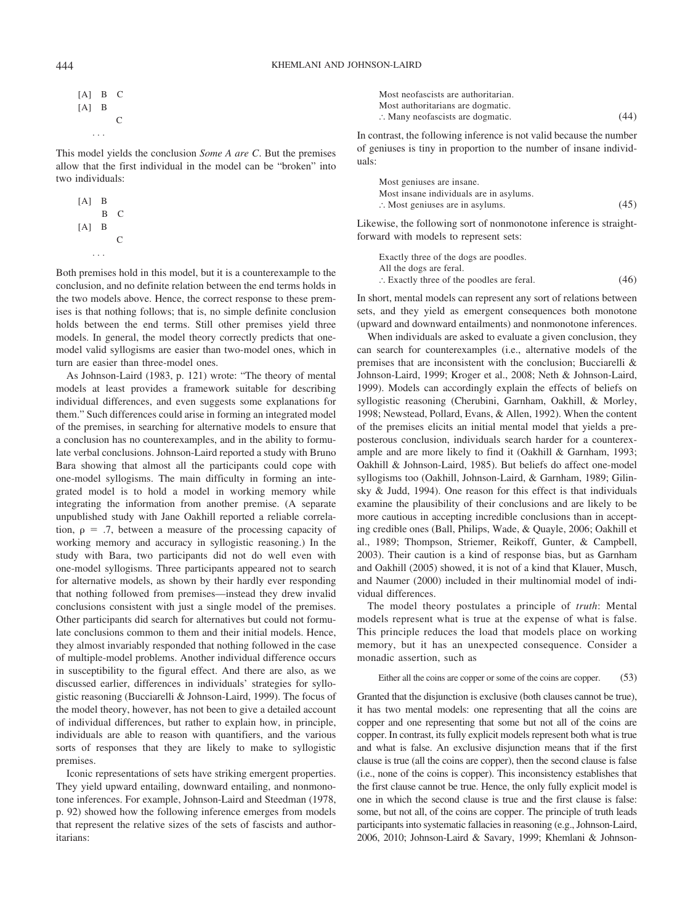[A] B C  $[A]$  B  $\mathcal{C}$ ...

This model yields the conclusion *Some A are C*. But the premises allow that the first individual in the model can be "broken" into two individuals:

[A] B  $B \cap C$  $[A]$  B C ...

Both premises hold in this model, but it is a counterexample to the conclusion, and no definite relation between the end terms holds in the two models above. Hence, the correct response to these premises is that nothing follows; that is, no simple definite conclusion holds between the end terms. Still other premises yield three models. In general, the model theory correctly predicts that onemodel valid syllogisms are easier than two-model ones, which in turn are easier than three-model ones.

As Johnson-Laird (1983, p. 121) wrote: "The theory of mental models at least provides a framework suitable for describing individual differences, and even suggests some explanations for them." Such differences could arise in forming an integrated model of the premises, in searching for alternative models to ensure that a conclusion has no counterexamples, and in the ability to formulate verbal conclusions. Johnson-Laird reported a study with Bruno Bara showing that almost all the participants could cope with one-model syllogisms. The main difficulty in forming an integrated model is to hold a model in working memory while integrating the information from another premise. (A separate unpublished study with Jane Oakhill reported a reliable correlation,  $\rho = .7$ , between a measure of the processing capacity of working memory and accuracy in syllogistic reasoning.) In the study with Bara, two participants did not do well even with one-model syllogisms. Three participants appeared not to search for alternative models, as shown by their hardly ever responding that nothing followed from premises—instead they drew invalid conclusions consistent with just a single model of the premises. Other participants did search for alternatives but could not formulate conclusions common to them and their initial models. Hence, they almost invariably responded that nothing followed in the case of multiple-model problems. Another individual difference occurs in susceptibility to the figural effect. And there are also, as we discussed earlier, differences in individuals' strategies for syllogistic reasoning (Bucciarelli & Johnson-Laird, 1999). The focus of the model theory, however, has not been to give a detailed account of individual differences, but rather to explain how, in principle, individuals are able to reason with quantifiers, and the various sorts of responses that they are likely to make to syllogistic premises.

Iconic representations of sets have striking emergent properties. They yield upward entailing, downward entailing, and nonmonotone inferences. For example, Johnson-Laird and Steedman (1978, p. 92) showed how the following inference emerges from models that represent the relative sizes of the sets of fascists and authoritarians:

| Most neofascists are authoritarian.         |      |
|---------------------------------------------|------|
| Most authoritarians are dogmatic.           |      |
| $\therefore$ Many neofascists are dogmatic. | (44) |

In contrast, the following inference is not valid because the number of geniuses is tiny in proportion to the number of insane individuals:

| Most geniuses are insane.                  |      |
|--------------------------------------------|------|
| Most insane individuals are in asylums.    |      |
| $\therefore$ Most geniuses are in asylums. | (45) |

Likewise, the following sort of nonmonotone inference is straightforward with models to represent sets:

Exactly three of the dogs are poodles. All the dogs are feral.  $\therefore$  Exactly three of the poodles are feral. (46)

In short, mental models can represent any sort of relations between sets, and they yield as emergent consequences both monotone (upward and downward entailments) and nonmonotone inferences.

When individuals are asked to evaluate a given conclusion, they can search for counterexamples (i.e., alternative models of the premises that are inconsistent with the conclusion; Bucciarelli & Johnson-Laird, 1999; Kroger et al., 2008; Neth & Johnson-Laird, 1999). Models can accordingly explain the effects of beliefs on syllogistic reasoning (Cherubini, Garnham, Oakhill, & Morley, 1998; Newstead, Pollard, Evans, & Allen, 1992). When the content of the premises elicits an initial mental model that yields a preposterous conclusion, individuals search harder for a counterexample and are more likely to find it (Oakhill & Garnham, 1993; Oakhill & Johnson-Laird, 1985). But beliefs do affect one-model syllogisms too (Oakhill, Johnson-Laird, & Garnham, 1989; Gilinsky & Judd, 1994). One reason for this effect is that individuals examine the plausibility of their conclusions and are likely to be more cautious in accepting incredible conclusions than in accepting credible ones (Ball, Philips, Wade, & Quayle, 2006; Oakhill et al., 1989; Thompson, Striemer, Reikoff, Gunter, & Campbell, 2003). Their caution is a kind of response bias, but as Garnham and Oakhill (2005) showed, it is not of a kind that Klauer, Musch, and Naumer (2000) included in their multinomial model of individual differences.

The model theory postulates a principle of *truth*: Mental models represent what is true at the expense of what is false. This principle reduces the load that models place on working memory, but it has an unexpected consequence. Consider a monadic assertion, such as

#### Either all the coins are copper or some of the coins are copper. (53)

Granted that the disjunction is exclusive (both clauses cannot be true), it has two mental models: one representing that all the coins are copper and one representing that some but not all of the coins are copper. In contrast, its fully explicit models represent both what is true and what is false. An exclusive disjunction means that if the first clause is true (all the coins are copper), then the second clause is false (i.e., none of the coins is copper). This inconsistency establishes that the first clause cannot be true. Hence, the only fully explicit model is one in which the second clause is true and the first clause is false: some, but not all, of the coins are copper. The principle of truth leads participants into systematic fallacies in reasoning (e.g., Johnson-Laird, 2006, 2010; Johnson-Laird & Savary, 1999; Khemlani & Johnson-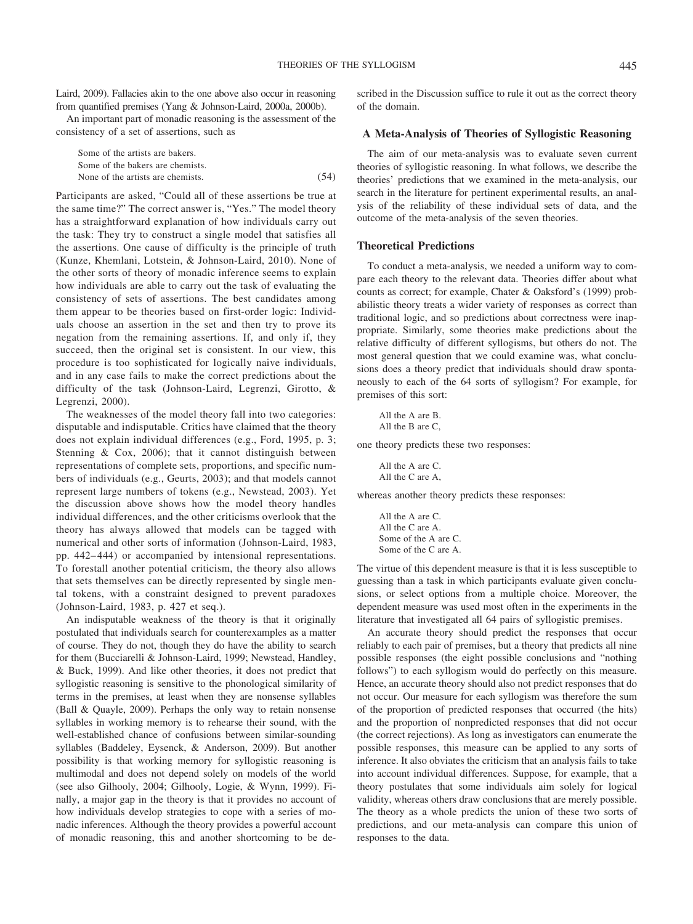Laird, 2009). Fallacies akin to the one above also occur in reasoning from quantified premises (Yang & Johnson-Laird, 2000a, 2000b).

An important part of monadic reasoning is the assessment of the consistency of a set of assertions, such as

| Some of the artists are bakers.   |      |
|-----------------------------------|------|
| Some of the bakers are chemists.  |      |
| None of the artists are chemists. | (54) |

Participants are asked, "Could all of these assertions be true at the same time?" The correct answer is, "Yes." The model theory has a straightforward explanation of how individuals carry out the task: They try to construct a single model that satisfies all the assertions. One cause of difficulty is the principle of truth (Kunze, Khemlani, Lotstein, & Johnson-Laird, 2010). None of the other sorts of theory of monadic inference seems to explain how individuals are able to carry out the task of evaluating the consistency of sets of assertions. The best candidates among them appear to be theories based on first-order logic: Individuals choose an assertion in the set and then try to prove its negation from the remaining assertions. If, and only if, they succeed, then the original set is consistent. In our view, this procedure is too sophisticated for logically naive individuals, and in any case fails to make the correct predictions about the difficulty of the task (Johnson-Laird, Legrenzi, Girotto, & Legrenzi, 2000).

The weaknesses of the model theory fall into two categories: disputable and indisputable. Critics have claimed that the theory does not explain individual differences (e.g., Ford, 1995, p. 3; Stenning & Cox, 2006); that it cannot distinguish between representations of complete sets, proportions, and specific numbers of individuals (e.g., Geurts, 2003); and that models cannot represent large numbers of tokens (e.g., Newstead, 2003). Yet the discussion above shows how the model theory handles individual differences, and the other criticisms overlook that the theory has always allowed that models can be tagged with numerical and other sorts of information (Johnson-Laird, 1983, pp. 442–444) or accompanied by intensional representations. To forestall another potential criticism, the theory also allows that sets themselves can be directly represented by single mental tokens, with a constraint designed to prevent paradoxes (Johnson-Laird, 1983, p. 427 et seq.).

An indisputable weakness of the theory is that it originally postulated that individuals search for counterexamples as a matter of course. They do not, though they do have the ability to search for them (Bucciarelli & Johnson-Laird, 1999; Newstead, Handley, & Buck, 1999). And like other theories, it does not predict that syllogistic reasoning is sensitive to the phonological similarity of terms in the premises, at least when they are nonsense syllables (Ball & Quayle, 2009). Perhaps the only way to retain nonsense syllables in working memory is to rehearse their sound, with the well-established chance of confusions between similar-sounding syllables (Baddeley, Eysenck, & Anderson, 2009). But another possibility is that working memory for syllogistic reasoning is multimodal and does not depend solely on models of the world (see also Gilhooly, 2004; Gilhooly, Logie, & Wynn, 1999). Finally, a major gap in the theory is that it provides no account of how individuals develop strategies to cope with a series of monadic inferences. Although the theory provides a powerful account of monadic reasoning, this and another shortcoming to be described in the Discussion suffice to rule it out as the correct theory of the domain.

# **A Meta-Analysis of Theories of Syllogistic Reasoning**

The aim of our meta-analysis was to evaluate seven current theories of syllogistic reasoning. In what follows, we describe the theories' predictions that we examined in the meta-analysis, our search in the literature for pertinent experimental results, an analysis of the reliability of these individual sets of data, and the outcome of the meta-analysis of the seven theories.

#### **Theoretical Predictions**

To conduct a meta-analysis, we needed a uniform way to compare each theory to the relevant data. Theories differ about what counts as correct; for example, Chater & Oaksford's (1999) probabilistic theory treats a wider variety of responses as correct than traditional logic, and so predictions about correctness were inappropriate. Similarly, some theories make predictions about the relative difficulty of different syllogisms, but others do not. The most general question that we could examine was, what conclusions does a theory predict that individuals should draw spontaneously to each of the 64 sorts of syllogism? For example, for premises of this sort:

All the A are B. All the B are C,

one theory predicts these two responses:

All the A are C. All the C are A,

whereas another theory predicts these responses:

All the A are C. All the C are A. Some of the A are C. Some of the C are A.

The virtue of this dependent measure is that it is less susceptible to guessing than a task in which participants evaluate given conclusions, or select options from a multiple choice. Moreover, the dependent measure was used most often in the experiments in the literature that investigated all 64 pairs of syllogistic premises.

An accurate theory should predict the responses that occur reliably to each pair of premises, but a theory that predicts all nine possible responses (the eight possible conclusions and "nothing follows") to each syllogism would do perfectly on this measure. Hence, an accurate theory should also not predict responses that do not occur. Our measure for each syllogism was therefore the sum of the proportion of predicted responses that occurred (the hits) and the proportion of nonpredicted responses that did not occur (the correct rejections). As long as investigators can enumerate the possible responses, this measure can be applied to any sorts of inference. It also obviates the criticism that an analysis fails to take into account individual differences. Suppose, for example, that a theory postulates that some individuals aim solely for logical validity, whereas others draw conclusions that are merely possible. The theory as a whole predicts the union of these two sorts of predictions, and our meta-analysis can compare this union of responses to the data.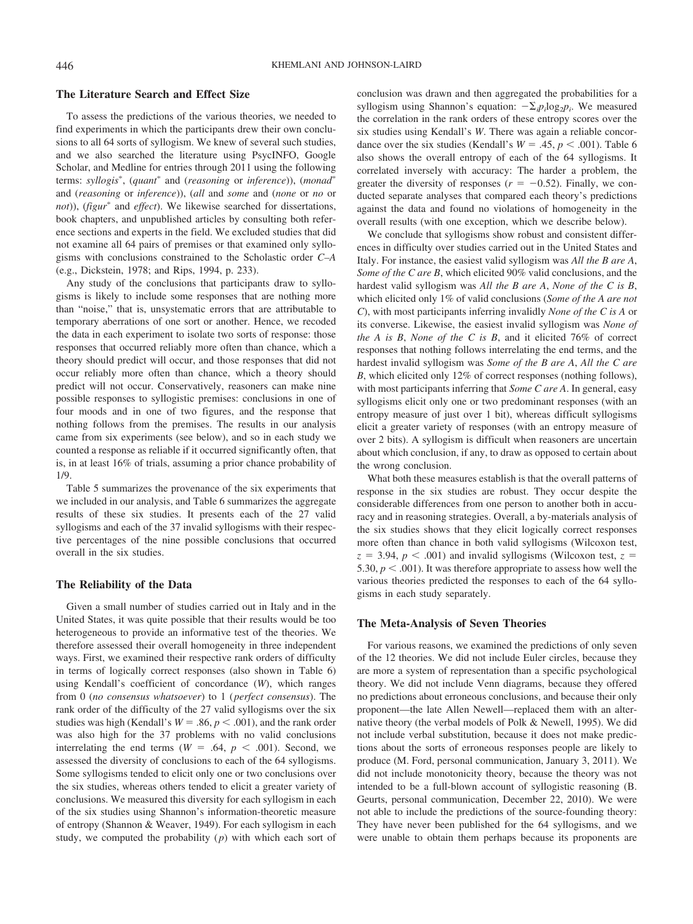## **The Literature Search and Effect Size**

To assess the predictions of the various theories, we needed to find experiments in which the participants drew their own conclusions to all 64 sorts of syllogism. We knew of several such studies, and we also searched the literature using PsycINFO, Google Scholar, and Medline for entries through 2011 using the following terms: syllogis<sup>\*</sup>, (quant<sup>\*</sup> and (reasoning or inference)), (monad<sup>\*</sup> and (*reasoning* or *inference*)), (*all* and *some* and (*none* or *no* or *not*)), (*figur*<sup>\*</sup> and *effect*). We likewise searched for dissertations, book chapters, and unpublished articles by consulting both reference sections and experts in the field. We excluded studies that did not examine all 64 pairs of premises or that examined only syllogisms with conclusions constrained to the Scholastic order *C–A* (e.g., Dickstein, 1978; and Rips, 1994, p. 233).

Any study of the conclusions that participants draw to syllogisms is likely to include some responses that are nothing more than "noise," that is, unsystematic errors that are attributable to temporary aberrations of one sort or another. Hence, we recoded the data in each experiment to isolate two sorts of response: those responses that occurred reliably more often than chance, which a theory should predict will occur, and those responses that did not occur reliably more often than chance, which a theory should predict will not occur. Conservatively, reasoners can make nine possible responses to syllogistic premises: conclusions in one of four moods and in one of two figures, and the response that nothing follows from the premises. The results in our analysis came from six experiments (see below), and so in each study we counted a response as reliable if it occurred significantly often, that is, in at least 16% of trials, assuming a prior chance probability of 1/9.

Table 5 summarizes the provenance of the six experiments that we included in our analysis, and Table 6 summarizes the aggregate results of these six studies. It presents each of the 27 valid syllogisms and each of the 37 invalid syllogisms with their respective percentages of the nine possible conclusions that occurred overall in the six studies.

# **The Reliability of the Data**

Given a small number of studies carried out in Italy and in the United States, it was quite possible that their results would be too heterogeneous to provide an informative test of the theories. We therefore assessed their overall homogeneity in three independent ways. First, we examined their respective rank orders of difficulty in terms of logically correct responses (also shown in Table 6) using Kendall's coefficient of concordance (*W*), which ranges from 0 (*no consensus whatsoever*) to 1 (*perfect consensus*). The rank order of the difficulty of the 27 valid syllogisms over the six studies was high (Kendall's  $W = .86$ ,  $p < .001$ ), and the rank order was also high for the 37 problems with no valid conclusions interrelating the end terms ( $W = .64$ ,  $p < .001$ ). Second, we assessed the diversity of conclusions to each of the 64 syllogisms. Some syllogisms tended to elicit only one or two conclusions over the six studies, whereas others tended to elicit a greater variety of conclusions. We measured this diversity for each syllogism in each of the six studies using Shannon's information-theoretic measure of entropy (Shannon & Weaver, 1949). For each syllogism in each study, we computed the probability (*p*) with which each sort of conclusion was drawn and then aggregated the probabilities for a syllogism using Shannon's equation:  $-\sum_i p_i \log_2 p_i$ . We measured the correlation in the rank orders of these entropy scores over the six studies using Kendall's *W*. There was again a reliable concordance over the six studies (Kendall's  $W = .45$ ,  $p < .001$ ). Table 6 also shows the overall entropy of each of the 64 syllogisms. It correlated inversely with accuracy: The harder a problem, the greater the diversity of responses ( $r = -0.52$ ). Finally, we conducted separate analyses that compared each theory's predictions against the data and found no violations of homogeneity in the overall results (with one exception, which we describe below).

We conclude that syllogisms show robust and consistent differences in difficulty over studies carried out in the United States and Italy. For instance, the easiest valid syllogism was *All the B are A*, *Some of the C are B*, which elicited 90% valid conclusions, and the hardest valid syllogism was *All the B are A*, *None of the C is B*, which elicited only 1% of valid conclusions (*Some of the A are not C*), with most participants inferring invalidly *None of the C is A* or its converse. Likewise, the easiest invalid syllogism was *None of the A is B*, *None of the C is B*, and it elicited 76% of correct responses that nothing follows interrelating the end terms, and the hardest invalid syllogism was *Some of the B are A*, *All the C are B*, which elicited only 12% of correct responses (nothing follows), with most participants inferring that *Some C are A*. In general, easy syllogisms elicit only one or two predominant responses (with an entropy measure of just over 1 bit), whereas difficult syllogisms elicit a greater variety of responses (with an entropy measure of over 2 bits). A syllogism is difficult when reasoners are uncertain about which conclusion, if any, to draw as opposed to certain about the wrong conclusion.

What both these measures establish is that the overall patterns of response in the six studies are robust. They occur despite the considerable differences from one person to another both in accuracy and in reasoning strategies. Overall, a by-materials analysis of the six studies shows that they elicit logically correct responses more often than chance in both valid syllogisms (Wilcoxon test,  $z = 3.94$ ,  $p < .001$ ) and invalid syllogisms (Wilcoxon test,  $z =$ 5.30,  $p < .001$ ). It was therefore appropriate to assess how well the various theories predicted the responses to each of the 64 syllogisms in each study separately.

## **The Meta-Analysis of Seven Theories**

For various reasons, we examined the predictions of only seven of the 12 theories. We did not include Euler circles, because they are more a system of representation than a specific psychological theory. We did not include Venn diagrams, because they offered no predictions about erroneous conclusions, and because their only proponent—the late Allen Newell—replaced them with an alternative theory (the verbal models of Polk & Newell, 1995). We did not include verbal substitution, because it does not make predictions about the sorts of erroneous responses people are likely to produce (M. Ford, personal communication, January 3, 2011). We did not include monotonicity theory, because the theory was not intended to be a full-blown account of syllogistic reasoning (B. Geurts, personal communication, December 22, 2010). We were not able to include the predictions of the source-founding theory: They have never been published for the 64 syllogisms, and we were unable to obtain them perhaps because its proponents are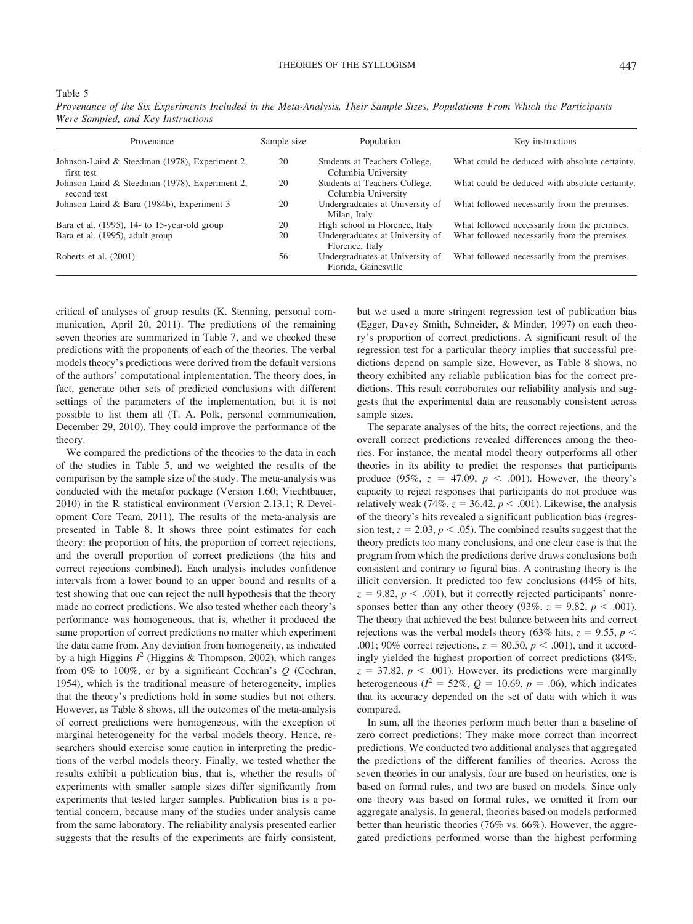#### Table 5

| Provenance of the Six Experiments Included in the Meta-Analysis, Their Sample Sizes, Populations From Which the Participants |  |  |  |  |  |
|------------------------------------------------------------------------------------------------------------------------------|--|--|--|--|--|
| Were Sampled, and Key Instructions                                                                                           |  |  |  |  |  |

| Provenance                                                    | Sample size | Population                                              | Key instructions                               |
|---------------------------------------------------------------|-------------|---------------------------------------------------------|------------------------------------------------|
| Johnson-Laird & Steedman (1978), Experiment 2,<br>first test  | 20          | Students at Teachers College,<br>Columbia University    | What could be deduced with absolute certainty. |
| Johnson-Laird & Steedman (1978), Experiment 2,<br>second test | 20          | Students at Teachers College,<br>Columbia University    | What could be deduced with absolute certainty. |
| Johnson-Laird & Bara (1984b), Experiment 3                    | 20          | Undergraduates at University of<br>Milan, Italy         | What followed necessarily from the premises.   |
| Bara et al. $(1995)$ , 14- to 15-year-old group               | 20          | High school in Florence, Italy                          | What followed necessarily from the premises.   |
| Bara et al. (1995), adult group                               | 20          | Undergraduates at University of<br>Florence, Italy      | What followed necessarily from the premises.   |
| Roberts et al. (2001)                                         | 56          | Undergraduates at University of<br>Florida, Gainesville | What followed necessarily from the premises.   |

critical of analyses of group results (K. Stenning, personal communication, April 20, 2011). The predictions of the remaining seven theories are summarized in Table 7, and we checked these predictions with the proponents of each of the theories. The verbal models theory's predictions were derived from the default versions of the authors' computational implementation. The theory does, in fact, generate other sets of predicted conclusions with different settings of the parameters of the implementation, but it is not possible to list them all (T. A. Polk, personal communication, December 29, 2010). They could improve the performance of the theory.

We compared the predictions of the theories to the data in each of the studies in Table 5, and we weighted the results of the comparison by the sample size of the study. The meta-analysis was conducted with the metafor package (Version 1.60; Viechtbauer, 2010) in the R statistical environment (Version 2.13.1; R Development Core Team, 2011). The results of the meta-analysis are presented in Table 8. It shows three point estimates for each theory: the proportion of hits, the proportion of correct rejections, and the overall proportion of correct predictions (the hits and correct rejections combined). Each analysis includes confidence intervals from a lower bound to an upper bound and results of a test showing that one can reject the null hypothesis that the theory made no correct predictions. We also tested whether each theory's performance was homogeneous, that is, whether it produced the same proportion of correct predictions no matter which experiment the data came from. Any deviation from homogeneity, as indicated by a high Higgins *I* <sup>2</sup> (Higgins & Thompson, 2002), which ranges from 0% to 100%, or by a significant Cochran's *Q* (Cochran, 1954), which is the traditional measure of heterogeneity, implies that the theory's predictions hold in some studies but not others. However, as Table 8 shows, all the outcomes of the meta-analysis of correct predictions were homogeneous, with the exception of marginal heterogeneity for the verbal models theory. Hence, researchers should exercise some caution in interpreting the predictions of the verbal models theory. Finally, we tested whether the results exhibit a publication bias, that is, whether the results of experiments with smaller sample sizes differ significantly from experiments that tested larger samples. Publication bias is a potential concern, because many of the studies under analysis came from the same laboratory. The reliability analysis presented earlier suggests that the results of the experiments are fairly consistent,

but we used a more stringent regression test of publication bias (Egger, Davey Smith, Schneider, & Minder, 1997) on each theory's proportion of correct predictions. A significant result of the regression test for a particular theory implies that successful predictions depend on sample size. However, as Table 8 shows, no theory exhibited any reliable publication bias for the correct predictions. This result corroborates our reliability analysis and suggests that the experimental data are reasonably consistent across sample sizes.

The separate analyses of the hits, the correct rejections, and the overall correct predictions revealed differences among the theories. For instance, the mental model theory outperforms all other theories in its ability to predict the responses that participants produce (95%,  $z = 47.09$ ,  $p < .001$ ). However, the theory's capacity to reject responses that participants do not produce was relatively weak (74%,  $z = 36.42$ ,  $p < .001$ ). Likewise, the analysis of the theory's hits revealed a significant publication bias (regression test,  $z = 2.03$ ,  $p < .05$ ). The combined results suggest that the theory predicts too many conclusions, and one clear case is that the program from which the predictions derive draws conclusions both consistent and contrary to figural bias. A contrasting theory is the illicit conversion. It predicted too few conclusions (44% of hits,  $z = 9.82, p < .001$ , but it correctly rejected participants' nonresponses better than any other theory (93\%,  $z = 9.82$ ,  $p < .001$ ). The theory that achieved the best balance between hits and correct rejections was the verbal models theory (63% hits,  $z = 9.55$ ,  $p <$ .001; 90% correct rejections,  $z = 80.50$ ,  $p < .001$ ), and it accordingly yielded the highest proportion of correct predictions (84%,  $z = 37.82, p < .001$ . However, its predictions were marginally heterogeneous ( $I^2 = 52\%$ ,  $Q = 10.69$ ,  $p = .06$ ), which indicates that its accuracy depended on the set of data with which it was compared.

In sum, all the theories perform much better than a baseline of zero correct predictions: They make more correct than incorrect predictions. We conducted two additional analyses that aggregated the predictions of the different families of theories. Across the seven theories in our analysis, four are based on heuristics, one is based on formal rules, and two are based on models. Since only one theory was based on formal rules, we omitted it from our aggregate analysis. In general, theories based on models performed better than heuristic theories (76% vs. 66%). However, the aggregated predictions performed worse than the highest performing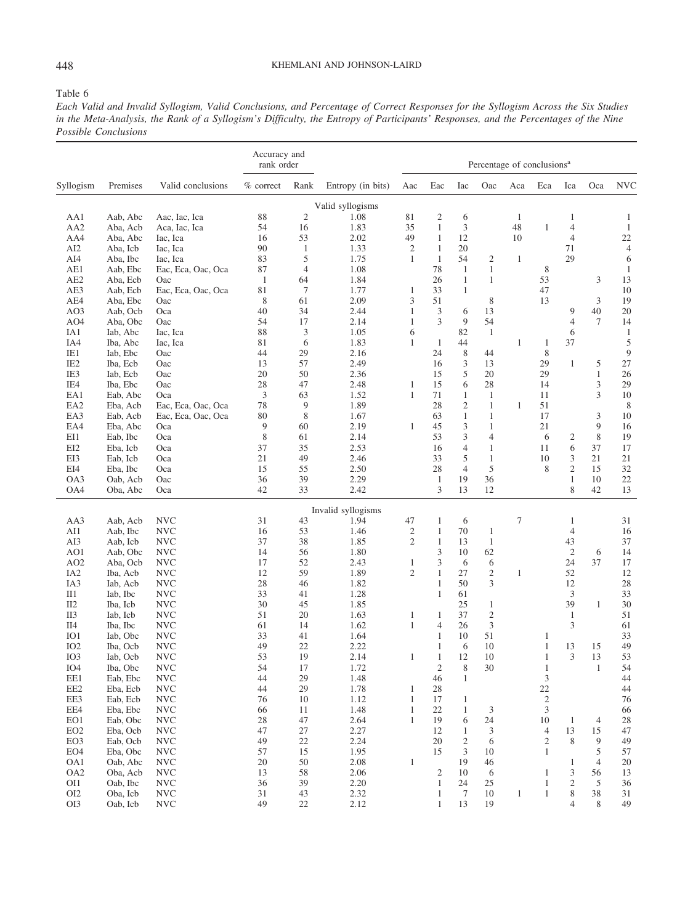Table 6

*Each Valid and Invalid Syllogism, Valid Conclusions, and Percentage of Correct Responses for the Syllogism Across the Six Studies in the Meta-Analysis, the Rank of a Syllogism's Difficulty, the Entropy of Participants' Responses, and the Percentages of the Nine Possible Conclusions*

|                        |                      |                                                        | Accuracy and<br>rank order |                |                    |                   |                              |                       | Percentage of conclusions <sup>a</sup> |              |                |                               |                 |                |
|------------------------|----------------------|--------------------------------------------------------|----------------------------|----------------|--------------------|-------------------|------------------------------|-----------------------|----------------------------------------|--------------|----------------|-------------------------------|-----------------|----------------|
| Syllogism              | Premises             | Valid conclusions                                      | % correct                  | Rank           | Entropy (in bits)  | Aac               | Eac                          | Iac                   | Oac                                    | Aca          | Eca            | Ica                           | Oca             | <b>NVC</b>     |
|                        |                      |                                                        |                            |                | Valid syllogisms   |                   |                              |                       |                                        |              |                |                               |                 |                |
| AA1                    | Aab, Abc             | Aac, Iac, Ica                                          | 88                         | $\overline{2}$ | 1.08               | 81                | $\overline{2}$               | 6                     |                                        | $\mathbf{1}$ |                | $\mathbf{1}$                  |                 | 1              |
| AA <sub>2</sub>        | Aba, Acb             | Aca, Iac, Ica                                          | 54                         | 16             | 1.83               | 35                | $\mathbf{1}$                 | $\mathfrak{Z}$        |                                        | 48           | $\mathbf{1}$   | $\overline{4}$                |                 | $\mathbf{1}$   |
| AA4                    | Aba, Abc             | Iac, Ica                                               | 16                         | 53             | 2.02               | 49                | $\mathbf{1}$                 | 12                    |                                        | 10           |                | $\overline{4}$                |                 | $22\,$         |
| AI2                    | Aba, Icb             | Iac, Ica                                               | 90                         | $\mathbf{1}$   | 1.33               | 2                 | $\mathbf{1}$                 | 20                    |                                        |              |                | 71                            |                 | $\overline{4}$ |
| AI4                    | Aba, Ibc             | Iac, Ica                                               | 83                         | 5              | 1.75               | $\mathbf{1}$      | $\mathbf{1}$                 | 54                    | $\mathfrak{2}$                         | $\mathbf{1}$ |                | 29                            |                 | 6              |
| AE1                    | Aab, Ebc             | Eac, Eca, Oac, Oca                                     | 87                         | $\overline{4}$ | 1.08               |                   | 78                           | 1                     | $\mathbf{1}$                           |              | 8              |                               |                 | $\mathbf{1}$   |
| AE <sub>2</sub>        | Aba, Ecb             | Oac                                                    | 1                          | 64             | 1.84               |                   | 26                           | $\mathbf{1}$          | 1                                      |              | 53             |                               | 3               | 13             |
| AE3                    | Aab, Ecb             | Eac, Eca, Oac, Oca                                     | 81                         | $\tau$         | 1.77               | $\mathbf{1}$<br>3 | 33                           | $\mathbf{1}$          |                                        |              | 47             |                               | 3               | 10             |
| AE4                    | Aba, Ebc<br>Aab, Ocb | Oac                                                    | 8<br>40                    | 61<br>34       | 2.09<br>2.44       | $\mathbf{1}$      | 51<br>3                      | 6                     | 8<br>13                                |              | 13             | 9                             | 40              | 19             |
| AO3<br>AO <sub>4</sub> | Aba, Obc             | Oca<br>Oac                                             | 54                         | 17             | 2.14               | $\mathbf{1}$      | 3                            | 9                     | 54                                     |              |                | $\overline{4}$                | $7\phantom{.0}$ | $20\,$<br>14   |
| IA1                    | Iab, Abc             | Iac, Ica                                               | 88                         | 3              | 1.05               | 6                 |                              | 82                    | 1                                      |              |                | 6                             |                 | 1              |
| IA4                    | Iba, Abc             | Iac, Ica                                               | 81                         | 6              | 1.83               | $\mathbf{1}$      | $\mathbf{1}$                 | 44                    |                                        | $\mathbf{1}$ | $\mathbf{1}$   | 37                            |                 | 5              |
| IE1                    | Iab, Ebc             | Oac                                                    | 44                         | 29             | 2.16               |                   | 24                           | $\,$ 8 $\,$           | 44                                     |              | 8              |                               |                 | 9              |
| IE <sub>2</sub>        | Iba, Ecb             | Oac                                                    | 13                         | 57             | 2.49               |                   | 16                           | 3                     | 13                                     |              | 29             | $\mathbf{1}$                  | 5               | 27             |
| IE3                    | Iab, Ecb             | Oac                                                    | 20                         | 50             | 2.36               |                   | 15                           | 5                     | 20                                     |              | 29             |                               | $\mathbf{1}$    | 26             |
| IE4                    | Iba, Ebc             | Oac                                                    | 28                         | 47             | 2.48               | $\mathbf{1}$      | 15                           | 6                     | 28                                     |              | 14             |                               | 3               | 29             |
| EA1                    | Eab, Abc             | Oca                                                    | 3                          | 63             | 1.52               | $\mathbf{1}$      | 71                           | $\mathbf{1}$          | 1                                      |              | 11             |                               | 3               | 10             |
| EA <sub>2</sub>        | Eba, Acb             | Eac, Eca, Oac, Oca                                     | 78                         | 9              | 1.89               |                   | 28                           | $\mathfrak{2}$        | $\mathbf{1}$                           | 1            | 51             |                               |                 | 8              |
| EA3                    | Eab, Acb             | Eac, Eca, Oac, Oca                                     | 80                         | $\,$ 8 $\,$    | 1.67               |                   | 63                           | $\mathbf{1}$          | 1                                      |              | 17             |                               | 3               | 10             |
| EA4                    | Eba, Abc             | Oca                                                    | 9                          | 60             | 2.19               | $\mathbf{1}$      | 45                           | 3                     | 1                                      |              | 21             |                               | 9               | 16             |
| EI1                    | Eab, Ibc             | Oca                                                    | $\,$ 8 $\,$                | 61             | 2.14               |                   | 53                           | 3                     | $\overline{4}$                         |              | 6              | $\mathfrak{2}$                | 8               | 19             |
| EI <sub>2</sub>        | Eba, Icb             | Oca                                                    | 37                         | 35             | 2.53               |                   | 16                           | $\overline{4}$        | 1                                      |              | 11             | 6                             | 37              | 17             |
| EI3                    | Eab, Icb             | Oca                                                    | 21                         | 49             | 2.46               |                   | 33                           | 5                     | 1                                      |              | 10             | 3                             | 21              | 21             |
| EI4                    | Eba, Ibc             | Oca                                                    | 15                         | 55             | 2.50               |                   | 28                           | $\overline{4}$        | 5                                      |              | 8              | $\mathfrak{2}$                | 15              | 32             |
| OA3                    | Oab, Acb             | Oac                                                    | 36<br>42                   | 39<br>33       | 2.29               |                   | $\mathbf{1}$<br>3            | 19<br>13              | 36<br>12                               |              |                | $\mathbf{1}$<br>8             | 10<br>42        | 22<br>13       |
| OA4                    | Oba, Abc             | Oca                                                    |                            |                | 2.42               |                   |                              |                       |                                        |              |                |                               |                 |                |
|                        |                      |                                                        |                            |                | Invalid syllogisms |                   |                              |                       |                                        |              |                |                               |                 |                |
| AA3                    | Aab, Acb             | <b>NVC</b>                                             | 31                         | 43             | 1.94               | 47                | $\mathbf{1}$                 | 6                     |                                        | 7            |                | $\mathbf{1}$                  |                 | 31             |
| AI1                    | Aab, Ibc             | <b>NVC</b>                                             | 16                         | 53             | 1.46               | $\mathfrak{2}$    | $\mathbf{1}$                 | 70                    | 1                                      |              |                | $\overline{4}$                |                 | 16             |
| AI3                    | Aab, Icb             | <b>NVC</b>                                             | 37                         | 38             | 1.85               | $\mathfrak{2}$    | $\mathbf{1}$                 | 13                    | $\,1$                                  |              |                | 43                            |                 | 37             |
| AO1                    | Aab, Obc             | <b>NVC</b>                                             | 14                         | 56             | 1.80               |                   | 3                            | 10                    | 62                                     |              |                | $\mathfrak{2}$                | 6               | 14             |
| AO <sub>2</sub>        | Aba, Ocb             | <b>NVC</b>                                             | 17                         | 52             | 2.43               | 1                 | 3                            | 6                     | 6                                      |              |                | 24                            | 37              | 17             |
| IA <sub>2</sub>        | Iba, Acb             | <b>NVC</b>                                             | 12                         | 59             | 1.89               | $\mathfrak{2}$    | $\mathbf{1}$                 | 27                    | $\mathfrak{2}$                         | $\mathbf{1}$ |                | 52                            |                 | 12             |
| IA3                    | Iab, Acb             | <b>NVC</b><br><b>NVC</b>                               | 28<br>33                   | 46             | 1.82<br>1.28       |                   | $\mathbf{1}$<br>$\mathbf{1}$ | 50<br>61              | 3                                      |              |                | 12<br>$\mathfrak{Z}$          |                 | 28<br>33       |
| П1<br>$\rm{II2}$       | Iab, Ibc<br>Iba, Icb | <b>NVC</b>                                             | 30                         | 41<br>45       | 1.85               |                   |                              | 25                    | 1                                      |              |                | 39                            | 1               | 30             |
| II <sub>3</sub>        | Iab, Icb             | <b>NVC</b>                                             | 51                         | 20             | 1.63               | $\mathbf{1}$      | $\mathbf{1}$                 | 37                    | $\overline{c}$                         |              |                | $\mathbf{1}$                  |                 | 51             |
| II4                    | Iba, Ibc             | <b>NVC</b>                                             | 61                         | 14             | 1.62               | $\mathbf{1}$      | $\overline{4}$               | 26                    | 3                                      |              |                | 3                             |                 | 61             |
| IO <sub>1</sub>        | Iab, Obc             | <b>NVC</b>                                             | 33                         | 41             | 1.64               |                   | $\mathbf{1}$                 | 10                    | 51                                     |              | $\mathbf{1}$   |                               |                 | 33             |
| IO <sub>2</sub>        | Iba, Ocb             | <b>NVC</b>                                             | 49                         | 22             | 2.22               |                   | $\mathbf{1}$                 | 6                     | 10                                     |              | $\mathbf{1}$   | 13                            | 15              | 49             |
| IO <sub>3</sub>        | Iab, Ocb             | <b>NVC</b>                                             | 53                         | 19             | 2.14               | $\mathbf{1}$      | $\mathbf{1}$                 | 12                    | 10                                     |              | $\mathbf{1}$   | 3                             | 13              | 53             |
| IO4                    | Iba, Obc             | NVC                                                    | 54                         | 17             | 1.72               |                   | 2                            | 8                     | 30                                     |              | 1              |                               | 1               | 54             |
| EE1                    | Eab, Ebc             | <b>NVC</b>                                             | 44                         | 29             | 1.48               |                   | 46                           | $\mathbf{1}$          |                                        |              | $\mathfrak{Z}$ |                               |                 | 44             |
| EE2                    | Eba, Ecb             | $\ensuremath{\text{NVC}}$                              | 44                         | 29             | 1.78               | 1                 | 28                           |                       |                                        |              | 22             |                               |                 | 44             |
| EE3                    | Eab, Ecb             | NVC                                                    | 76                         | 10             | 1.12               | $\mathbf{1}$      | 17                           | $\mathbf{1}$          |                                        |              | $\sqrt{2}$     |                               |                 | 76             |
| EE4                    | Eba, Ebc             | $\ensuremath{\text{NVC}}$                              | 66                         | 11             | 1.48               | $\mathbf{1}$      | 22                           | $\mathbf{1}$          | 3                                      |              | $\mathfrak{Z}$ |                               |                 | 66             |
| EO1                    | Eab, Obc             | NVC                                                    | 28                         | 47             | 2.64               | $\mathbf{1}$      | 19                           | 6                     | 24                                     |              | 10             | $\mathbf{1}$                  | 4               | $28\,$         |
| EO <sub>2</sub>        | Eba, Ocb             | $\ensuremath{\text{NVC}}$                              | 47                         | 27             | 2.27               |                   | 12                           | $\mathbf{1}$          | 3                                      |              | $\overline{4}$ | 13                            | 15              | 47             |
| EO3                    | Eab, Ocb             | <b>NVC</b>                                             | 49                         | $22\,$         | 2.24               |                   | 20                           | $\overline{2}$        | 6                                      |              | $\sqrt{2}$     | 8                             | 9               | 49             |
| EO <sub>4</sub>        | Eba, Obc             | $\ensuremath{\text{NVC}}$                              | 57                         | 15             | 1.95               |                   | 15                           | 3                     | 10                                     |              | 1              |                               | 5               | 57             |
| OA1                    | Oab, Abc             | NVC                                                    | 20                         | $50\,$         | 2.08               | $\mathbf{1}$      |                              | 19                    | 46                                     |              |                | $\mathbf{1}$                  | 4               | $20\,$         |
| OA <sub>2</sub>        | Oba, Acb             | $\ensuremath{\text{NVC}}$                              | 13                         | 58             | 2.06               |                   | $\mathfrak{2}$               | 10                    | 6                                      |              | 1              | $\ensuremath{\mathfrak{Z}}$   | 56              | 13             |
| OI1                    | Oab, Ibc             | <b>NVC</b>                                             | 36                         | 39             | 2.20               |                   | $\mathbf{1}$                 | 24<br>$7\phantom{.0}$ | $25\,$                                 |              | $\mathbf{1}$   | $\sqrt{2}$                    | 5               | 36             |
| OI <sub>2</sub><br>OI3 | Oba, Icb<br>Oab, Icb | $\ensuremath{\text{NVC}}$<br>$\ensuremath{\text{NVC}}$ | 31<br>49                   | 43<br>$22\,$   | 2.32<br>2.12       |                   | 1<br>$\mathbf{1}$            | 13                    | $10\,$<br>19                           | $\mathbf{1}$ | $\mathbf{1}$   | $\,$ 8 $\,$<br>$\overline{4}$ | $38\,$<br>8     | 31<br>49       |
|                        |                      |                                                        |                            |                |                    |                   |                              |                       |                                        |              |                |                               |                 |                |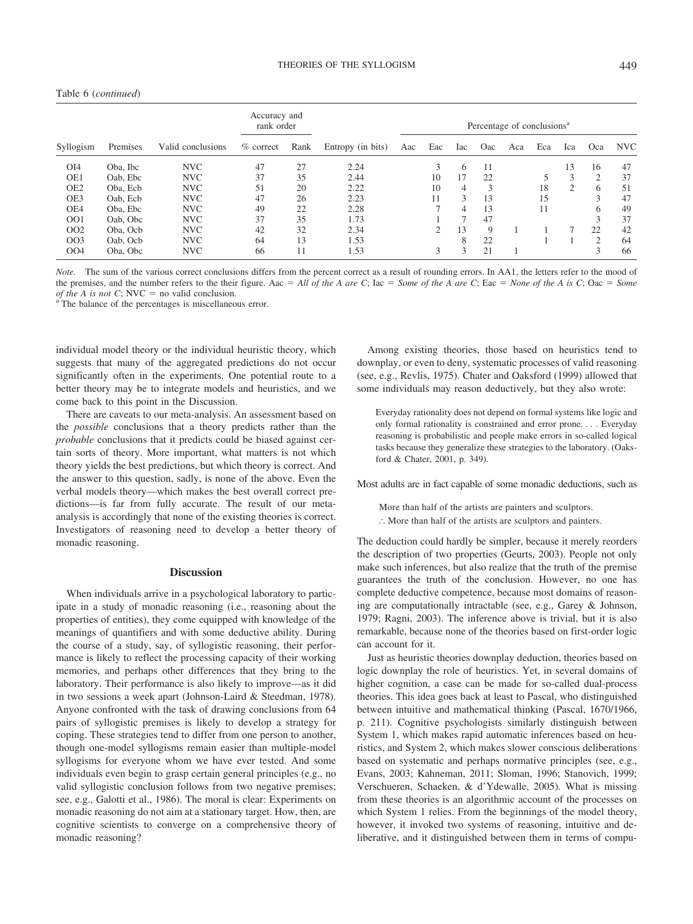#### Table 6 (*continued*)

|                 |          |                   | Accuracy and<br>rank order |      |                   | Percentage of conclusions <sup>a</sup> |                |            |     |     |     |                |     |            |
|-----------------|----------|-------------------|----------------------------|------|-------------------|----------------------------------------|----------------|------------|-----|-----|-----|----------------|-----|------------|
| Syllogism       | Premises | Valid conclusions | $%$ correct                | Rank | Entropy (in bits) | Aac                                    | Eac            | <b>Iac</b> | Oac | Aca | Eca | Ica            | Oca | <b>NVC</b> |
| OI <sub>4</sub> | Oba, Ibc | <b>NVC</b>        | 47                         | 27   | 2.24              |                                        | 3              | 6          | 11  |     |     | 13             | 16  | 47         |
| OE1             | Oab, Ebc | <b>NVC</b>        | 37                         | 35   | 2.44              |                                        | 10             | 17         | 22  |     |     | 3              | 2   | 37         |
| OE <sub>2</sub> | Oba, Ecb | <b>NVC</b>        | 51                         | 20   | 2.22              |                                        | 10             | 4          | 3   |     | 18  | $\overline{c}$ | 6   | 51         |
| OE3             | Oab, Ecb | <b>NVC</b>        | 47                         | 26   | 2.23              |                                        |                | 3          | 13  |     | 15  |                | 3   | 47         |
| OE4             | Oba, Ebc | <b>NVC</b>        | 49                         | 22   | 2.28              |                                        |                | 4          | 13  |     |     |                | 6   | 49         |
| OO1             | Oab, Obc | <b>NVC</b>        | 37                         | 35   | 1.73              |                                        |                | ⇁          | 47  |     |     |                |     | 37         |
| OO <sub>2</sub> | Oba, Ocb | <b>NVC</b>        | 42                         | 32   | 2.34              |                                        | $\mathfrak{D}$ | 13         | 9   |     |     |                | 22  | 42         |
| OO <sub>3</sub> | Oab, Ocb | <b>NVC</b>        | 64                         | 13   | 1.53              |                                        |                | 8          | 22  |     |     |                | 2   | 64         |
| <b>OO4</b>      | Oba, Obc | <b>NVC</b>        | 66                         | 11   | 1.53              |                                        | 3              | 3          | 21  |     |     |                | 3   | 66         |

*Note.* The sum of the various correct conclusions differs from the percent correct as a result of rounding errors. In AA1, the letters refer to the mood of the premises, and the number refers to the their figure. Aac = All of the A are C; Iac = Some of the A are C; Eac = None of the A is C; Oac = Some of the A is  $C$ ; Oac = Some of the A is  $C$ ; NVC = no valid conclusion.

<sup>a</sup> The balance of the percentages is miscellaneous error.

individual model theory or the individual heuristic theory, which suggests that many of the aggregated predictions do not occur significantly often in the experiments. One potential route to a better theory may be to integrate models and heuristics, and we come back to this point in the Discussion.

There are caveats to our meta-analysis. An assessment based on the *possible* conclusions that a theory predicts rather than the *probable* conclusions that it predicts could be biased against certain sorts of theory. More important, what matters is not which theory yields the best predictions, but which theory is correct. And the answer to this question, sadly, is none of the above. Even the verbal models theory—which makes the best overall correct predictions—is far from fully accurate. The result of our metaanalysis is accordingly that none of the existing theories is correct. Investigators of reasoning need to develop a better theory of monadic reasoning.

#### **Discussion**

When individuals arrive in a psychological laboratory to participate in a study of monadic reasoning (i.e., reasoning about the properties of entities), they come equipped with knowledge of the meanings of quantifiers and with some deductive ability. During the course of a study, say, of syllogistic reasoning, their performance is likely to reflect the processing capacity of their working memories, and perhaps other differences that they bring to the laboratory. Their performance is also likely to improve—as it did in two sessions a week apart (Johnson-Laird & Steedman, 1978). Anyone confronted with the task of drawing conclusions from 64 pairs of syllogistic premises is likely to develop a strategy for coping. These strategies tend to differ from one person to another, though one-model syllogisms remain easier than multiple-model syllogisms for everyone whom we have ever tested. And some individuals even begin to grasp certain general principles (e.g., no valid syllogistic conclusion follows from two negative premises; see, e.g., Galotti et al., 1986). The moral is clear: Experiments on monadic reasoning do not aim at a stationary target. How, then, are cognitive scientists to converge on a comprehensive theory of monadic reasoning?

Among existing theories, those based on heuristics tend to downplay, or even to deny, systematic processes of valid reasoning (see, e.g., Revlis, 1975). Chater and Oaksford (1999) allowed that some individuals may reason deductively, but they also wrote:

Everyday rationality does not depend on formal systems like logic and only formal rationality is constrained and error prone. . . . Everyday reasoning is probabilistic and people make errors in so-called logical tasks because they generalize these strategies to the laboratory. (Oaksford & Chater, 2001, p. 349).

Most adults are in fact capable of some monadic deductions, such as

More than half of the artists are painters and sculptors. : More than half of the artists are sculptors and painters.

The deduction could hardly be simpler, because it merely reorders the description of two properties (Geurts, 2003). People not only make such inferences, but also realize that the truth of the premise guarantees the truth of the conclusion. However, no one has complete deductive competence, because most domains of reasoning are computationally intractable (see, e.g., Garey & Johnson, 1979; Ragni, 2003). The inference above is trivial, but it is also remarkable, because none of the theories based on first-order logic can account for it.

Just as heuristic theories downplay deduction, theories based on logic downplay the role of heuristics. Yet, in several domains of higher cognition, a case can be made for so-called dual-process theories. This idea goes back at least to Pascal, who distinguished between intuitive and mathematical thinking (Pascal, 1670/1966, p. 211). Cognitive psychologists similarly distinguish between System 1, which makes rapid automatic inferences based on heuristics, and System 2, which makes slower conscious deliberations based on systematic and perhaps normative principles (see, e.g., Evans, 2003; Kahneman, 2011; Sloman, 1996; Stanovich, 1999; Verschueren, Schaeken, & d'Ydewalle, 2005). What is missing from these theories is an algorithmic account of the processes on which System 1 relies. From the beginnings of the model theory, however, it invoked two systems of reasoning, intuitive and deliberative, and it distinguished between them in terms of compu-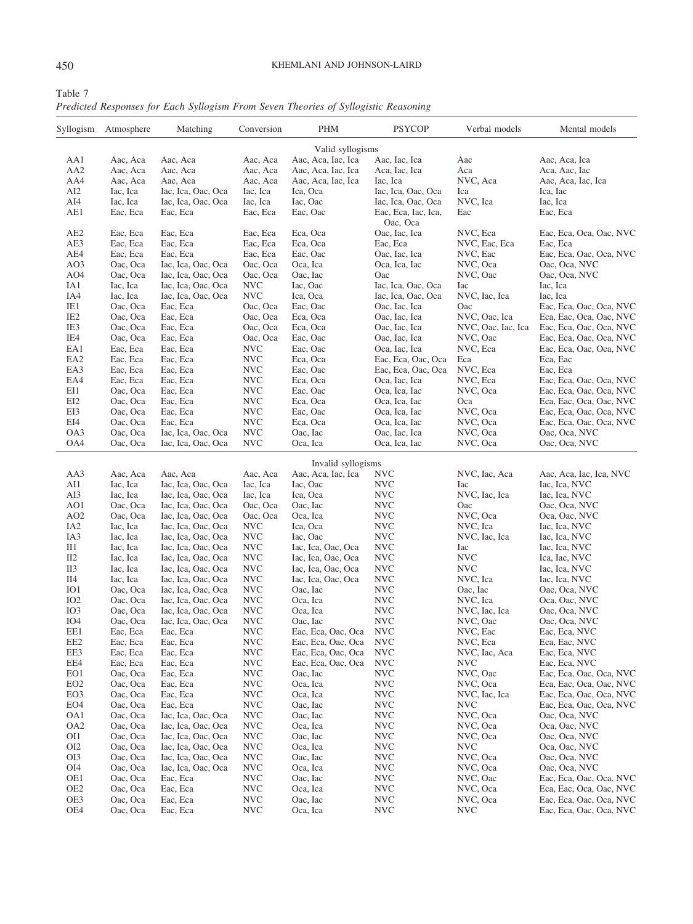| Table 7                                                                             |  |  |
|-------------------------------------------------------------------------------------|--|--|
| Predicted Responses for Each Syllogism From Seven Theories of Syllogistic Reasoning |  |  |

| Syllogism              | Atmosphere           | Matching                                 | Conversion               | <b>PHM</b>           | <b>PSYCOP</b>                   | Verbal models          | Mental models                                      |
|------------------------|----------------------|------------------------------------------|--------------------------|----------------------|---------------------------------|------------------------|----------------------------------------------------|
|                        |                      |                                          |                          | Valid syllogisms     |                                 |                        |                                                    |
| AA1                    | Aac, Aca             | Aac, Aca                                 | Aac, Aca                 | Aac, Aca, Iac, Ica   | Aac, Iac, Ica                   | Aac                    | Aac, Aca, Ica                                      |
| AA <sub>2</sub>        | Aac, Aca             | Aac, Aca                                 | Aac, Aca                 | Aac, Aca, Iac, Ica   | Aca, Iac, Ica                   | Aca                    | Aca, Aac, Iac                                      |
| AA4                    | Aac, Aca             | Aac, Aca                                 | Aac, Aca                 | Aac, Aca, Iac, Ica   | Iac, Ica                        | NVC, Aca               | Aac, Aca, Iac, Ica                                 |
| AI2                    | Iac, Ica             | Iac, Ica, Oac, Oca                       | Iac, Ica                 | Ica, Oca             | Iac, Ica, Oac, Oca              | Ica                    | Ica, Iac                                           |
| AI4                    | Iac, Ica             | Iac, Ica, Oac, Oca                       | Iac, Ica                 | Iac, Oac             | Iac, Ica, Oac, Oca              | NVC, Ica               | Iac, Ica                                           |
| AE1                    | Eac, Eca             | Eac, Eca                                 | Eac, Eca                 | Eac, Oac             | Eac, Eca, Iac, Ica,<br>Oac, Oca | Eac                    | Eac, Eca                                           |
| AE <sub>2</sub>        | Eac, Eca             | Eac, Eca                                 | Eac, Eca                 | Eca, Oca             | Oac, Iac, Ica                   | NVC, Eca               | Eac, Eca, Oca, Oac, NVC                            |
| AE3                    | Eac, Eca             | Eac, Eca                                 | Eac, Eca                 | Eca, Oca             | Eac, Eca                        | NVC, Eac, Eca          | Eac, Eca                                           |
| AE4                    | Eac, Eca             | Eac, Eca                                 | Eac, Eca                 | Eac, Oac             | Oac, Iac, Ica                   | NVC, Eac               | Eac, Eca, Oac, Oca, NVC                            |
| AO3                    | Oac, Oca             | Iac, Ica, Oac, Oca                       | Oac, Oca                 | Oca, Ica             | Oca, Ica, Iac                   | NVC, Oca               | Oac, Oca, NVC                                      |
| AO <sub>4</sub>        | Oac, Oca             | Iac, Ica, Oac, Oca                       | Oac, Oca                 | Oac, Iac             | Oac                             | NVC, Oac               | Oac, Oca, NVC                                      |
| IA1                    | Iac, Ica             | Iac, Ica, Oac, Oca                       | <b>NVC</b>               | Iac, Oac             | Iac, Ica, Oac, Oca              | Iac                    | Iac, Ica                                           |
| IA4                    | Iac, Ica             | Iac, Ica, Oac, Oca                       | <b>NVC</b>               | Ica, Oca             | Iac, Ica, Oac, Oca              | NVC, Iac, Ica          | Iac, Ica<br>Eac, Eca, Oac, Oca, NVC                |
| IE1<br>IE <sub>2</sub> | Oac, Oca<br>Oac, Oca | Eac, Eca<br>Eac, Eca                     | Oac, Oca<br>Oac, Oca     | Eac, Oac<br>Eca, Oca | Oac, Iac, Ica<br>Oac, Iac, Ica  | Oac<br>NVC, Oac, Ica   | Eca, Eac, Oca, Oac, NVC                            |
| IE3                    | Oac, Oca             | Eac, Eca                                 | Oac, Oca                 | Eca, Oca             | Oac, Iac, Ica                   | NVC, Oac, Iac, Ica     | Eac, Eca, Oac, Oca, NVC                            |
| IE4                    | Oac, Oca             | Eac, Eca                                 | Oac, Oca                 | Eac, Oac             | Oac, Iac, Ica                   | NVC, Oac               | Eac, Eca, Oac, Oca, NVC                            |
| EA1                    | Eac, Eca             | Eac, Eca                                 | <b>NVC</b>               | Eac, Oac             | Oca, Iac, Ica                   | NVC, Eca               | Eac, Eca, Oac, Oca, NVC                            |
| EA <sub>2</sub>        | Eac, Eca             | Eac, Eca                                 | <b>NVC</b>               | Eca, Oca             | Eac, Eca, Oac, Oca              | Eca                    | Eca, Eac                                           |
| EA3                    | Eac, Eca             | Eac, Eca                                 | <b>NVC</b>               | Eac, Oac             | Eac, Eca, Oac, Oca              | NVC, Eca               | Eac, Eca                                           |
| EA4                    | Eac, Eca             | Eac, Eca                                 | <b>NVC</b>               | Eca, Oca             | Oca, Iac, Ica                   | NVC, Eca               | Eac, Eca, Oac, Oca, NVC                            |
| EI1                    | Oac, Oca             | Eac, Eca                                 | <b>NVC</b>               | Eac, Oac             | Oca, Ica, Iac                   | NVC, Oca               | Eac, Eca, Oac, Oca, NVC                            |
| EI <sub>2</sub>        | Oac, Oca             | Eac, Eca                                 | <b>NVC</b>               | Eca, Oca             | Oca, Ica, Iac                   | Oca                    | Eca, Eac, Oca, Oac, NVC                            |
| EI3                    | Oac, Oca             | Eac, Eca                                 | <b>NVC</b>               | Eac, Oac             | Oca, Ica, Iac                   | NVC, Oca               | Eac, Eca, Oac, Oca, NVC                            |
| EI4                    | Oac, Oca             | Eac, Eca                                 | <b>NVC</b>               | Eca, Oca             | Oca, Ica, Iac                   | NVC, Oca               | Eac, Eca, Oac, Oca, NVC                            |
| OA3                    | Oac, Oca             | Iac, Ica, Oac, Oca                       | <b>NVC</b>               | Oac, Iac             | Oac, Iac, Ica                   | NVC, Oca               | Oac, Oca, NVC                                      |
| OA4                    | Oac, Oca             | Iac, Ica, Oac, Oca                       | <b>NVC</b>               | Oca, Ica             | Oca, Ica, Iac                   | NVC, Oca               | Oac, Oca, NVC                                      |
|                        |                      |                                          |                          |                      |                                 |                        |                                                    |
|                        |                      |                                          |                          | Invalid syllogisms   |                                 |                        |                                                    |
| AA3                    | Aac, Aca             | Aac, Aca                                 | Aac, Aca                 | Aac, Aca, Iac, Ica   | <b>NVC</b>                      | NVC, Iac, Aca          | Aac, Aca, Iac, Ica, NVC                            |
| AI1                    | Iac, Ica             | Iac, Ica, Oac, Oca                       | Iac, Ica                 | Iac, Oac             | <b>NVC</b>                      | Iac                    | Iac, Ica, NVC                                      |
| AI3                    | Iac, Ica             | Iac, Ica, Oac, Oca                       | Iac, Ica                 | Ica, Oca             | <b>NVC</b>                      | NVC, Iac, Ica          | Iac, Ica, NVC                                      |
| AO1<br>AO <sub>2</sub> | Oac, Oca             | Iac, Ica, Oac, Oca<br>Iac, Ica, Oac, Oca | Oac, Oca                 | Oac, Iac<br>Oca, Ica | <b>NVC</b><br><b>NVC</b>        | Oac<br>NVC, Oca        | Oac, Oca, NVC                                      |
| IA <sub>2</sub>        | Oac, Oca<br>Iac, Ica | Iac, Ica, Oac, Oca                       | Oac, Oca<br>NVC          | Ica, Oca             | <b>NVC</b>                      | NVC, Ica               | Oca, Oac, NVC<br>Iac, Ica, NVC                     |
| IA3                    | Iac, Ica             | Iac, Ica, Oac, Oca                       | <b>NVC</b>               | Iac, Oac             | <b>NVC</b>                      | NVC, Iac, Ica          | Iac, Ica, NVC                                      |
| П1                     | Iac, Ica             | Iac, Ica, Oac, Oca                       | <b>NVC</b>               | Iac, Ica, Oac, Oca   | <b>NVC</b>                      | Iac                    | Iac, Ica, NVC                                      |
| II2                    | Iac, Ica             | Iac, Ica, Oac, Oca                       | <b>NVC</b>               | Iac, Ica, Oac, Oca   | <b>NVC</b>                      | NVC                    | Ica, Iac, NVC                                      |
| II3                    | Iac, Ica             | Iac, Ica, Oac, Oca                       | <b>NVC</b>               | Iac, Ica, Oac, Oca   | <b>NVC</b>                      | <b>NVC</b>             | Iac, Ica, NVC                                      |
| II4                    | Iac, Ica             | Iac, Ica, Oac, Oca                       | <b>NVC</b>               | Iac, Ica, Oac, Oca   | <b>NVC</b>                      | NVC, Ica               | Iac, Ica, NVC                                      |
| IO1                    | Oac, Oca             | Iac, Ica, Oac, Oca                       | <b>NVC</b>               | Oac, Iac             | <b>NVC</b>                      | Oac, Iac               | Oac, Oca, NVC                                      |
| IO <sub>2</sub>        | Oac, Oca             | Iac, Ica, Oac, Oca                       | <b>NVC</b>               | Oca, Ica             | <b>NVC</b>                      | NVC, Ica               | Oca, Oac, NVC                                      |
| IO3                    | Oac, Oca             | Iac, Ica, Oac, Oca                       | <b>NVC</b>               | Oca, Ica             | <b>NVC</b>                      | NVC, Iac, Ica          | Oac, Oca, NVC                                      |
| IO <sub>4</sub>        | Oac, Oca             | Iac, Ica, Oac, Oca                       | <b>NVC</b>               | Oac, Iac             | <b>NVC</b>                      | NVC, Oac               | Oac, Oca, NVC                                      |
| EE1                    | Eac, Eca             | Eac, Eca                                 | <b>NVC</b>               | Eac, Eca, Oac, Oca   | <b>NVC</b>                      | NVC, Eac               | Eac, Eca, NVC                                      |
| EE2                    | Eac, Eca             | Eac, Eca                                 | NVC                      | Eac, Eca, Oac, Oca   | NVC                             | NVC, Eca               | Eca, Eac, NVC                                      |
| EE3                    | Eac, Eca             | Eac, Eca                                 | <b>NVC</b>               | Eac, Eca, Oac, Oca   | <b>NVC</b>                      | NVC, Iac, Aca          | Eac, Eca, NVC                                      |
| EE4                    | Eac, Eca             | Eac, Eca                                 | <b>NVC</b>               | Eac, Eca, Oac, Oca   | <b>NVC</b>                      | <b>NVC</b>             | Eac, Eca, NVC                                      |
| EO1                    | Oac, Oca             | Eac, Eca                                 | <b>NVC</b>               | Oac, Iac             | <b>NVC</b>                      | NVC, Oac               | Eac, Eca, Oac, Oca, NVC                            |
| EO <sub>2</sub>        | Oac, Oca             | Eac, Eca                                 | <b>NVC</b>               | Oca, Ica             | <b>NVC</b>                      | NVC, Oca               | Eca, Eac, Oca, Oac, NVC                            |
| EO <sub>3</sub>        | Oac, Oca             | Eac, Eca                                 | <b>NVC</b>               | Oca, Ica             | <b>NVC</b>                      | NVC, Iac, Ica          | Eac, Eca, Oac, Oca, NVC                            |
| EO <sub>4</sub>        | Oac, Oca             | Eac, Eca                                 | <b>NVC</b>               | Oac, Iac             | <b>NVC</b>                      | <b>NVC</b>             | Eac, Eca, Oac, Oca, NVC                            |
| OA1                    | Oac, Oca             | Iac, Ica, Oac, Oca                       | <b>NVC</b>               | Oac, Iac             | <b>NVC</b>                      | NVC, Oca               | Oac, Oca, NVC                                      |
| OA2                    | Oac, Oca             | Iac, Ica, Oac, Oca                       | <b>NVC</b>               | Oca, Ica             | <b>NVC</b>                      | NVC, Oca               | Oca, Oac, NVC                                      |
| OI1                    | Oac, Oca             | Iac, Ica, Oac, Oca                       | <b>NVC</b>               | Oac, Iac             | <b>NVC</b>                      | NVC, Oca               | Oac, Oca, NVC                                      |
| OI <sub>2</sub>        | Oac, Oca             | Iac, Ica, Oac, Oca                       | <b>NVC</b>               | Oca, Ica             | <b>NVC</b>                      | <b>NVC</b>             | Oca, Oac, NVC                                      |
| OI3                    | Oac, Oca             | Iac, Ica, Oac, Oca                       | <b>NVC</b>               | Oac, Iac             | <b>NVC</b>                      | NVC, Oca               | Oac, Oca, NVC                                      |
| OI4                    | Oac, Oca             | Iac, Ica, Oac, Oca                       | <b>NVC</b>               | Oca, Ica             | <b>NVC</b>                      | NVC, Oca               | Oac, Oca, NVC                                      |
| OE1                    | Oac, Oca             | Eac, Eca                                 | <b>NVC</b>               | Oac, Iac             | <b>NVC</b>                      | NVC, Oac               | Eac, Eca, Oac, Oca, NVC                            |
| OE <sub>2</sub>        | Oac, Oca             | Eac, Eca                                 | <b>NVC</b>               | Oca, Ica             | <b>NVC</b>                      | NVC, Oca               | Eca, Eac, Oca, Oac, NVC                            |
| OE3<br>OE4             | Oac, Oca<br>Oac, Oca | Eac, Eca<br>Eac, Eca                     | <b>NVC</b><br><b>NVC</b> | Oac, Iac<br>Oca, Ica | <b>NVC</b><br><b>NVC</b>        | NVC, Oca<br><b>NVC</b> | Eac, Eca, Oac, Oca, NVC<br>Eac, Eca, Oac, Oca, NVC |
|                        |                      |                                          |                          |                      |                                 |                        |                                                    |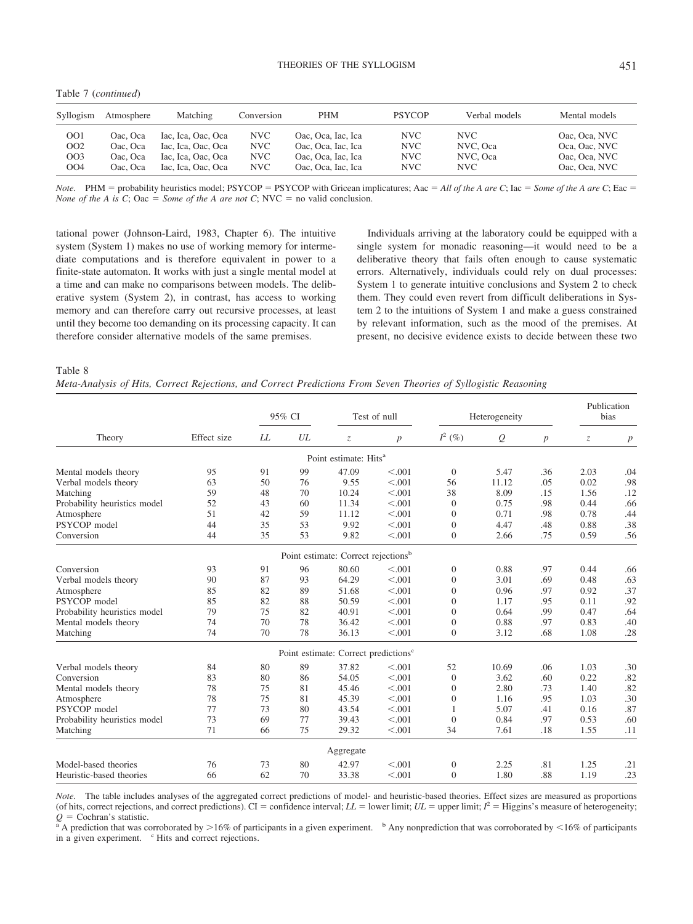| Syllogism  | Atmosphere | Matching           | Conversion | <b>PHM</b>         | <b>PSYCOP</b> | Verbal models | Mental models |
|------------|------------|--------------------|------------|--------------------|---------------|---------------|---------------|
| OO1        | Oac. Oca   | Iac, Ica, Oac, Oca | <b>NVC</b> | Oac, Oca, Iac, Ica | <b>NVC</b>    | NVC.          | Oac, Oca, NVC |
| OO2        | Oac. Oca   | Iac, Ica, Oac, Oca | NVC        | Oac, Oca, Iac, Ica | NVC           | NVC, Oca      | Oca, Oac, NVC |
| 003        | Oac. Oca   | Iac, Ica, Oac, Oca | <b>NVC</b> | Oac. Oca. Iac. Ica | NVC           | NVC. Oca      | Oac, Oca, NVC |
| <b>OO4</b> | Oac. Oca   | Iac, Ica, Oac, Oca | <b>NVC</b> | Oac, Oca, Iac, Ica | <b>NVC</b>    | NVC.          | Oac, Oca, NVC |

*Note.* PHM = probability heuristics model; PSYCOP = PSYCOP with Gricean implicatures; Aac = All of the A are C; Iac = Some of the A are C; Eac = *None of the A is C*; Oac = *Some of the A are not C*; NVC = no valid conclusion.

tational power (Johnson-Laird, 1983, Chapter 6). The intuitive system (System 1) makes no use of working memory for intermediate computations and is therefore equivalent in power to a finite-state automaton. It works with just a single mental model at a time and can make no comparisons between models. The deliberative system (System 2), in contrast, has access to working memory and can therefore carry out recursive processes, at least until they become too demanding on its processing capacity. It can therefore consider alternative models of the same premises.

Individuals arriving at the laboratory could be equipped with a single system for monadic reasoning—it would need to be a deliberative theory that fails often enough to cause systematic errors. Alternatively, individuals could rely on dual processes: System 1 to generate intuitive conclusions and System 2 to check them. They could even revert from difficult deliberations in System 2 to the intuitions of System 1 and make a guess constrained by relevant information, such as the mood of the premises. At present, no decisive evidence exists to decide between these two

Table 8

|                              |             |    | 95% CI |                                                  | Test of null     | Heterogeneity  |               |                  | Publication<br>bias |                  |
|------------------------------|-------------|----|--------|--------------------------------------------------|------------------|----------------|---------------|------------------|---------------------|------------------|
| Theory                       | Effect size | LL | UL     | Z                                                | $\boldsymbol{p}$ | $I^2~(\%)$     | $\mathcal{Q}$ | $\boldsymbol{p}$ | $\mathcal Z$        | $\boldsymbol{p}$ |
|                              |             |    |        | Point estimate: Hits <sup>a</sup>                |                  |                |               |                  |                     |                  |
| Mental models theory         | 95          | 91 | 99     | 47.09                                            | < 0.001          | $\overline{0}$ | 5.47          | .36              | 2.03                | .04              |
| Verbal models theory         | 63          | 50 | 76     | 9.55                                             | < 0.001          | 56             | 11.12         | .05              | 0.02                | .98              |
| Matching                     | 59          | 48 | 70     | 10.24                                            | < 0.001          | 38             | 8.09          | .15              | 1.56                | .12              |
| Probability heuristics model | 52          | 43 | 60     | 11.34                                            | < 0.001          | $\overline{0}$ | 0.75          | .98              | 0.44                | .66              |
| Atmosphere                   | 51          | 42 | 59     | 11.12                                            | < 0.001          | $\Omega$       | 0.71          | .98              | 0.78                | .44              |
| PSYCOP model                 | 44          | 35 | 53     | 9.92                                             | < 0.001          | $\theta$       | 4.47          | .48              | 0.88                | .38              |
| Conversion                   | 44          | 35 | 53     | 9.82                                             | < 0.001          | $\Omega$       | 2.66          | .75              | 0.59                | .56              |
|                              |             |    |        | Point estimate: Correct rejections <sup>b</sup>  |                  |                |               |                  |                     |                  |
| Conversion                   | 93          | 91 | 96     | 80.60                                            | < 0.001          | $\overline{0}$ | 0.88          | .97              | 0.44                | .66              |
| Verbal models theory         | 90          | 87 | 93     | 64.29                                            | < 0.001          | $\overline{0}$ | 3.01          | .69              | 0.48                | .63              |
| Atmosphere                   | 85          | 82 | 89     | 51.68                                            | < 0.001          | $\Omega$       | 0.96          | .97              | 0.92                | .37              |
| PSYCOP model                 | 85          | 82 | 88     | 50.59                                            | < 0.01           | $\Omega$       | 1.17          | .95              | 0.11                | .92              |
| Probability heuristics model | 79          | 75 | 82     | 40.91                                            | < 0.001          | $\Omega$       | 0.64          | .99              | 0.47                | .64              |
| Mental models theory         | 74          | 70 | 78     | 36.42                                            | < 0.001          | $\Omega$       | 0.88          | .97              | 0.83                | .40              |
| Matching                     | 74          | 70 | 78     | 36.13                                            | < 0.001          | $\overline{0}$ | 3.12          | .68              | 1.08                | .28              |
|                              |             |    |        | Point estimate: Correct predictions <sup>c</sup> |                  |                |               |                  |                     |                  |
| Verbal models theory         | 84          | 80 | 89     | 37.82                                            | < 0.001          | 52             | 10.69         | .06              | 1.03                | .30              |
| Conversion                   | 83          | 80 | 86     | 54.05                                            | < 0.001          | $\theta$       | 3.62          | .60              | 0.22                | .82              |
| Mental models theory         | 78          | 75 | 81     | 45.46                                            | < 0.001          | $\Omega$       | 2.80          | .73              | 1.40                | .82              |
| Atmosphere                   | 78          | 75 | 81     | 45.39                                            | < 0.001          | $\overline{0}$ | 1.16          | .95              | 1.03                | .30              |
| PSYCOP model                 | 77          | 73 | 80     | 43.54                                            | < 0.001          | 1              | 5.07          | .41              | 0.16                | .87              |
| Probability heuristics model | 73          | 69 | 77     | 39.43                                            | < 0.001          | $\overline{0}$ | 0.84          | .97              | 0.53                | .60              |
| Matching                     | 71          | 66 | 75     | 29.32                                            | < 0.001          | 34             | 7.61          | .18              | 1.55                | .11              |
|                              |             |    |        | Aggregate                                        |                  |                |               |                  |                     |                  |
| Model-based theories         | 76          | 73 | 80     | 42.97                                            | < 0.001          | $\theta$       | 2.25          | .81              | 1.25                | .21              |
| Heuristic-based theories     | 66          | 62 | 70     | 33.38                                            | < 0.001          | $\Omega$       | 1.80          | .88              | 1.19                | .23              |

*Note.* The table includes analyses of the aggregated correct predictions of model- and heuristic-based theories. Effect sizes are measured as proportions (of hits, correct rejections, and correct predictions). CI = confidence interval;  $LL$  = lower limit;  $UL$  = upper limit;  $l^2$  = Higgins's measure of heterogeneity;  $Q =$  Cochran's statistic.<br><sup>a</sup> A prediction that was corroborated by >16% of participants in a given experiment. <sup>b</sup> Any nonprediction that was corroborated by <16% of participants

in a given experiment. <sup>c</sup> Hits and correct rejections.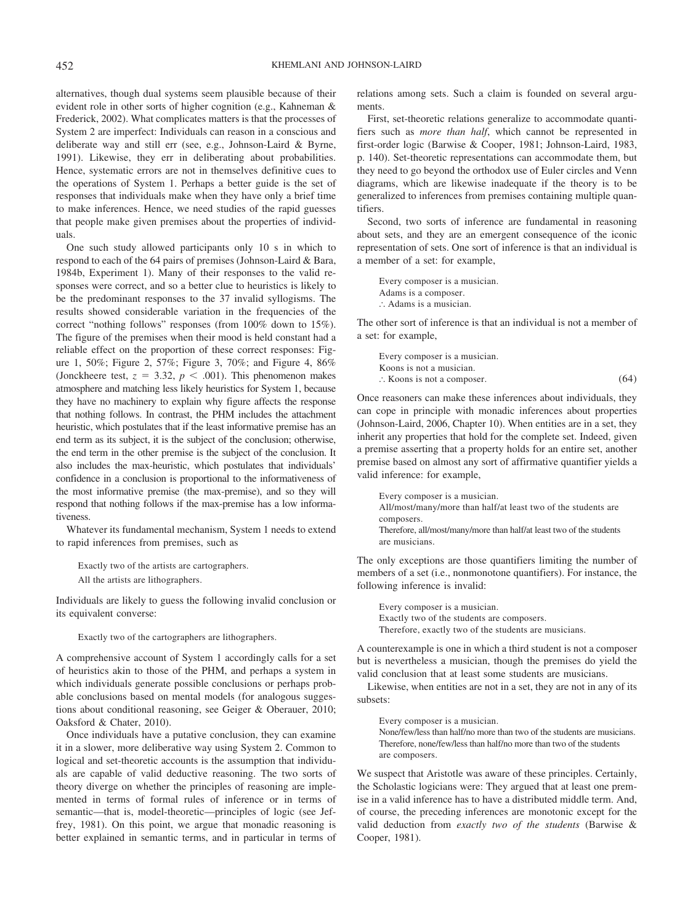alternatives, though dual systems seem plausible because of their evident role in other sorts of higher cognition (e.g., Kahneman & Frederick, 2002). What complicates matters is that the processes of System 2 are imperfect: Individuals can reason in a conscious and deliberate way and still err (see, e.g., Johnson-Laird & Byrne, 1991). Likewise, they err in deliberating about probabilities. Hence, systematic errors are not in themselves definitive cues to the operations of System 1. Perhaps a better guide is the set of responses that individuals make when they have only a brief time to make inferences. Hence, we need studies of the rapid guesses that people make given premises about the properties of individuals.

One such study allowed participants only 10 s in which to respond to each of the 64 pairs of premises (Johnson-Laird & Bara, 1984b, Experiment 1). Many of their responses to the valid responses were correct, and so a better clue to heuristics is likely to be the predominant responses to the 37 invalid syllogisms. The results showed considerable variation in the frequencies of the correct "nothing follows" responses (from 100% down to 15%). The figure of the premises when their mood is held constant had a reliable effect on the proportion of these correct responses: Figure 1, 50%; Figure 2, 57%; Figure 3, 70%; and Figure 4, 86% (Jonckheere test,  $z = 3.32$ ,  $p < .001$ ). This phenomenon makes atmosphere and matching less likely heuristics for System 1, because they have no machinery to explain why figure affects the response that nothing follows. In contrast, the PHM includes the attachment heuristic, which postulates that if the least informative premise has an end term as its subject, it is the subject of the conclusion; otherwise, the end term in the other premise is the subject of the conclusion. It also includes the max-heuristic, which postulates that individuals' confidence in a conclusion is proportional to the informativeness of the most informative premise (the max-premise), and so they will respond that nothing follows if the max-premise has a low informativeness.

Whatever its fundamental mechanism, System 1 needs to extend to rapid inferences from premises, such as

Exactly two of the artists are cartographers.

All the artists are lithographers.

Individuals are likely to guess the following invalid conclusion or its equivalent converse:

Exactly two of the cartographers are lithographers.

A comprehensive account of System 1 accordingly calls for a set of heuristics akin to those of the PHM, and perhaps a system in which individuals generate possible conclusions or perhaps probable conclusions based on mental models (for analogous suggestions about conditional reasoning, see Geiger & Oberauer, 2010; Oaksford & Chater, 2010).

Once individuals have a putative conclusion, they can examine it in a slower, more deliberative way using System 2. Common to logical and set-theoretic accounts is the assumption that individuals are capable of valid deductive reasoning. The two sorts of theory diverge on whether the principles of reasoning are implemented in terms of formal rules of inference or in terms of semantic—that is, model-theoretic—principles of logic (see Jeffrey, 1981). On this point, we argue that monadic reasoning is better explained in semantic terms, and in particular in terms of relations among sets. Such a claim is founded on several arguments.

First, set-theoretic relations generalize to accommodate quantifiers such as *more than half*, which cannot be represented in first-order logic (Barwise & Cooper, 1981; Johnson-Laird, 1983, p. 140). Set-theoretic representations can accommodate them, but they need to go beyond the orthodox use of Euler circles and Venn diagrams, which are likewise inadequate if the theory is to be generalized to inferences from premises containing multiple quantifiers.

Second, two sorts of inference are fundamental in reasoning about sets, and they are an emergent consequence of the iconic representation of sets. One sort of inference is that an individual is a member of a set: for example,

Every composer is a musician. Adams is a composer. : Adams is a musician.

The other sort of inference is that an individual is not a member of a set: for example,

| Every composer is a musician.         |      |
|---------------------------------------|------|
| Koons is not a musician.              |      |
| $\therefore$ Koons is not a composer. | (64) |

Once reasoners can make these inferences about individuals, they can cope in principle with monadic inferences about properties (Johnson-Laird, 2006, Chapter 10). When entities are in a set, they inherit any properties that hold for the complete set. Indeed, given a premise asserting that a property holds for an entire set, another premise based on almost any sort of affirmative quantifier yields a valid inference: for example,

Every composer is a musician. All/most/many/more than half/at least two of the students are composers. Therefore, all/most/many/more than half/at least two of the students are musicians.

The only exceptions are those quantifiers limiting the number of members of a set (i.e., nonmonotone quantifiers). For instance, the following inference is invalid:

Every composer is a musician. Exactly two of the students are composers. Therefore, exactly two of the students are musicians.

A counterexample is one in which a third student is not a composer but is nevertheless a musician, though the premises do yield the valid conclusion that at least some students are musicians.

Likewise, when entities are not in a set, they are not in any of its subsets:

Every composer is a musician. None/few/less than half/no more than two of the students are musicians. Therefore, none/few/less than half/no more than two of the students are composers.

We suspect that Aristotle was aware of these principles. Certainly, the Scholastic logicians were: They argued that at least one premise in a valid inference has to have a distributed middle term. And, of course, the preceding inferences are monotonic except for the valid deduction from *exactly two of the students* (Barwise & Cooper, 1981).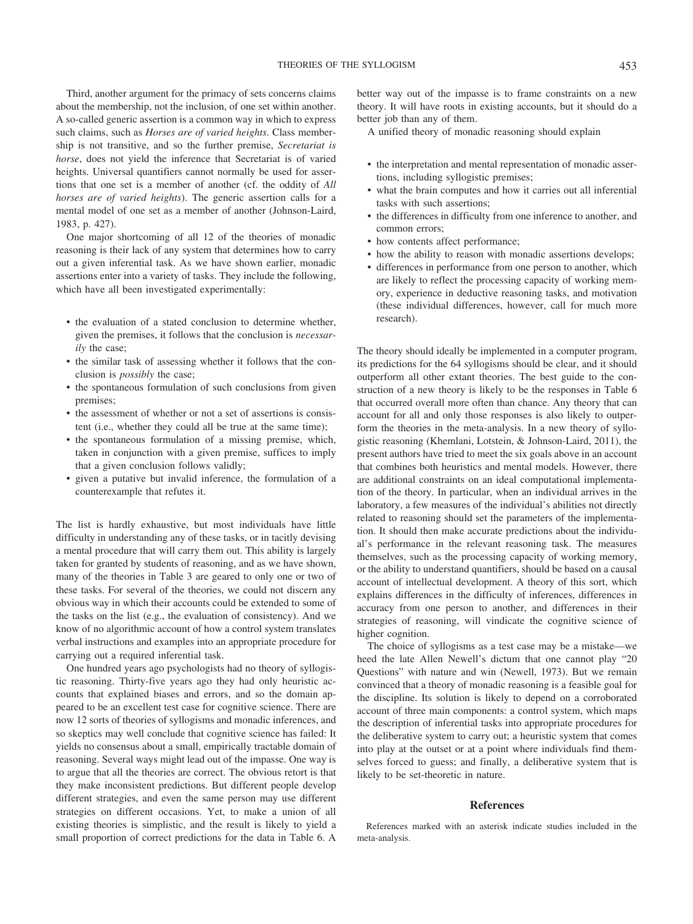Third, another argument for the primacy of sets concerns claims about the membership, not the inclusion, of one set within another. A so-called generic assertion is a common way in which to express such claims, such as *Horses are of varied heights*. Class membership is not transitive, and so the further premise, *Secretariat is horse*, does not yield the inference that Secretariat is of varied heights. Universal quantifiers cannot normally be used for assertions that one set is a member of another (cf. the oddity of *All horses are of varied heights*). The generic assertion calls for a mental model of one set as a member of another (Johnson-Laird, 1983, p. 427).

One major shortcoming of all 12 of the theories of monadic reasoning is their lack of any system that determines how to carry out a given inferential task. As we have shown earlier, monadic assertions enter into a variety of tasks. They include the following, which have all been investigated experimentally:

- the evaluation of a stated conclusion to determine whether, given the premises, it follows that the conclusion is *necessarily* the case;
- the similar task of assessing whether it follows that the conclusion is *possibly* the case;
- the spontaneous formulation of such conclusions from given premises;
- the assessment of whether or not a set of assertions is consistent (i.e., whether they could all be true at the same time);
- the spontaneous formulation of a missing premise, which, taken in conjunction with a given premise, suffices to imply that a given conclusion follows validly;
- given a putative but invalid inference, the formulation of a counterexample that refutes it.

The list is hardly exhaustive, but most individuals have little difficulty in understanding any of these tasks, or in tacitly devising a mental procedure that will carry them out. This ability is largely taken for granted by students of reasoning, and as we have shown, many of the theories in Table 3 are geared to only one or two of these tasks. For several of the theories, we could not discern any obvious way in which their accounts could be extended to some of the tasks on the list (e.g., the evaluation of consistency). And we know of no algorithmic account of how a control system translates verbal instructions and examples into an appropriate procedure for carrying out a required inferential task.

One hundred years ago psychologists had no theory of syllogistic reasoning. Thirty-five years ago they had only heuristic accounts that explained biases and errors, and so the domain appeared to be an excellent test case for cognitive science. There are now 12 sorts of theories of syllogisms and monadic inferences, and so skeptics may well conclude that cognitive science has failed: It yields no consensus about a small, empirically tractable domain of reasoning. Several ways might lead out of the impasse. One way is to argue that all the theories are correct. The obvious retort is that they make inconsistent predictions. But different people develop different strategies, and even the same person may use different strategies on different occasions. Yet, to make a union of all existing theories is simplistic, and the result is likely to yield a small proportion of correct predictions for the data in Table 6. A better way out of the impasse is to frame constraints on a new theory. It will have roots in existing accounts, but it should do a better job than any of them.

A unified theory of monadic reasoning should explain

- the interpretation and mental representation of monadic assertions, including syllogistic premises;
- what the brain computes and how it carries out all inferential tasks with such assertions;
- the differences in difficulty from one inference to another, and common errors;
- how contents affect performance;
- how the ability to reason with monadic assertions develops;
- differences in performance from one person to another, which are likely to reflect the processing capacity of working memory, experience in deductive reasoning tasks, and motivation (these individual differences, however, call for much more research).

The theory should ideally be implemented in a computer program, its predictions for the 64 syllogisms should be clear, and it should outperform all other extant theories. The best guide to the construction of a new theory is likely to be the responses in Table 6 that occurred overall more often than chance. Any theory that can account for all and only those responses is also likely to outperform the theories in the meta-analysis. In a new theory of syllogistic reasoning (Khemlani, Lotstein, & Johnson-Laird, 2011), the present authors have tried to meet the six goals above in an account that combines both heuristics and mental models. However, there are additional constraints on an ideal computational implementation of the theory. In particular, when an individual arrives in the laboratory, a few measures of the individual's abilities not directly related to reasoning should set the parameters of the implementation. It should then make accurate predictions about the individual's performance in the relevant reasoning task. The measures themselves, such as the processing capacity of working memory, or the ability to understand quantifiers, should be based on a causal account of intellectual development. A theory of this sort, which explains differences in the difficulty of inferences, differences in accuracy from one person to another, and differences in their strategies of reasoning, will vindicate the cognitive science of higher cognition.

The choice of syllogisms as a test case may be a mistake—we heed the late Allen Newell's dictum that one cannot play "20 Questions" with nature and win (Newell, 1973). But we remain convinced that a theory of monadic reasoning is a feasible goal for the discipline. Its solution is likely to depend on a corroborated account of three main components: a control system, which maps the description of inferential tasks into appropriate procedures for the deliberative system to carry out; a heuristic system that comes into play at the outset or at a point where individuals find themselves forced to guess; and finally, a deliberative system that is likely to be set-theoretic in nature.

#### **References**

References marked with an asterisk indicate studies included in the meta-analysis.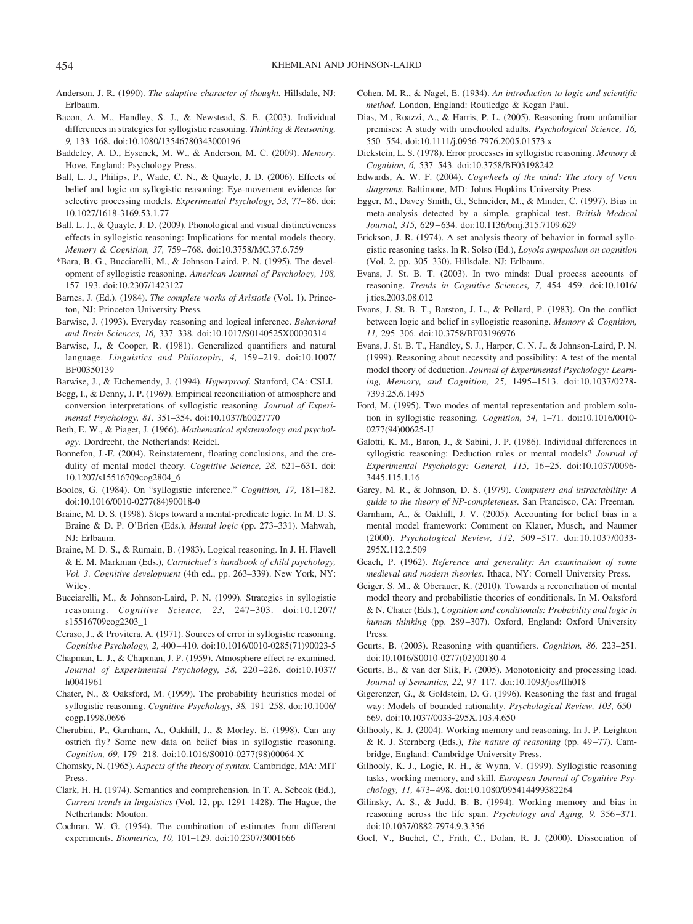- Anderson, J. R. (1990). *The adaptive character of thought.* Hillsdale, NJ: Erlbaum.
- Bacon, A. M., Handley, S. J., & Newstead, S. E. (2003). Individual differences in strategies for syllogistic reasoning. *Thinking & Reasoning, 9,* 133–168. doi:10.1080/13546780343000196
- Baddeley, A. D., Eysenck, M. W., & Anderson, M. C. (2009). *Memory.* Hove, England: Psychology Press.
- Ball, L. J., Philips, P., Wade, C. N., & Quayle, J. D. (2006). Effects of belief and logic on syllogistic reasoning: Eye-movement evidence for selective processing models. *Experimental Psychology, 53,* 77–86. doi: 10.1027/1618-3169.53.1.77
- Ball, L. J., & Quayle, J. D. (2009). Phonological and visual distinctiveness effects in syllogistic reasoning: Implications for mental models theory. *Memory & Cognition, 37,* 759–768. doi:10.3758/MC.37.6.759
- \*Bara, B. G., Bucciarelli, M., & Johnson-Laird, P. N. (1995). The development of syllogistic reasoning. *American Journal of Psychology, 108,* 157–193. doi:10.2307/1423127
- Barnes, J. (Ed.). (1984). *The complete works of Aristotle* (Vol. 1). Princeton, NJ: Princeton University Press.
- Barwise, J. (1993). Everyday reasoning and logical inference. *Behavioral and Brain Sciences, 16,* 337–338. doi:10.1017/S0140525X00030314
- Barwise, J., & Cooper, R. (1981). Generalized quantifiers and natural language. *Linguistics and Philosophy, 4,* 159–219. doi:10.1007/ BF00350139
- Barwise, J., & Etchemendy, J. (1994). *Hyperproof.* Stanford, CA: CSLI.
- Begg, I., & Denny, J. P. (1969). Empirical reconciliation of atmosphere and conversion interpretations of syllogistic reasoning. *Journal of Experimental Psychology, 81,* 351–354. doi:10.1037/h0027770
- Beth, E. W., & Piaget, J. (1966). *Mathematical epistemology and psychology.* Dordrecht, the Netherlands: Reidel.
- Bonnefon, J.-F. (2004). Reinstatement, floating conclusions, and the credulity of mental model theory. *Cognitive Science, 28,* 621–631. doi: 10.1207/s15516709cog2804\_6
- Boolos, G. (1984). On "syllogistic inference." *Cognition, 17,* 181–182. doi:10.1016/0010-0277(84)90018-0
- Braine, M. D. S. (1998). Steps toward a mental-predicate logic. In M. D. S. Braine & D. P. O'Brien (Eds.), *Mental logic* (pp. 273–331). Mahwah, NJ: Erlbaum.
- Braine, M. D. S., & Rumain, B. (1983). Logical reasoning. In J. H. Flavell & E. M. Markman (Eds.), *Carmichael's handbook of child psychology, Vol. 3. Cognitive development* (4th ed., pp. 263–339). New York, NY: Wiley.
- Bucciarelli, M., & Johnson-Laird, P. N. (1999). Strategies in syllogistic reasoning. *Cognitive Science, 23,* 247–303. doi:10.1207/ s15516709cog2303\_1
- Ceraso, J., & Provitera, A. (1971). Sources of error in syllogistic reasoning. *Cognitive Psychology, 2,* 400–410. doi:10.1016/0010-0285(71)90023-5
- Chapman, L. J., & Chapman, J. P. (1959). Atmosphere effect re-examined. *Journal of Experimental Psychology, 58,* 220–226. doi:10.1037/ h0041961
- Chater, N., & Oaksford, M. (1999). The probability heuristics model of syllogistic reasoning. *Cognitive Psychology, 38,* 191–258. doi:10.1006/ cogp.1998.0696
- Cherubini, P., Garnham, A., Oakhill, J., & Morley, E. (1998). Can any ostrich fly? Some new data on belief bias in syllogistic reasoning. *Cognition, 69,* 179–218. doi:10.1016/S0010-0277(98)00064-X
- Chomsky, N. (1965). *Aspects of the theory of syntax.* Cambridge, MA: MIT Press.
- Clark, H. H. (1974). Semantics and comprehension. In T. A. Sebeok (Ed.), *Current trends in linguistics* (Vol. 12, pp. 1291–1428). The Hague, the Netherlands: Mouton.
- Cochran, W. G. (1954). The combination of estimates from different experiments. *Biometrics, 10,* 101–129. doi:10.2307/3001666
- Cohen, M. R., & Nagel, E. (1934). *An introduction to logic and scientific method.* London, England: Routledge & Kegan Paul.
- Dias, M., Roazzi, A., & Harris, P. L. (2005). Reasoning from unfamiliar premises: A study with unschooled adults. *Psychological Science, 16,* 550–554. doi:10.1111/j.0956-7976.2005.01573.x
- Dickstein, L. S. (1978). Error processes in syllogistic reasoning. *Memory & Cognition, 6,* 537–543. doi:10.3758/BF03198242
- Edwards, A. W. F. (2004). *Cogwheels of the mind: The story of Venn diagrams.* Baltimore, MD: Johns Hopkins University Press.
- Egger, M., Davey Smith, G., Schneider, M., & Minder, C. (1997). Bias in meta-analysis detected by a simple, graphical test. *British Medical Journal, 315,* 629–634. doi:10.1136/bmj.315.7109.629
- Erickson, J. R. (1974). A set analysis theory of behavior in formal syllogistic reasoning tasks. In R. Solso (Ed.), *Loyola symposium on cognition* (Vol. 2, pp. 305–330). Hillsdale, NJ: Erlbaum.
- Evans, J. St. B. T. (2003). In two minds: Dual process accounts of reasoning. *Trends in Cognitive Sciences, 7,* 454–459. doi:10.1016/ j.tics.2003.08.012
- Evans, J. St. B. T., Barston, J. L., & Pollard, P. (1983). On the conflict between logic and belief in syllogistic reasoning. *Memory & Cognition, 11,* 295–306. doi:10.3758/BF03196976
- Evans, J. St. B. T., Handley, S. J., Harper, C. N. J., & Johnson-Laird, P. N. (1999). Reasoning about necessity and possibility: A test of the mental model theory of deduction. *Journal of Experimental Psychology: Learning, Memory, and Cognition, 25,* 1495–1513. doi:10.1037/0278- 7393.25.6.1495
- Ford, M. (1995). Two modes of mental representation and problem solution in syllogistic reasoning. *Cognition, 54,* 1–71. doi:10.1016/0010- 0277(94)00625-U
- Galotti, K. M., Baron, J., & Sabini, J. P. (1986). Individual differences in syllogistic reasoning: Deduction rules or mental models? *Journal of Experimental Psychology: General, 115,* 16–25. doi:10.1037/0096- 3445.115.1.16
- Garey, M. R., & Johnson, D. S. (1979). *Computers and intractability: A guide to the theory of NP-completeness.* San Francisco, CA: Freeman.
- Garnham, A., & Oakhill, J. V. (2005). Accounting for belief bias in a mental model framework: Comment on Klauer, Musch, and Naumer (2000). *Psychological Review, 112,* 509–517. doi:10.1037/0033- 295X.112.2.509
- Geach, P. (1962). *Reference and generality: An examination of some medieval and modern theories.* Ithaca, NY: Cornell University Press.
- Geiger, S. M., & Oberauer, K. (2010). Towards a reconciliation of mental model theory and probabilistic theories of conditionals. In M. Oaksford & N. Chater (Eds.), *Cognition and conditionals: Probability and logic in human thinking* (pp. 289–307). Oxford, England: Oxford University Press.
- Geurts, B. (2003). Reasoning with quantifiers. *Cognition, 86,* 223–251. doi:10.1016/S0010-0277(02)00180-4
- Geurts, B., & van der Slik, F. (2005). Monotonicity and processing load. *Journal of Semantics, 22,* 97–117. doi:10.1093/jos/ffh018
- Gigerenzer, G., & Goldstein, D. G. (1996). Reasoning the fast and frugal way: Models of bounded rationality. *Psychological Review, 103,* 650– 669. doi:10.1037/0033-295X.103.4.650
- Gilhooly, K. J. (2004). Working memory and reasoning. In J. P. Leighton & R. J. Sternberg (Eds.), *The nature of reasoning* (pp. 49–77). Cambridge, England: Cambridge University Press.
- Gilhooly, K. J., Logie, R. H., & Wynn, V. (1999). Syllogistic reasoning tasks, working memory, and skill. *European Journal of Cognitive Psychology, 11,* 473–498. doi:10.1080/095414499382264
- Gilinsky, A. S., & Judd, B. B. (1994). Working memory and bias in reasoning across the life span. *Psychology and Aging, 9,* 356–371. doi:10.1037/0882-7974.9.3.356
- Goel, V., Buchel, C., Frith, C., Dolan, R. J. (2000). Dissociation of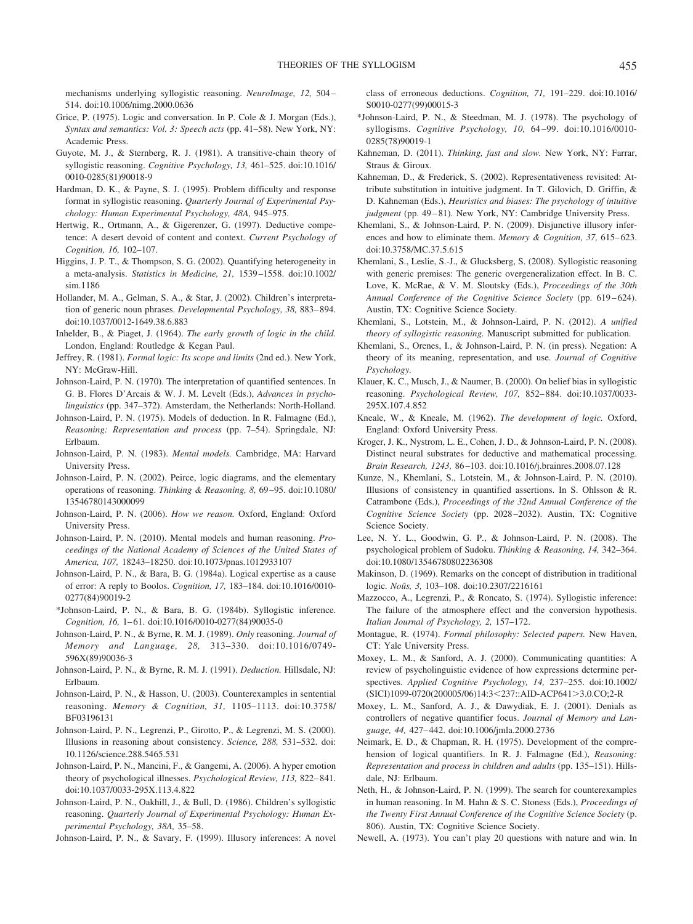mechanisms underlying syllogistic reasoning. *NeuroImage, 12,* 504– 514. doi:10.1006/nimg.2000.0636

- Grice, P. (1975). Logic and conversation. In P. Cole & J. Morgan (Eds.), *Syntax and semantics: Vol. 3: Speech acts* (pp. 41–58). New York, NY: Academic Press.
- Guyote, M. J., & Sternberg, R. J. (1981). A transitive-chain theory of syllogistic reasoning. *Cognitive Psychology, 13,* 461–525. doi:10.1016/ 0010-0285(81)90018-9
- Hardman, D. K., & Payne, S. J. (1995). Problem difficulty and response format in syllogistic reasoning. *Quarterly Journal of Experimental Psychology: Human Experimental Psychology, 48A,* 945–975.
- Hertwig, R., Ortmann, A., & Gigerenzer, G. (1997). Deductive competence: A desert devoid of content and context. *Current Psychology of Cognition, 16,* 102–107.
- Higgins, J. P. T., & Thompson, S. G. (2002). Quantifying heterogeneity in a meta-analysis. *Statistics in Medicine, 21,* 1539–1558. doi:10.1002/ sim.1186
- Hollander, M. A., Gelman, S. A., & Star, J. (2002). Children's interpretation of generic noun phrases. *Developmental Psychology, 38,* 883–894. doi:10.1037/0012-1649.38.6.883
- Inhelder, B., & Piaget, J. (1964). *The early growth of logic in the child.* London, England: Routledge & Kegan Paul.
- Jeffrey, R. (1981). *Formal logic: Its scope and limits* (2nd ed.). New York, NY: McGraw-Hill.
- Johnson-Laird, P. N. (1970). The interpretation of quantified sentences. In G. B. Flores D'Arcais & W. J. M. Levelt (Eds.), *Advances in psycholinguistics* (pp. 347–372). Amsterdam, the Netherlands: North-Holland.
- Johnson-Laird, P. N. (1975). Models of deduction. In R. Falmagne (Ed.), *Reasoning: Representation and process* (pp. 7–54). Springdale, NJ: Erlbaum.
- Johnson-Laird, P. N. (1983). *Mental models.* Cambridge, MA: Harvard University Press.
- Johnson-Laird, P. N. (2002). Peirce, logic diagrams, and the elementary operations of reasoning. *Thinking & Reasoning, 8,* 69–95. doi:10.1080/ 13546780143000099
- Johnson-Laird, P. N. (2006). *How we reason.* Oxford, England: Oxford University Press.
- Johnson-Laird, P. N. (2010). Mental models and human reasoning. *Proceedings of the National Academy of Sciences of the United States of America, 107,* 18243–18250. doi:10.1073/pnas.1012933107
- Johnson-Laird, P. N., & Bara, B. G. (1984a). Logical expertise as a cause of error: A reply to Boolos. *Cognition, 17,* 183–184. doi:10.1016/0010- 0277(84)90019-2
- \*Johnson-Laird, P. N., & Bara, B. G. (1984b). Syllogistic inference. *Cognition, 16,* 1–61. doi:10.1016/0010-0277(84)90035-0
- Johnson-Laird, P. N., & Byrne, R. M. J. (1989). *Only* reasoning. *Journal of Memory and Language, 28,* 313–330. doi:10.1016/0749- 596X(89)90036-3
- Johnson-Laird, P. N., & Byrne, R. M. J. (1991). *Deduction.* Hillsdale, NJ: Erlbaum.
- Johnson-Laird, P. N., & Hasson, U. (2003). Counterexamples in sentential reasoning. *Memory & Cognition, 31,* 1105–1113. doi:10.3758/ BF03196131
- Johnson-Laird, P. N., Legrenzi, P., Girotto, P., & Legrenzi, M. S. (2000). Illusions in reasoning about consistency. *Science, 288,* 531–532. doi: 10.1126/science.288.5465.531
- Johnson-Laird, P. N., Mancini, F., & Gangemi, A. (2006). A hyper emotion theory of psychological illnesses. *Psychological Review, 113,* 822–841. doi:10.1037/0033-295X.113.4.822
- Johnson-Laird, P. N., Oakhill, J., & Bull, D. (1986). Children's syllogistic reasoning. *Quarterly Journal of Experimental Psychology: Human Experimental Psychology, 38A,* 35–58.
- Johnson-Laird, P. N., & Savary, F. (1999). Illusory inferences: A novel

class of erroneous deductions. *Cognition, 71,* 191–229. doi:10.1016/ S0010-0277(99)00015-3

- \*Johnson-Laird, P. N., & Steedman, M. J. (1978). The psychology of syllogisms. *Cognitive Psychology, 10,* 64–99. doi:10.1016/0010- 0285(78)90019-1
- Kahneman, D. (2011). *Thinking, fast and slow.* New York, NY: Farrar, Straus & Giroux.
- Kahneman, D., & Frederick, S. (2002). Representativeness revisited: Attribute substitution in intuitive judgment. In T. Gilovich, D. Griffin, & D. Kahneman (Eds.), *Heuristics and biases: The psychology of intuitive judgment* (pp. 49–81). New York, NY: Cambridge University Press.
- Khemlani, S., & Johnson-Laird, P. N. (2009). Disjunctive illusory inferences and how to eliminate them. *Memory & Cognition, 37,* 615–623. doi:10.3758/MC.37.5.615
- Khemlani, S., Leslie, S.-J., & Glucksberg, S. (2008). Syllogistic reasoning with generic premises: The generic overgeneralization effect. In B. C. Love, K. McRae, & V. M. Sloutsky (Eds.), *Proceedings of the 30th Annual Conference of the Cognitive Science Society* (pp. 619–624). Austin, TX: Cognitive Science Society.
- Khemlani, S., Lotstein, M., & Johnson-Laird, P. N. (2012). *A unified theory of syllogistic reasoning.* Manuscript submitted for publication.
- Khemlani, S., Orenes, I., & Johnson-Laird, P. N. (in press). Negation: A theory of its meaning, representation, and use. *Journal of Cognitive Psychology.*
- Klauer, K. C., Musch, J., & Naumer, B. (2000). On belief bias in syllogistic reasoning. *Psychological Review, 107,* 852–884. doi:10.1037/0033- 295X.107.4.852
- Kneale, W., & Kneale, M. (1962). *The development of logic.* Oxford, England: Oxford University Press.
- Kroger, J. K., Nystrom, L. E., Cohen, J. D., & Johnson-Laird, P. N. (2008). Distinct neural substrates for deductive and mathematical processing. *Brain Research, 1243,* 86–103. doi:10.1016/j.brainres.2008.07.128
- Kunze, N., Khemlani, S., Lotstein, M., & Johnson-Laird, P. N. (2010). Illusions of consistency in quantified assertions. In S. Ohlsson & R. Catrambone (Eds.), *Proceedings of the 32nd Annual Conference of the Cognitive Science Society* (pp. 2028–2032). Austin, TX: Cognitive Science Society.
- Lee, N. Y. L., Goodwin, G. P., & Johnson-Laird, P. N. (2008). The psychological problem of Sudoku. *Thinking & Reasoning, 14,* 342–364. doi:10.1080/13546780802236308
- Makinson, D. (1969). Remarks on the concept of distribution in traditional logic. *Nouˆs, 3,* 103–108. doi:10.2307/2216161
- Mazzocco, A., Legrenzi, P., & Roncato, S. (1974). Syllogistic inference: The failure of the atmosphere effect and the conversion hypothesis. *Italian Journal of Psychology, 2,* 157–172.
- Montague, R. (1974). *Formal philosophy: Selected papers.* New Haven, CT: Yale University Press.
- Moxey, L. M., & Sanford, A. J. (2000). Communicating quantities: A review of psycholinguistic evidence of how expressions determine perspectives. *Applied Cognitive Psychology, 14,* 237–255. doi:10.1002/ (SICI)1099-0720(200005/06)14:3<237::AID-ACP641>3.0.CO;2-R
- Moxey, L. M., Sanford, A. J., & Dawydiak, E. J. (2001). Denials as controllers of negative quantifier focus. *Journal of Memory and Language, 44,* 427–442. doi:10.1006/jmla.2000.2736
- Neimark, E. D., & Chapman, R. H. (1975). Development of the comprehension of logical quantifiers. In R. J. Falmagne (Ed.), *Reasoning: Representation and process in children and adults* (pp. 135–151). Hillsdale, NJ: Erlbaum.
- Neth, H., & Johnson-Laird, P. N. (1999). The search for counterexamples in human reasoning. In M. Hahn & S. C. Stoness (Eds.), *Proceedings of the Twenty First Annual Conference of the Cognitive Science Society* (p. 806). Austin, TX: Cognitive Science Society.
- Newell, A. (1973). You can't play 20 questions with nature and win. In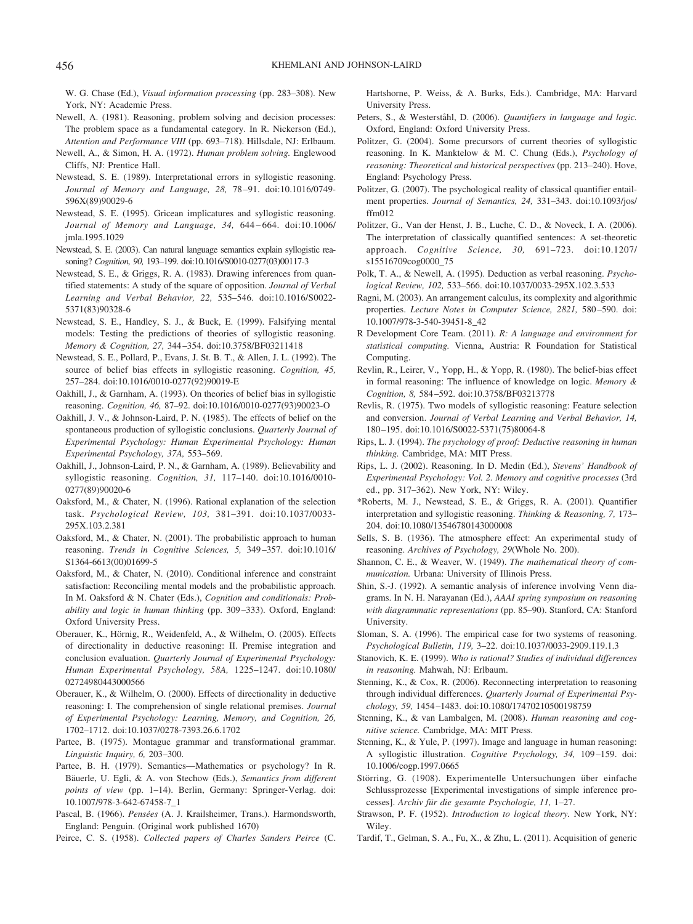W. G. Chase (Ed.), *Visual information processing* (pp. 283–308). New York, NY: Academic Press.

- Newell, A. (1981). Reasoning, problem solving and decision processes: The problem space as a fundamental category. In R. Nickerson (Ed.), *Attention and Performance VIII* (pp. 693–718). Hillsdale, NJ: Erlbaum.
- Newell, A., & Simon, H. A. (1972). *Human problem solving.* Englewood Cliffs, NJ: Prentice Hall.
- Newstead, S. E. (1989). Interpretational errors in syllogistic reasoning. *Journal of Memory and Language, 28,* 78–91. doi:10.1016/0749- 596X(89)90029-6
- Newstead, S. E. (1995). Gricean implicatures and syllogistic reasoning. *Journal of Memory and Language, 34,* 644–664. doi:10.1006/ jmla.1995.1029
- Newstead, S. E. (2003). Can natural language semantics explain syllogistic reasoning? *Cognition, 90,* 193–199. doi:10.1016/S0010-0277(03)00117-3
- Newstead, S. E., & Griggs, R. A. (1983). Drawing inferences from quantified statements: A study of the square of opposition. *Journal of Verbal Learning and Verbal Behavior, 22,* 535–546. doi:10.1016/S0022- 5371(83)90328-6
- Newstead, S. E., Handley, S. J., & Buck, E. (1999). Falsifying mental models: Testing the predictions of theories of syllogistic reasoning. *Memory & Cognition, 27,* 344–354. doi:10.3758/BF03211418
- Newstead, S. E., Pollard, P., Evans, J. St. B. T., & Allen, J. L. (1992). The source of belief bias effects in syllogistic reasoning. *Cognition, 45,* 257–284. doi:10.1016/0010-0277(92)90019-E
- Oakhill, J., & Garnham, A. (1993). On theories of belief bias in syllogistic reasoning. *Cognition, 46,* 87–92. doi:10.1016/0010-0277(93)90023-O
- Oakhill, J. V., & Johnson-Laird, P. N. (1985). The effects of belief on the spontaneous production of syllogistic conclusions. *Quarterly Journal of Experimental Psychology: Human Experimental Psychology: Human Experimental Psychology, 37A,* 553–569.
- Oakhill, J., Johnson-Laird, P. N., & Garnham, A. (1989). Believability and syllogistic reasoning. *Cognition, 31,* 117–140. doi:10.1016/0010- 0277(89)90020-6
- Oaksford, M., & Chater, N. (1996). Rational explanation of the selection task. *Psychological Review, 103,* 381–391. doi:10.1037/0033- 295X.103.2.381
- Oaksford, M., & Chater, N. (2001). The probabilistic approach to human reasoning. *Trends in Cognitive Sciences, 5,* 349–357. doi:10.1016/ S1364-6613(00)01699-5
- Oaksford, M., & Chater, N. (2010). Conditional inference and constraint satisfaction: Reconciling mental models and the probabilistic approach. In M. Oaksford & N. Chater (Eds.), *Cognition and conditionals: Probability and logic in human thinking* (pp. 309–333). Oxford, England: Oxford University Press.
- Oberauer, K., Hörnig, R., Weidenfeld, A., & Wilhelm, O. (2005). Effects of directionality in deductive reasoning: II. Premise integration and conclusion evaluation. *Quarterly Journal of Experimental Psychology: Human Experimental Psychology, 58A,* 1225–1247. doi:10.1080/ 02724980443000566
- Oberauer, K., & Wilhelm, O. (2000). Effects of directionality in deductive reasoning: I. The comprehension of single relational premises. *Journal of Experimental Psychology: Learning, Memory, and Cognition, 26,* 1702–1712. doi:10.1037/0278-7393.26.6.1702
- Partee, B. (1975). Montague grammar and transformational grammar. *Linguistic Inquiry, 6,* 203–300.
- Partee, B. H. (1979). Semantics—Mathematics or psychology? In R. Bäuerle, U. Egli, & A. von Stechow (Eds.), *Semantics from different points of view* (pp. 1–14). Berlin, Germany: Springer-Verlag. doi: 10.1007/978-3-642-67458-7\_1
- Pascal, B. (1966). *Pensées* (A. J. Krailsheimer, Trans.). Harmondsworth, England: Penguin. (Original work published 1670)
- Peirce, C. S. (1958). *Collected papers of Charles Sanders Peirce* (C.

Hartshorne, P. Weiss, & A. Burks, Eds.). Cambridge, MA: Harvard University Press.

- Peters, S., & Westerståhl, D. (2006). *Quantifiers in language and logic.* Oxford, England: Oxford University Press.
- Politzer, G. (2004). Some precursors of current theories of syllogistic reasoning. In K. Manktelow & M. C. Chung (Eds.), *Psychology of reasoning: Theoretical and historical perspectives* (pp. 213–240). Hove, England: Psychology Press.
- Politzer, G. (2007). The psychological reality of classical quantifier entailment properties. *Journal of Semantics, 24,* 331–343. doi:10.1093/jos/ ffm012
- Politzer, G., Van der Henst, J. B., Luche, C. D., & Noveck, I. A. (2006). The interpretation of classically quantified sentences: A set-theoretic approach. *Cognitive Science, 30,* 691–723. doi:10.1207/ s15516709cog0000\_75
- Polk, T. A., & Newell, A. (1995). Deduction as verbal reasoning. *Psychological Review, 102,* 533–566. doi:10.1037/0033-295X.102.3.533
- Ragni, M. (2003). An arrangement calculus, its complexity and algorithmic properties. *Lecture Notes in Computer Science, 2821,* 580–590. doi: 10.1007/978-3-540-39451-8\_42
- R Development Core Team. (2011). *R: A language and environment for statistical computing.* Vienna, Austria: R Foundation for Statistical Computing.
- Revlin, R., Leirer, V., Yopp, H., & Yopp, R. (1980). The belief-bias effect in formal reasoning: The influence of knowledge on logic. *Memory & Cognition, 8,* 584–592. doi:10.3758/BF03213778
- Revlis, R. (1975). Two models of syllogistic reasoning: Feature selection and conversion. *Journal of Verbal Learning and Verbal Behavior, 14,* 180–195. doi:10.1016/S0022-5371(75)80064-8
- Rips, L. J. (1994). *The psychology of proof: Deductive reasoning in human thinking.* Cambridge, MA: MIT Press.
- Rips, L. J. (2002). Reasoning. In D. Medin (Ed.), *Stevens' Handbook of Experimental Psychology: Vol. 2. Memory and cognitive processes* (3rd ed., pp. 317–362). New York, NY: Wiley.
- \*Roberts, M. J., Newstead, S. E., & Griggs, R. A. (2001). Quantifier interpretation and syllogistic reasoning. *Thinking & Reasoning, 7,* 173– 204. doi:10.1080/13546780143000008
- Sells, S. B. (1936). The atmosphere effect: An experimental study of reasoning. *Archives of Psychology, 29*(Whole No. 200).
- Shannon, C. E., & Weaver, W. (1949). *The mathematical theory of communication.* Urbana: University of Illinois Press.
- Shin, S.-J. (1992). A semantic analysis of inference involving Venn diagrams. In N. H. Narayanan (Ed.), *AAAI spring symposium on reasoning with diagrammatic representations* (pp. 85–90). Stanford, CA: Stanford University.
- Sloman, S. A. (1996). The empirical case for two systems of reasoning. *Psychological Bulletin, 119,* 3–22. doi:10.1037/0033-2909.119.1.3
- Stanovich, K. E. (1999). *Who is rational? Studies of individual differences in reasoning.* Mahwah, NJ: Erlbaum.
- Stenning, K., & Cox, R. (2006). Reconnecting interpretation to reasoning through individual differences. *Quarterly Journal of Experimental Psychology, 59,* 1454–1483. doi:10.1080/17470210500198759
- Stenning, K., & van Lambalgen, M. (2008). *Human reasoning and cognitive science.* Cambridge, MA: MIT Press.
- Stenning, K., & Yule, P. (1997). Image and language in human reasoning: A syllogistic illustration. *Cognitive Psychology, 34,* 109–159. doi: 10.1006/cogp.1997.0665
- Störring, G. (1908). Experimentelle Untersuchungen über einfache Schlussprozesse [Experimental investigations of simple inference processes]. *Archiv für die gesamte Psychologie, 11, 1-27.*
- Strawson, P. F. (1952). *Introduction to logical theory.* New York, NY: Wiley.
- Tardif, T., Gelman, S. A., Fu, X., & Zhu, L. (2011). Acquisition of generic